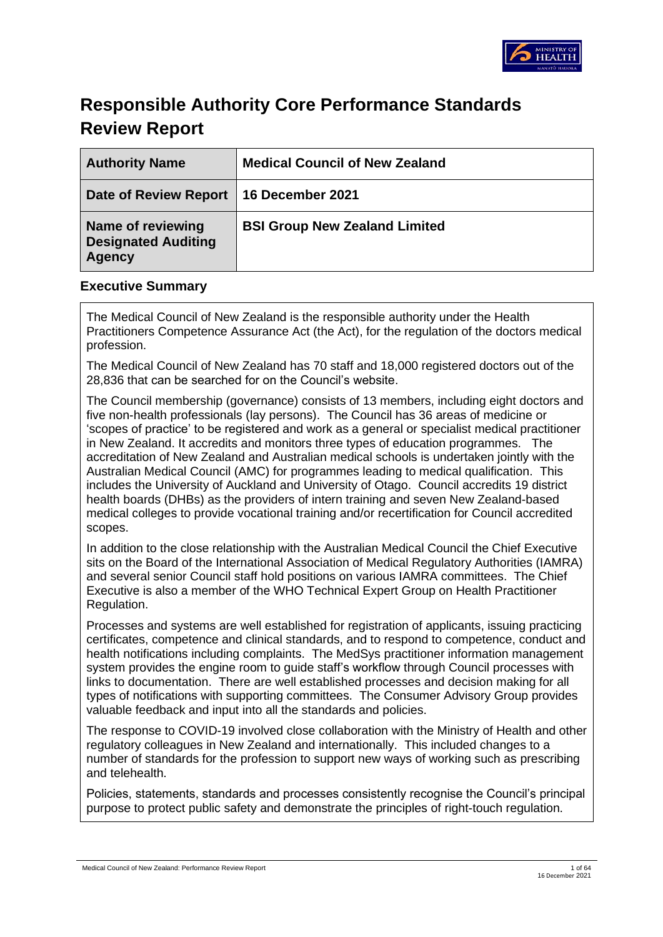

# **Responsible Authority Core Performance Standards Review Report**

| <b>Authority Name</b>                                            | <b>Medical Council of New Zealand</b> |
|------------------------------------------------------------------|---------------------------------------|
| Date of Review Report   16 December 2021                         |                                       |
| Name of reviewing<br><b>Designated Auditing</b><br><b>Agency</b> | <b>BSI Group New Zealand Limited</b>  |

### **Executive Summary**

The Medical Council of New Zealand is the responsible authority under the Health Practitioners Competence Assurance Act (the Act), for the regulation of the doctors medical profession.

The Medical Council of New Zealand has 70 staff and 18,000 registered doctors out of the 28,836 that can be searched for on the Council's website.

The Council membership (governance) consists of 13 members, including eight doctors and five non-health professionals (lay persons). The Council has 36 areas of medicine or 'scopes of practice' to be registered and work as a general or specialist medical practitioner in New Zealand. It accredits and monitors three types of education programmes. The accreditation of New Zealand and Australian medical schools is undertaken jointly with the Australian Medical Council (AMC) for programmes leading to medical qualification. This includes the University of Auckland and University of Otago. Council accredits 19 district health boards (DHBs) as the providers of intern training and seven New Zealand-based medical colleges to provide vocational training and/or recertification for Council accredited scopes.

In addition to the close relationship with the Australian Medical Council the Chief Executive sits on the Board of the International Association of Medical Regulatory Authorities (IAMRA) and several senior Council staff hold positions on various IAMRA committees. The Chief Executive is also a member of the WHO Technical Expert Group on Health Practitioner Regulation.

Processes and systems are well established for registration of applicants, issuing practicing certificates, competence and clinical standards, and to respond to competence, conduct and health notifications including complaints. The MedSys practitioner information management system provides the engine room to guide staff's workflow through Council processes with links to documentation. There are well established processes and decision making for all types of notifications with supporting committees. The Consumer Advisory Group provides valuable feedback and input into all the standards and policies.

The response to COVID-19 involved close collaboration with the Ministry of Health and other regulatory colleagues in New Zealand and internationally. This included changes to a number of standards for the profession to support new ways of working such as prescribing and telehealth.

Policies, statements, standards and processes consistently recognise the Council's principal purpose to protect public safety and demonstrate the principles of right-touch regulation.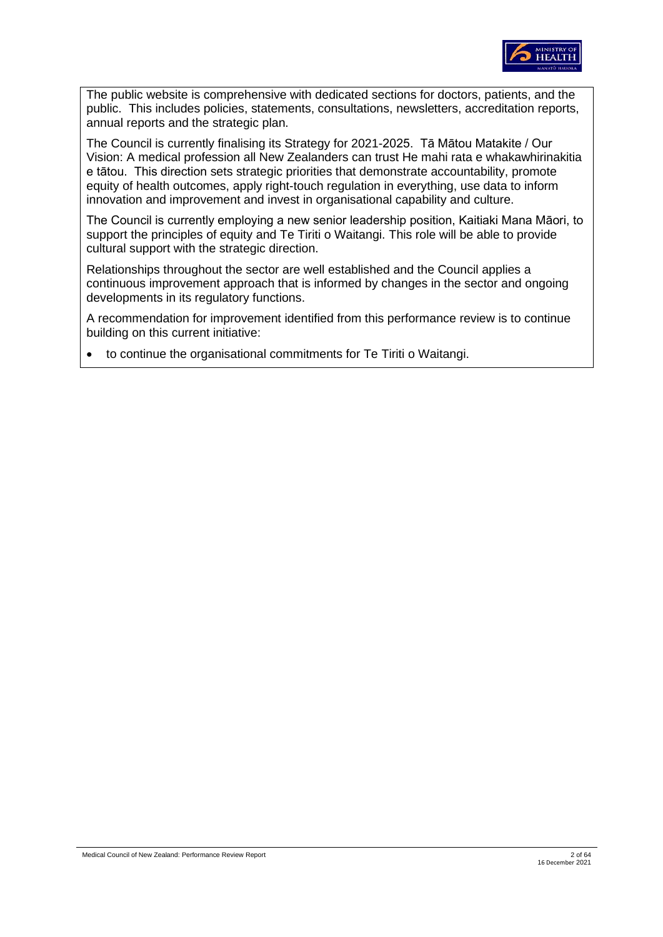

The public website is comprehensive with dedicated sections for doctors, patients, and the public. This includes policies, statements, consultations, newsletters, accreditation reports, annual reports and the strategic plan.

The Council is currently finalising its Strategy for 2021-2025. Tā Mātou Matakite / Our Vision: A medical profession all New Zealanders can trust He mahi rata e whakawhirinakitia e tātou. This direction sets strategic priorities that demonstrate accountability, promote equity of health outcomes, apply right-touch regulation in everything, use data to inform innovation and improvement and invest in organisational capability and culture.

The Council is currently employing a new senior leadership position, Kaitiaki Mana Māori, to support the principles of equity and Te Tiriti o Waitangi. This role will be able to provide cultural support with the strategic direction.

Relationships throughout the sector are well established and the Council applies a continuous improvement approach that is informed by changes in the sector and ongoing developments in its regulatory functions.

A recommendation for improvement identified from this performance review is to continue building on this current initiative:

• to continue the organisational commitments for Te Tiriti o Waitangi.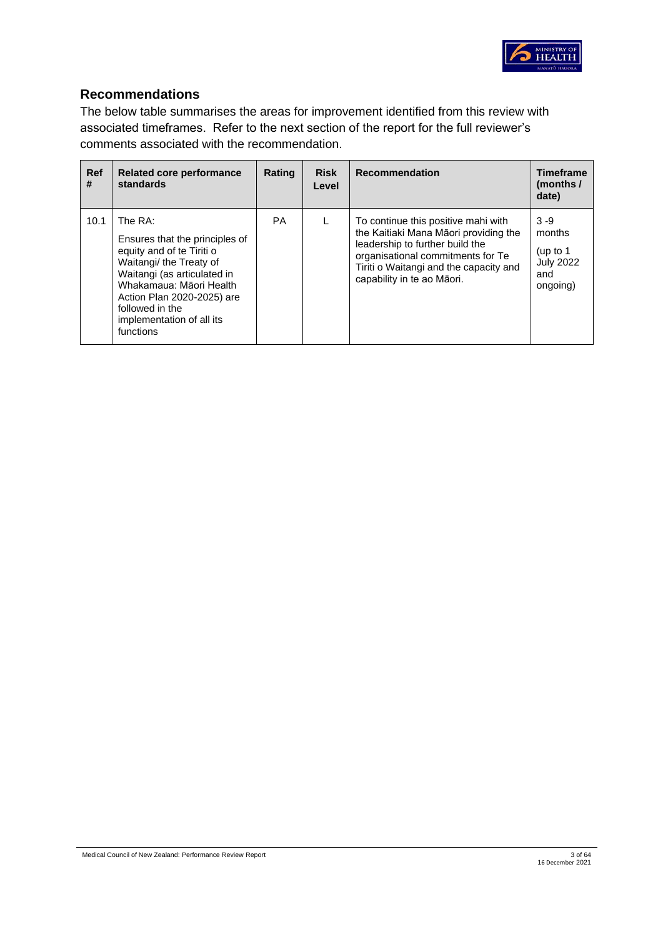

## **Recommendations**

The below table summarises the areas for improvement identified from this review with associated timeframes. Refer to the next section of the report for the full reviewer's comments associated with the recommendation.

| <b>Ref</b><br># | <b>Related core performance</b><br>standards                                                                                                                                                                                                          | Rating    | <b>Risk</b><br>Level | <b>Recommendation</b>                                                                                                                                                                                                        | <b>Timeframe</b><br>(months /<br>date)                                 |
|-----------------|-------------------------------------------------------------------------------------------------------------------------------------------------------------------------------------------------------------------------------------------------------|-----------|----------------------|------------------------------------------------------------------------------------------------------------------------------------------------------------------------------------------------------------------------------|------------------------------------------------------------------------|
| 10.1            | The RA:<br>Ensures that the principles of<br>equity and of te Tiriti o<br>Waitangi/the Treaty of<br>Waitangi (as articulated in<br>Whakamaua: Māori Health<br>Action Plan 2020-2025) are<br>followed in the<br>implementation of all its<br>functions | <b>PA</b> |                      | To continue this positive mahi with<br>the Kaitiaki Mana Māori providing the<br>leadership to further build the<br>organisational commitments for Te<br>Tiriti o Waitangi and the capacity and<br>capability in te ao Māori. | $3 - 9$<br>months<br>(up to $1$<br><b>July 2022</b><br>and<br>ongoing) |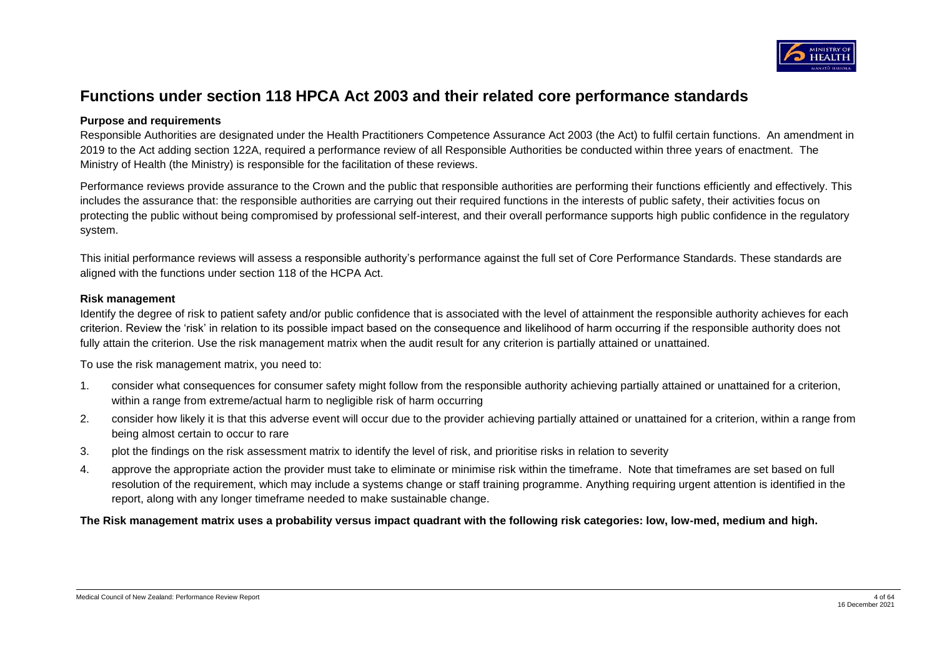

# **Functions under section 118 HPCA Act 2003 and their related core performance standards**

### **Purpose and requirements**

Responsible Authorities are designated under the Health Practitioners Competence Assurance Act 2003 (the Act) to fulfil certain functions. An amendment in 2019 to the Act adding section 122A, required a performance review of all Responsible Authorities be conducted within three years of enactment. The Ministry of Health (the Ministry) is responsible for the facilitation of these reviews.

Performance reviews provide assurance to the Crown and the public that responsible authorities are performing their functions efficiently and effectively. This includes the assurance that: the responsible authorities are carrying out their required functions in the interests of public safety, their activities focus on protecting the public without being compromised by professional self-interest, and their overall performance supports high public confidence in the regulatory system.

This initial performance reviews will assess a responsible authority's performance against the full set of Core Performance Standards. These standards are aligned with the functions under section 118 of the HCPA Act.

#### **Risk management**

Identify the degree of risk to patient safety and/or public confidence that is associated with the level of attainment the responsible authority achieves for each criterion. Review the 'risk' in relation to its possible impact based on the consequence and likelihood of harm occurring if the responsible authority does not fully attain the criterion. Use the risk management matrix when the audit result for any criterion is partially attained or unattained.

To use the risk management matrix, you need to:

- 1. consider what consequences for consumer safety might follow from the responsible authority achieving partially attained or unattained for a criterion, within a range from extreme/actual harm to negligible risk of harm occurring
- 2. consider how likely it is that this adverse event will occur due to the provider achieving partially attained or unattained for a criterion, within a range from being almost certain to occur to rare
- 3. plot the findings on the risk assessment matrix to identify the level of risk, and prioritise risks in relation to severity
- 4. approve the appropriate action the provider must take to eliminate or minimise risk within the timeframe. Note that timeframes are set based on full resolution of the requirement, which may include a systems change or staff training programme. Anything requiring urgent attention is identified in the report, along with any longer timeframe needed to make sustainable change.

**The Risk management matrix uses a probability versus impact quadrant with the following risk categories: low, low-med, medium and high.**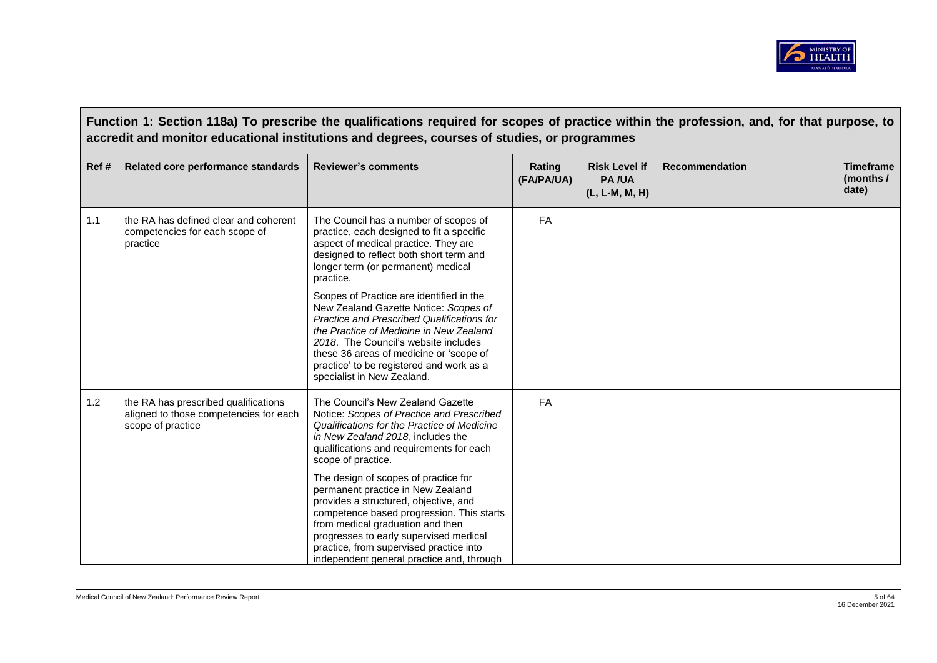

**Function 1: Section 118a) To prescribe the qualifications required for scopes of practice within the profession, and, for that purpose, to accredit and monitor educational institutions and degrees, courses of studies, or programmes Ref # Related core performance standards Reviewer's comments Rating**  Rating **(FA/PA/UA) Risk Level if PA /UA (L, L-M, M, H) Recommendation Timeframe (months / date)** 1.1 the RA has defined clear and coherent competencies for each scope of practice The Council has a number of scopes of practice, each designed to fit a specific aspect of medical practice. They are designed to reflect both short term and longer term (or permanent) medical practice. Scopes of Practice are identified in the New Zealand Gazette Notice: *Scopes of Practice and Prescribed Qualifications for the Practice of Medicine in New Zealand 2018*. The Council's website includes these 36 areas of medicine or 'scope of practice' to be registered and work as a specialist in New Zealand. FA 1.2 **the RA has prescribed qualifications** aligned to those competencies for each scope of practice The Council's New Zealand Gazette Notice: *Scopes of Practice and Prescribed Qualifications for the Practice of Medicine in New Zealand 2018,* includes the qualifications and requirements for each scope of practice. The design of scopes of practice for permanent practice in New Zealand provides a structured, objective, and competence based progression. This starts from medical graduation and then progresses to early supervised medical practice, from supervised practice into independent general practice and, through FA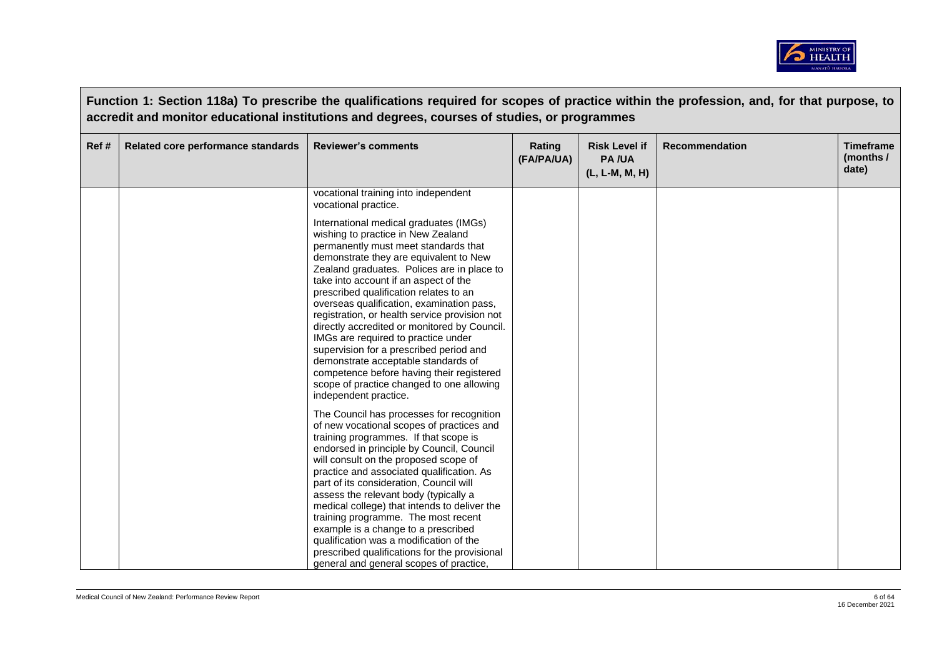

|       | Function 1: Section 118a) To prescribe the qualifications required for scopes of practice within the profession, and, for that purpose, to<br>accredit and monitor educational institutions and degrees, courses of studies, or programmes |                                                                                                                                                                                                                                                                                                                                                                                                                                                                                                                                                                                                                                                                                           |                      |                                                        |                       |                                        |  |  |
|-------|--------------------------------------------------------------------------------------------------------------------------------------------------------------------------------------------------------------------------------------------|-------------------------------------------------------------------------------------------------------------------------------------------------------------------------------------------------------------------------------------------------------------------------------------------------------------------------------------------------------------------------------------------------------------------------------------------------------------------------------------------------------------------------------------------------------------------------------------------------------------------------------------------------------------------------------------------|----------------------|--------------------------------------------------------|-----------------------|----------------------------------------|--|--|
| Ref # | Related core performance standards                                                                                                                                                                                                         | <b>Reviewer's comments</b>                                                                                                                                                                                                                                                                                                                                                                                                                                                                                                                                                                                                                                                                | Rating<br>(FA/PA/UA) | <b>Risk Level if</b><br><b>PA/UA</b><br>(L, L-M, M, H) | <b>Recommendation</b> | <b>Timeframe</b><br>(months /<br>date) |  |  |
|       |                                                                                                                                                                                                                                            | vocational training into independent<br>vocational practice.                                                                                                                                                                                                                                                                                                                                                                                                                                                                                                                                                                                                                              |                      |                                                        |                       |                                        |  |  |
|       |                                                                                                                                                                                                                                            | International medical graduates (IMGs)<br>wishing to practice in New Zealand<br>permanently must meet standards that<br>demonstrate they are equivalent to New<br>Zealand graduates. Polices are in place to<br>take into account if an aspect of the<br>prescribed qualification relates to an<br>overseas qualification, examination pass,<br>registration, or health service provision not<br>directly accredited or monitored by Council.<br>IMGs are required to practice under<br>supervision for a prescribed period and<br>demonstrate acceptable standards of<br>competence before having their registered<br>scope of practice changed to one allowing<br>independent practice. |                      |                                                        |                       |                                        |  |  |
|       |                                                                                                                                                                                                                                            | The Council has processes for recognition<br>of new vocational scopes of practices and<br>training programmes. If that scope is<br>endorsed in principle by Council, Council<br>will consult on the proposed scope of<br>practice and associated qualification. As<br>part of its consideration, Council will<br>assess the relevant body (typically a<br>medical college) that intends to deliver the<br>training programme. The most recent<br>example is a change to a prescribed<br>qualification was a modification of the<br>prescribed qualifications for the provisional<br>general and general scopes of practice,                                                               |                      |                                                        |                       |                                        |  |  |

 $\overline{\phantom{a}}$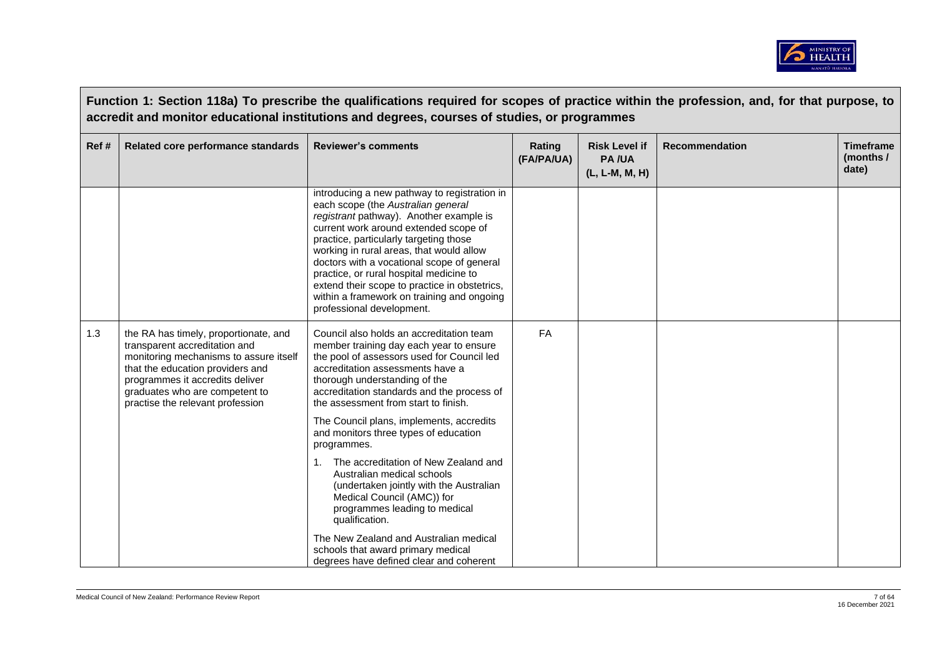

|      | Function 1: Section 118a) To prescribe the qualifications required for scopes of practice within the profession, and, for that purpose, to<br>accredit and monitor educational institutions and degrees, courses of studies, or programmes                    |                                                                                                                                                                                                                                                                                                                                                                                                                                                                                   |                      |                                                        |                       |                                        |  |
|------|---------------------------------------------------------------------------------------------------------------------------------------------------------------------------------------------------------------------------------------------------------------|-----------------------------------------------------------------------------------------------------------------------------------------------------------------------------------------------------------------------------------------------------------------------------------------------------------------------------------------------------------------------------------------------------------------------------------------------------------------------------------|----------------------|--------------------------------------------------------|-----------------------|----------------------------------------|--|
| Ref# | Related core performance standards                                                                                                                                                                                                                            | <b>Reviewer's comments</b>                                                                                                                                                                                                                                                                                                                                                                                                                                                        | Rating<br>(FA/PA/UA) | <b>Risk Level if</b><br><b>PA/UA</b><br>(L, L-M, M, H) | <b>Recommendation</b> | <b>Timeframe</b><br>(months /<br>date) |  |
|      |                                                                                                                                                                                                                                                               | introducing a new pathway to registration in<br>each scope (the Australian general<br>registrant pathway). Another example is<br>current work around extended scope of<br>practice, particularly targeting those<br>working in rural areas, that would allow<br>doctors with a vocational scope of general<br>practice, or rural hospital medicine to<br>extend their scope to practice in obstetrics,<br>within a framework on training and ongoing<br>professional development. |                      |                                                        |                       |                                        |  |
| 1.3  | the RA has timely, proportionate, and<br>transparent accreditation and<br>monitoring mechanisms to assure itself<br>that the education providers and<br>programmes it accredits deliver<br>graduates who are competent to<br>practise the relevant profession | Council also holds an accreditation team<br>member training day each year to ensure<br>the pool of assessors used for Council led<br>accreditation assessments have a<br>thorough understanding of the<br>accreditation standards and the process of<br>the assessment from start to finish.<br>The Council plans, implements, accredits                                                                                                                                          | FA                   |                                                        |                       |                                        |  |
|      |                                                                                                                                                                                                                                                               | and monitors three types of education<br>programmes.                                                                                                                                                                                                                                                                                                                                                                                                                              |                      |                                                        |                       |                                        |  |
|      |                                                                                                                                                                                                                                                               | The accreditation of New Zealand and<br>Australian medical schools<br>(undertaken jointly with the Australian<br>Medical Council (AMC)) for<br>programmes leading to medical<br>qualification.                                                                                                                                                                                                                                                                                    |                      |                                                        |                       |                                        |  |
|      |                                                                                                                                                                                                                                                               | The New Zealand and Australian medical<br>schools that award primary medical<br>degrees have defined clear and coherent                                                                                                                                                                                                                                                                                                                                                           |                      |                                                        |                       |                                        |  |

 $\Gamma$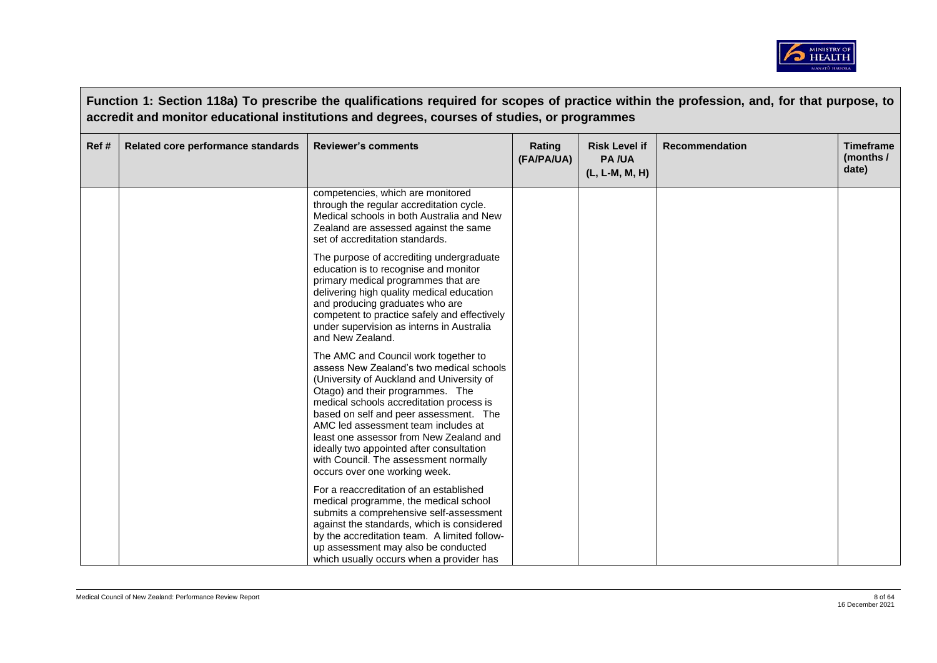

| Ref# | Related core performance standards | accredit and monitor educational institutions and degrees, courses of studies, or programmes<br><b>Reviewer's comments</b>                                                                                                                                                                                                                                                                                                                                      | Rating<br>(FA/PA/UA) | <b>Risk Level if</b><br><b>PA/UA</b><br>(L, L-M, M, H) | <b>Recommendation</b> | <b>Timeframe</b><br>(months /<br>date) |
|------|------------------------------------|-----------------------------------------------------------------------------------------------------------------------------------------------------------------------------------------------------------------------------------------------------------------------------------------------------------------------------------------------------------------------------------------------------------------------------------------------------------------|----------------------|--------------------------------------------------------|-----------------------|----------------------------------------|
|      |                                    | competencies, which are monitored<br>through the regular accreditation cycle.<br>Medical schools in both Australia and New<br>Zealand are assessed against the same<br>set of accreditation standards.                                                                                                                                                                                                                                                          |                      |                                                        |                       |                                        |
|      |                                    | The purpose of accrediting undergraduate<br>education is to recognise and monitor<br>primary medical programmes that are<br>delivering high quality medical education<br>and producing graduates who are<br>competent to practice safely and effectively<br>under supervision as interns in Australia<br>and New Zealand.                                                                                                                                       |                      |                                                        |                       |                                        |
|      |                                    | The AMC and Council work together to<br>assess New Zealand's two medical schools<br>(University of Auckland and University of<br>Otago) and their programmes. The<br>medical schools accreditation process is<br>based on self and peer assessment. The<br>AMC led assessment team includes at<br>least one assessor from New Zealand and<br>ideally two appointed after consultation<br>with Council. The assessment normally<br>occurs over one working week. |                      |                                                        |                       |                                        |
|      |                                    | For a reaccreditation of an established<br>medical programme, the medical school<br>submits a comprehensive self-assessment<br>against the standards, which is considered<br>by the accreditation team. A limited follow-<br>up assessment may also be conducted<br>which usually occurs when a provider has                                                                                                                                                    |                      |                                                        |                       |                                        |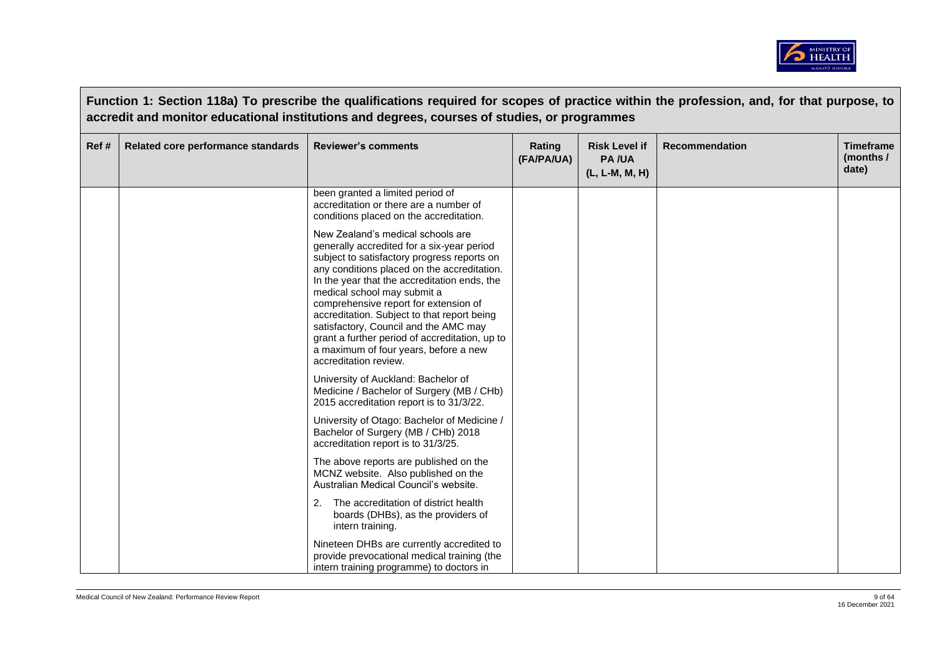

|       |                                    | Function 1: Section 118a) To prescribe the qualifications required for scopes of practice within the profession, and, for that purpose, to<br>accredit and monitor educational institutions and degrees, courses of studies, or programmes                                                                                                                                                                                                                                                                        |                      |                                                          |                       |                                        |
|-------|------------------------------------|-------------------------------------------------------------------------------------------------------------------------------------------------------------------------------------------------------------------------------------------------------------------------------------------------------------------------------------------------------------------------------------------------------------------------------------------------------------------------------------------------------------------|----------------------|----------------------------------------------------------|-----------------------|----------------------------------------|
| Ref # | Related core performance standards | <b>Reviewer's comments</b>                                                                                                                                                                                                                                                                                                                                                                                                                                                                                        | Rating<br>(FA/PA/UA) | <b>Risk Level if</b><br><b>PA/UA</b><br>$(L, L-M, M, H)$ | <b>Recommendation</b> | <b>Timeframe</b><br>(months /<br>date) |
|       |                                    | been granted a limited period of<br>accreditation or there are a number of<br>conditions placed on the accreditation.                                                                                                                                                                                                                                                                                                                                                                                             |                      |                                                          |                       |                                        |
|       |                                    | New Zealand's medical schools are<br>generally accredited for a six-year period<br>subject to satisfactory progress reports on<br>any conditions placed on the accreditation.<br>In the year that the accreditation ends, the<br>medical school may submit a<br>comprehensive report for extension of<br>accreditation. Subject to that report being<br>satisfactory, Council and the AMC may<br>grant a further period of accreditation, up to<br>a maximum of four years, before a new<br>accreditation review. |                      |                                                          |                       |                                        |
|       |                                    | University of Auckland: Bachelor of<br>Medicine / Bachelor of Surgery (MB / CHb)<br>2015 accreditation report is to 31/3/22.                                                                                                                                                                                                                                                                                                                                                                                      |                      |                                                          |                       |                                        |
|       |                                    | University of Otago: Bachelor of Medicine /<br>Bachelor of Surgery (MB / CHb) 2018<br>accreditation report is to 31/3/25.                                                                                                                                                                                                                                                                                                                                                                                         |                      |                                                          |                       |                                        |
|       |                                    | The above reports are published on the<br>MCNZ website. Also published on the<br>Australian Medical Council's website.                                                                                                                                                                                                                                                                                                                                                                                            |                      |                                                          |                       |                                        |
|       |                                    | The accreditation of district health<br>2.<br>boards (DHBs), as the providers of<br>intern training.                                                                                                                                                                                                                                                                                                                                                                                                              |                      |                                                          |                       |                                        |
|       |                                    | Nineteen DHBs are currently accredited to<br>provide prevocational medical training (the<br>intern training programme) to doctors in                                                                                                                                                                                                                                                                                                                                                                              |                      |                                                          |                       |                                        |

 $\overline{\phantom{a}}$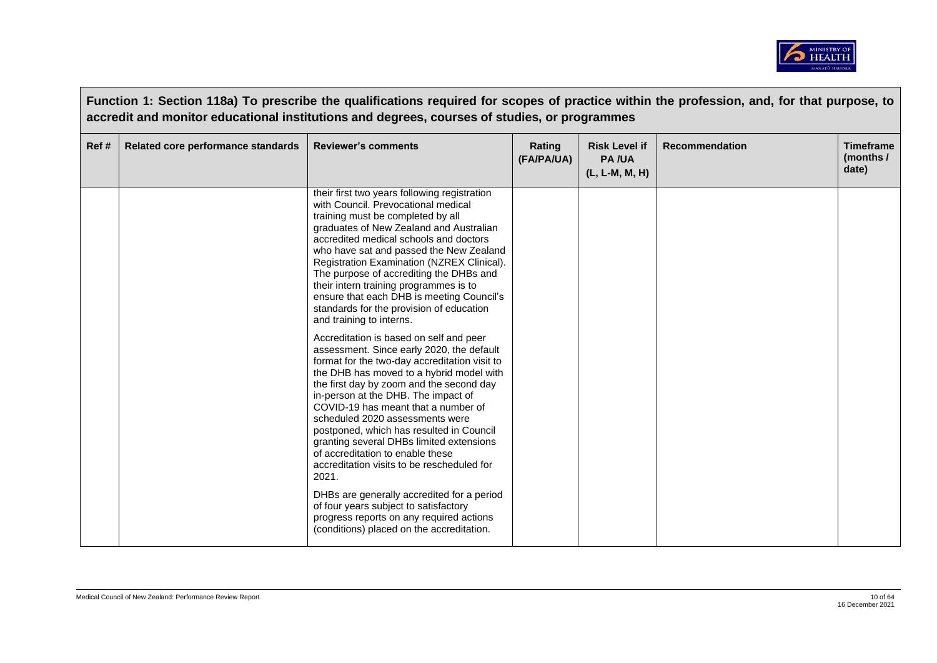

|      | Function 1: Section 118a) To prescribe the qualifications required for scopes of practice within the profession, and, for that purpose, to<br>accredit and monitor educational institutions and degrees, courses of studies, or programmes |                                                                                                                                                                                                                                                                                                                                                                                                                                                                                                                                   |                      |                                                        |                       |                                        |  |  |
|------|--------------------------------------------------------------------------------------------------------------------------------------------------------------------------------------------------------------------------------------------|-----------------------------------------------------------------------------------------------------------------------------------------------------------------------------------------------------------------------------------------------------------------------------------------------------------------------------------------------------------------------------------------------------------------------------------------------------------------------------------------------------------------------------------|----------------------|--------------------------------------------------------|-----------------------|----------------------------------------|--|--|
| Ref# | Related core performance standards                                                                                                                                                                                                         | <b>Reviewer's comments</b>                                                                                                                                                                                                                                                                                                                                                                                                                                                                                                        | Rating<br>(FA/PA/UA) | <b>Risk Level if</b><br><b>PA/UA</b><br>(L, L-M, M, H) | <b>Recommendation</b> | <b>Timeframe</b><br>(months /<br>date) |  |  |
|      |                                                                                                                                                                                                                                            | their first two years following registration<br>with Council. Prevocational medical<br>training must be completed by all<br>graduates of New Zealand and Australian<br>accredited medical schools and doctors<br>who have sat and passed the New Zealand<br>Registration Examination (NZREX Clinical).<br>The purpose of accrediting the DHBs and<br>their intern training programmes is to<br>ensure that each DHB is meeting Council's<br>standards for the provision of education<br>and training to interns.                  |                      |                                                        |                       |                                        |  |  |
|      |                                                                                                                                                                                                                                            | Accreditation is based on self and peer<br>assessment. Since early 2020, the default<br>format for the two-day accreditation visit to<br>the DHB has moved to a hybrid model with<br>the first day by zoom and the second day<br>in-person at the DHB. The impact of<br>COVID-19 has meant that a number of<br>scheduled 2020 assessments were<br>postponed, which has resulted in Council<br>granting several DHBs limited extensions<br>of accreditation to enable these<br>accreditation visits to be rescheduled for<br>2021. |                      |                                                        |                       |                                        |  |  |
|      |                                                                                                                                                                                                                                            | DHBs are generally accredited for a period<br>of four years subject to satisfactory<br>progress reports on any required actions<br>(conditions) placed on the accreditation.                                                                                                                                                                                                                                                                                                                                                      |                      |                                                        |                       |                                        |  |  |

**The Common**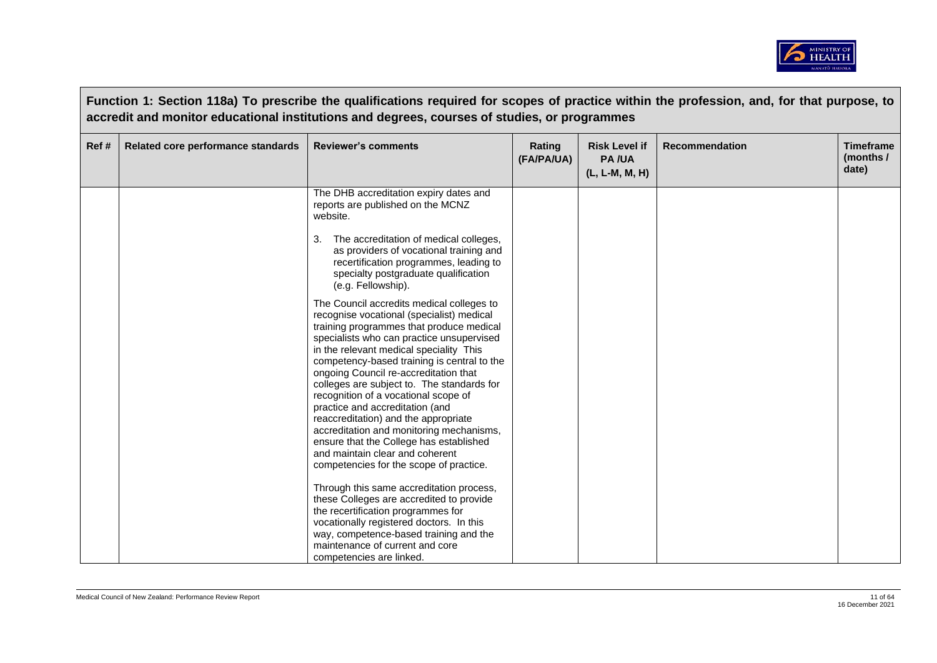

|      | Function 1: Section 118a) To prescribe the qualifications required for scopes of practice within the profession, and, for that purpose, to<br>accredit and monitor educational institutions and degrees, courses of studies, or programmes |                                                                                                                                                                                                                                                                                                                                                                                                                                                                                                                                                                                                                                                          |                      |                                                        |                       |                                        |  |  |
|------|--------------------------------------------------------------------------------------------------------------------------------------------------------------------------------------------------------------------------------------------|----------------------------------------------------------------------------------------------------------------------------------------------------------------------------------------------------------------------------------------------------------------------------------------------------------------------------------------------------------------------------------------------------------------------------------------------------------------------------------------------------------------------------------------------------------------------------------------------------------------------------------------------------------|----------------------|--------------------------------------------------------|-----------------------|----------------------------------------|--|--|
| Ref# | Related core performance standards                                                                                                                                                                                                         | <b>Reviewer's comments</b>                                                                                                                                                                                                                                                                                                                                                                                                                                                                                                                                                                                                                               | Rating<br>(FA/PA/UA) | <b>Risk Level if</b><br><b>PA/UA</b><br>(L, L-M, M, H) | <b>Recommendation</b> | <b>Timeframe</b><br>(months /<br>date) |  |  |
|      |                                                                                                                                                                                                                                            | The DHB accreditation expiry dates and<br>reports are published on the MCNZ<br>website.                                                                                                                                                                                                                                                                                                                                                                                                                                                                                                                                                                  |                      |                                                        |                       |                                        |  |  |
|      |                                                                                                                                                                                                                                            | The accreditation of medical colleges,<br>as providers of vocational training and<br>recertification programmes, leading to<br>specialty postgraduate qualification<br>(e.g. Fellowship).                                                                                                                                                                                                                                                                                                                                                                                                                                                                |                      |                                                        |                       |                                        |  |  |
|      |                                                                                                                                                                                                                                            | The Council accredits medical colleges to<br>recognise vocational (specialist) medical<br>training programmes that produce medical<br>specialists who can practice unsupervised<br>in the relevant medical speciality This<br>competency-based training is central to the<br>ongoing Council re-accreditation that<br>colleges are subject to. The standards for<br>recognition of a vocational scope of<br>practice and accreditation (and<br>reaccreditation) and the appropriate<br>accreditation and monitoring mechanisms,<br>ensure that the College has established<br>and maintain clear and coherent<br>competencies for the scope of practice. |                      |                                                        |                       |                                        |  |  |
|      |                                                                                                                                                                                                                                            | Through this same accreditation process,<br>these Colleges are accredited to provide<br>the recertification programmes for<br>vocationally registered doctors. In this<br>way, competence-based training and the<br>maintenance of current and core<br>competencies are linked.                                                                                                                                                                                                                                                                                                                                                                          |                      |                                                        |                       |                                        |  |  |

- F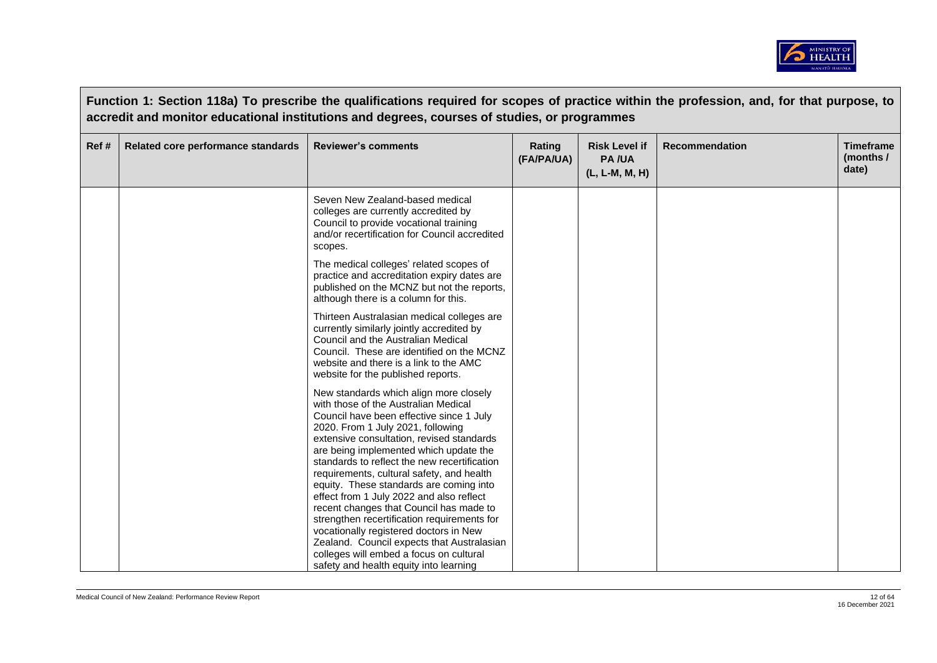

|       |                                    | Function 1: Section 118a) To prescribe the qualifications required for scopes of practice within the profession, and, for that purpose, to<br>accredit and monitor educational institutions and degrees, courses of studies, or programmes                                                                                                                                                                                                                                            |                      |                                                        |                       |                                        |
|-------|------------------------------------|---------------------------------------------------------------------------------------------------------------------------------------------------------------------------------------------------------------------------------------------------------------------------------------------------------------------------------------------------------------------------------------------------------------------------------------------------------------------------------------|----------------------|--------------------------------------------------------|-----------------------|----------------------------------------|
| Ref # | Related core performance standards | <b>Reviewer's comments</b>                                                                                                                                                                                                                                                                                                                                                                                                                                                            | Rating<br>(FA/PA/UA) | <b>Risk Level if</b><br><b>PA/UA</b><br>(L, L-M, M, H) | <b>Recommendation</b> | <b>Timeframe</b><br>(months /<br>date) |
|       |                                    | Seven New Zealand-based medical<br>colleges are currently accredited by<br>Council to provide vocational training<br>and/or recertification for Council accredited<br>scopes.                                                                                                                                                                                                                                                                                                         |                      |                                                        |                       |                                        |
|       |                                    | The medical colleges' related scopes of<br>practice and accreditation expiry dates are<br>published on the MCNZ but not the reports,<br>although there is a column for this.                                                                                                                                                                                                                                                                                                          |                      |                                                        |                       |                                        |
|       |                                    | Thirteen Australasian medical colleges are<br>currently similarly jointly accredited by<br>Council and the Australian Medical<br>Council. These are identified on the MCNZ<br>website and there is a link to the AMC<br>website for the published reports.                                                                                                                                                                                                                            |                      |                                                        |                       |                                        |
|       |                                    | New standards which align more closely<br>with those of the Australian Medical<br>Council have been effective since 1 July<br>2020. From 1 July 2021, following<br>extensive consultation, revised standards<br>are being implemented which update the<br>standards to reflect the new recertification<br>requirements, cultural safety, and health<br>equity. These standards are coming into<br>effect from 1 July 2022 and also reflect<br>recent changes that Council has made to |                      |                                                        |                       |                                        |
|       |                                    | strengthen recertification requirements for<br>vocationally registered doctors in New<br>Zealand. Council expects that Australasian<br>colleges will embed a focus on cultural<br>safety and health equity into learning                                                                                                                                                                                                                                                              |                      |                                                        |                       |                                        |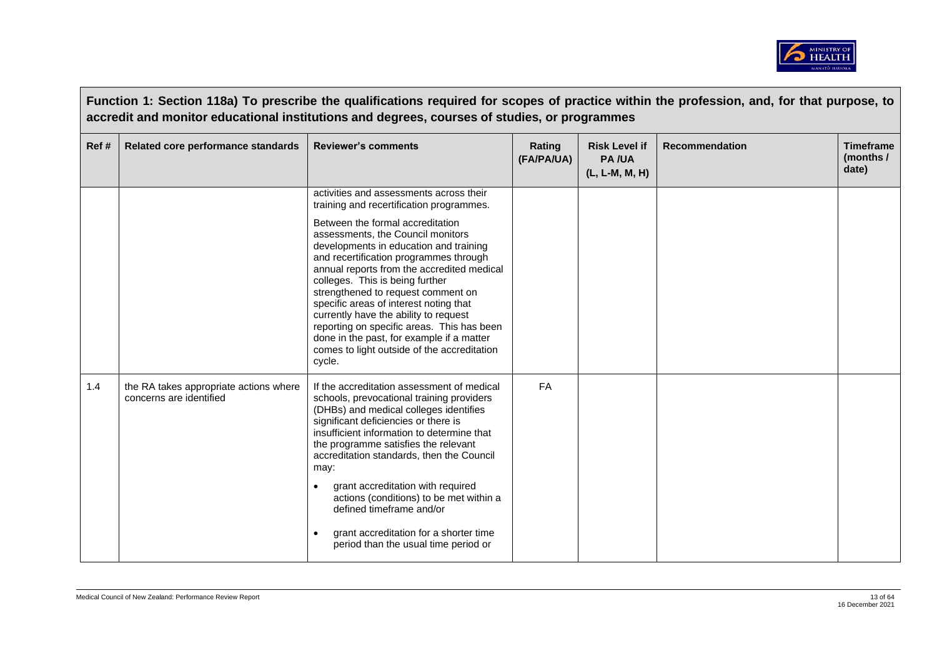

|      | Function 1: Section 118a) To prescribe the qualifications required for scopes of practice within the profession, and, for that purpose, to<br>accredit and monitor educational institutions and degrees, courses of studies, or programmes |                                                                                                                                                                                                                                                                                                                                                                                                                                                                                                                         |                      |                                                        |                       |                                        |  |
|------|--------------------------------------------------------------------------------------------------------------------------------------------------------------------------------------------------------------------------------------------|-------------------------------------------------------------------------------------------------------------------------------------------------------------------------------------------------------------------------------------------------------------------------------------------------------------------------------------------------------------------------------------------------------------------------------------------------------------------------------------------------------------------------|----------------------|--------------------------------------------------------|-----------------------|----------------------------------------|--|
| Ref# | Related core performance standards                                                                                                                                                                                                         | <b>Reviewer's comments</b>                                                                                                                                                                                                                                                                                                                                                                                                                                                                                              | Rating<br>(FA/PA/UA) | <b>Risk Level if</b><br><b>PA/UA</b><br>(L, L-M, M, H) | <b>Recommendation</b> | <b>Timeframe</b><br>(months /<br>date) |  |
|      |                                                                                                                                                                                                                                            | activities and assessments across their<br>training and recertification programmes.                                                                                                                                                                                                                                                                                                                                                                                                                                     |                      |                                                        |                       |                                        |  |
|      |                                                                                                                                                                                                                                            | Between the formal accreditation<br>assessments, the Council monitors<br>developments in education and training<br>and recertification programmes through<br>annual reports from the accredited medical<br>colleges. This is being further<br>strengthened to request comment on<br>specific areas of interest noting that<br>currently have the ability to request<br>reporting on specific areas. This has been<br>done in the past, for example if a matter<br>comes to light outside of the accreditation<br>cycle. |                      |                                                        |                       |                                        |  |
| 1.4  | the RA takes appropriate actions where<br>concerns are identified                                                                                                                                                                          | If the accreditation assessment of medical<br>schools, prevocational training providers<br>(DHBs) and medical colleges identifies<br>significant deficiencies or there is<br>insufficient information to determine that<br>the programme satisfies the relevant<br>accreditation standards, then the Council<br>may:<br>grant accreditation with required<br>actions (conditions) to be met within a<br>defined timeframe and/or<br>grant accreditation for a shorter time<br>period than the usual time period or      | <b>FA</b>            |                                                        |                       |                                        |  |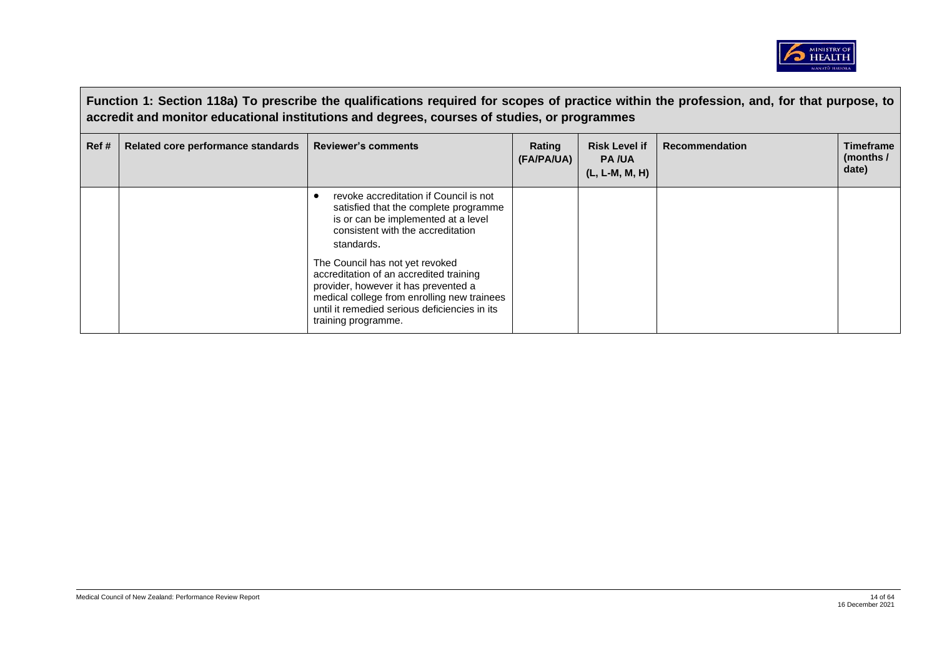

|       | Function 1: Section 118a) To prescribe the qualifications required for scopes of practice within the profession, and, for that purpose, to<br>accredit and monitor educational institutions and degrees, courses of studies, or programmes |                                                                                                                                                                                                                                           |                      |                                                          |                       |                                        |  |
|-------|--------------------------------------------------------------------------------------------------------------------------------------------------------------------------------------------------------------------------------------------|-------------------------------------------------------------------------------------------------------------------------------------------------------------------------------------------------------------------------------------------|----------------------|----------------------------------------------------------|-----------------------|----------------------------------------|--|
| Ref # | Related core performance standards                                                                                                                                                                                                         | <b>Reviewer's comments</b>                                                                                                                                                                                                                | Rating<br>(FA/PA/UA) | <b>Risk Level if</b><br><b>PA/UA</b><br>$(L, L-M, M, H)$ | <b>Recommendation</b> | <b>Timeframe</b><br>(months /<br>date) |  |
|       |                                                                                                                                                                                                                                            | revoke accreditation if Council is not<br>satisfied that the complete programme<br>is or can be implemented at a level<br>consistent with the accreditation<br>standards.                                                                 |                      |                                                          |                       |                                        |  |
|       |                                                                                                                                                                                                                                            | The Council has not yet revoked<br>accreditation of an accredited training<br>provider, however it has prevented a<br>medical college from enrolling new trainees<br>until it remedied serious deficiencies in its<br>training programme. |                      |                                                          |                       |                                        |  |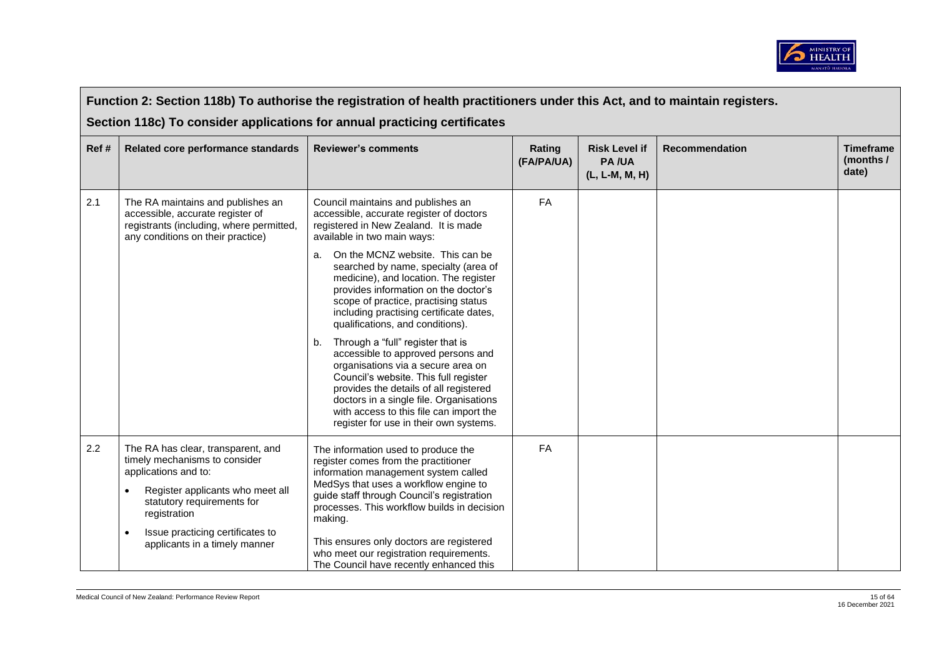

|      | Function 2: Section 118b) To authorise the registration of health practitioners under this Act, and to maintain registers.                                                                                                                                                   |                                                                                                                                                                                                                                                                                                                                                                                                                                                                                                                                                                                                                                                                                                                                                                                            |                      |                                                        |                       |                                        |  |  |
|------|------------------------------------------------------------------------------------------------------------------------------------------------------------------------------------------------------------------------------------------------------------------------------|--------------------------------------------------------------------------------------------------------------------------------------------------------------------------------------------------------------------------------------------------------------------------------------------------------------------------------------------------------------------------------------------------------------------------------------------------------------------------------------------------------------------------------------------------------------------------------------------------------------------------------------------------------------------------------------------------------------------------------------------------------------------------------------------|----------------------|--------------------------------------------------------|-----------------------|----------------------------------------|--|--|
|      | Section 118c) To consider applications for annual practicing certificates                                                                                                                                                                                                    |                                                                                                                                                                                                                                                                                                                                                                                                                                                                                                                                                                                                                                                                                                                                                                                            |                      |                                                        |                       |                                        |  |  |
| Ref# | Related core performance standards                                                                                                                                                                                                                                           | <b>Reviewer's comments</b>                                                                                                                                                                                                                                                                                                                                                                                                                                                                                                                                                                                                                                                                                                                                                                 | Rating<br>(FA/PA/UA) | <b>Risk Level if</b><br><b>PA/UA</b><br>(L, L-M, M, H) | <b>Recommendation</b> | <b>Timeframe</b><br>(months /<br>date) |  |  |
| 2.1  | The RA maintains and publishes an<br>accessible, accurate register of<br>registrants (including, where permitted,<br>any conditions on their practice)                                                                                                                       | Council maintains and publishes an<br>accessible, accurate register of doctors<br>registered in New Zealand. It is made<br>available in two main ways:<br>On the MCNZ website. This can be<br>a.<br>searched by name, specialty (area of<br>medicine), and location. The register<br>provides information on the doctor's<br>scope of practice, practising status<br>including practising certificate dates,<br>qualifications, and conditions).<br>Through a "full" register that is<br>b.<br>accessible to approved persons and<br>organisations via a secure area on<br>Council's website. This full register<br>provides the details of all registered<br>doctors in a single file. Organisations<br>with access to this file can import the<br>register for use in their own systems. | FA                   |                                                        |                       |                                        |  |  |
| 2.2  | The RA has clear, transparent, and<br>timely mechanisms to consider<br>applications and to:<br>Register applicants who meet all<br>$\bullet$<br>statutory requirements for<br>registration<br>Issue practicing certificates to<br>$\bullet$<br>applicants in a timely manner | The information used to produce the<br>register comes from the practitioner<br>information management system called<br>MedSys that uses a workflow engine to<br>guide staff through Council's registration<br>processes. This workflow builds in decision<br>making.<br>This ensures only doctors are registered<br>who meet our registration requirements.<br>The Council have recently enhanced this                                                                                                                                                                                                                                                                                                                                                                                     | FA                   |                                                        |                       |                                        |  |  |

 $\overline{\phantom{a}}$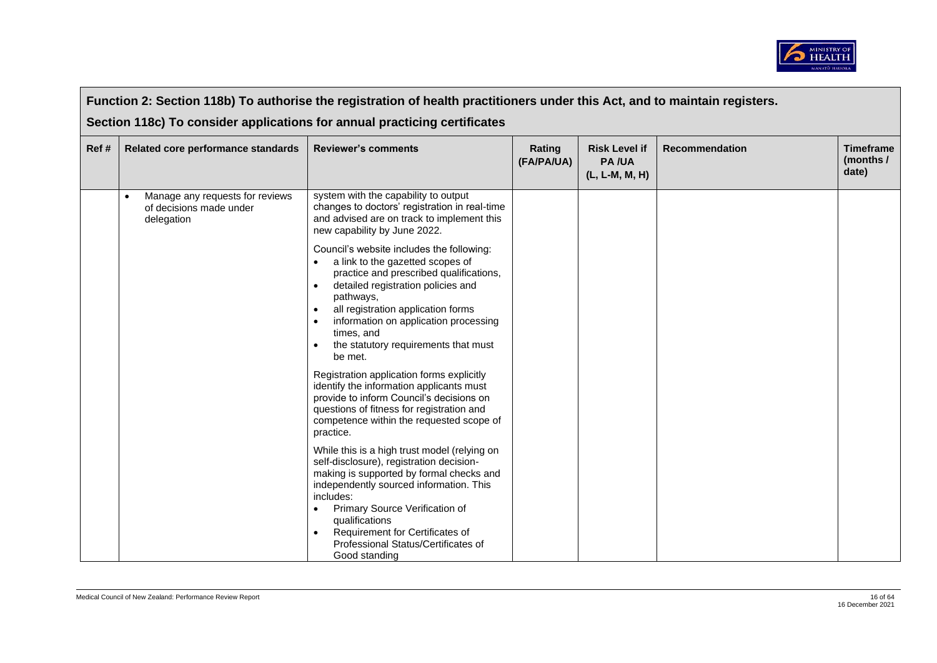

|      | Function 2: Section 118b) To authorise the registration of health practitioners under this Act, and to maintain registers.<br>Section 118c) To consider applications for annual practicing certificates |                                                                                                                                                                                                                                                                                                                                                                                                                                                                                                                                                                                                                                                                                                                                                                                                                                                                                                                                                                                                                                                                                                                        |                      |                                                        |                       |                                        |  |  |  |
|------|---------------------------------------------------------------------------------------------------------------------------------------------------------------------------------------------------------|------------------------------------------------------------------------------------------------------------------------------------------------------------------------------------------------------------------------------------------------------------------------------------------------------------------------------------------------------------------------------------------------------------------------------------------------------------------------------------------------------------------------------------------------------------------------------------------------------------------------------------------------------------------------------------------------------------------------------------------------------------------------------------------------------------------------------------------------------------------------------------------------------------------------------------------------------------------------------------------------------------------------------------------------------------------------------------------------------------------------|----------------------|--------------------------------------------------------|-----------------------|----------------------------------------|--|--|--|
| Ref# | Related core performance standards                                                                                                                                                                      | <b>Reviewer's comments</b>                                                                                                                                                                                                                                                                                                                                                                                                                                                                                                                                                                                                                                                                                                                                                                                                                                                                                                                                                                                                                                                                                             | Rating<br>(FA/PA/UA) | <b>Risk Level if</b><br><b>PA/UA</b><br>(L, L-M, M, H) | <b>Recommendation</b> | <b>Timeframe</b><br>(months /<br>date) |  |  |  |
|      | Manage any requests for reviews<br>of decisions made under<br>delegation                                                                                                                                | system with the capability to output<br>changes to doctors' registration in real-time<br>and advised are on track to implement this<br>new capability by June 2022.<br>Council's website includes the following:<br>a link to the gazetted scopes of<br>practice and prescribed qualifications,<br>detailed registration policies and<br>pathways,<br>all registration application forms<br>information on application processing<br>$\bullet$<br>times, and<br>the statutory requirements that must<br>be met.<br>Registration application forms explicitly<br>identify the information applicants must<br>provide to inform Council's decisions on<br>questions of fitness for registration and<br>competence within the requested scope of<br>practice.<br>While this is a high trust model (relying on<br>self-disclosure), registration decision-<br>making is supported by formal checks and<br>independently sourced information. This<br>includes:<br>Primary Source Verification of<br>$\bullet$<br>qualifications<br>Requirement for Certificates of<br>Professional Status/Certificates of<br>Good standing |                      |                                                        |                       |                                        |  |  |  |

 $\blacksquare$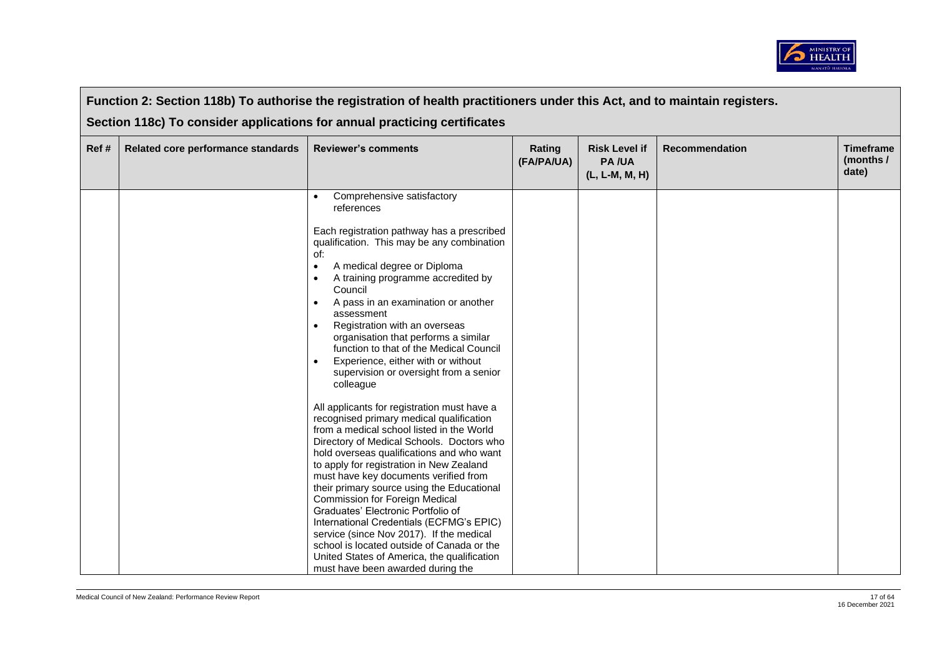

|       | Function 2: Section 118b) To authorise the registration of health practitioners under this Act, and to maintain registers. |                                                                                                                                                                                                                                                                                                                                                                                                                                                                                                                                                                                                                                                                                                                                                                                                                                                                                                                                                                                                                                                                                                                                                               |                      |                                                        |                       |                                        |  |  |
|-------|----------------------------------------------------------------------------------------------------------------------------|---------------------------------------------------------------------------------------------------------------------------------------------------------------------------------------------------------------------------------------------------------------------------------------------------------------------------------------------------------------------------------------------------------------------------------------------------------------------------------------------------------------------------------------------------------------------------------------------------------------------------------------------------------------------------------------------------------------------------------------------------------------------------------------------------------------------------------------------------------------------------------------------------------------------------------------------------------------------------------------------------------------------------------------------------------------------------------------------------------------------------------------------------------------|----------------------|--------------------------------------------------------|-----------------------|----------------------------------------|--|--|
|       | Section 118c) To consider applications for annual practicing certificates                                                  |                                                                                                                                                                                                                                                                                                                                                                                                                                                                                                                                                                                                                                                                                                                                                                                                                                                                                                                                                                                                                                                                                                                                                               |                      |                                                        |                       |                                        |  |  |
| Ref # | Related core performance standards                                                                                         | <b>Reviewer's comments</b>                                                                                                                                                                                                                                                                                                                                                                                                                                                                                                                                                                                                                                                                                                                                                                                                                                                                                                                                                                                                                                                                                                                                    | Rating<br>(FA/PA/UA) | <b>Risk Level if</b><br><b>PA/UA</b><br>(L, L-M, M, H) | <b>Recommendation</b> | <b>Timeframe</b><br>(months /<br>date) |  |  |
|       |                                                                                                                            | Comprehensive satisfactory<br>references<br>Each registration pathway has a prescribed<br>qualification. This may be any combination<br>of:<br>A medical degree or Diploma<br>$\bullet$<br>A training programme accredited by<br>Council<br>A pass in an examination or another<br>assessment<br>Registration with an overseas<br>$\bullet$<br>organisation that performs a similar<br>function to that of the Medical Council<br>Experience, either with or without<br>supervision or oversight from a senior<br>colleague<br>All applicants for registration must have a<br>recognised primary medical qualification<br>from a medical school listed in the World<br>Directory of Medical Schools. Doctors who<br>hold overseas qualifications and who want<br>to apply for registration in New Zealand<br>must have key documents verified from<br>their primary source using the Educational<br>Commission for Foreign Medical<br>Graduates' Electronic Portfolio of<br>International Credentials (ECFMG's EPIC)<br>service (since Nov 2017). If the medical<br>school is located outside of Canada or the<br>United States of America, the qualification |                      |                                                        |                       |                                        |  |  |
|       |                                                                                                                            | must have been awarded during the                                                                                                                                                                                                                                                                                                                                                                                                                                                                                                                                                                                                                                                                                                                                                                                                                                                                                                                                                                                                                                                                                                                             |                      |                                                        |                       |                                        |  |  |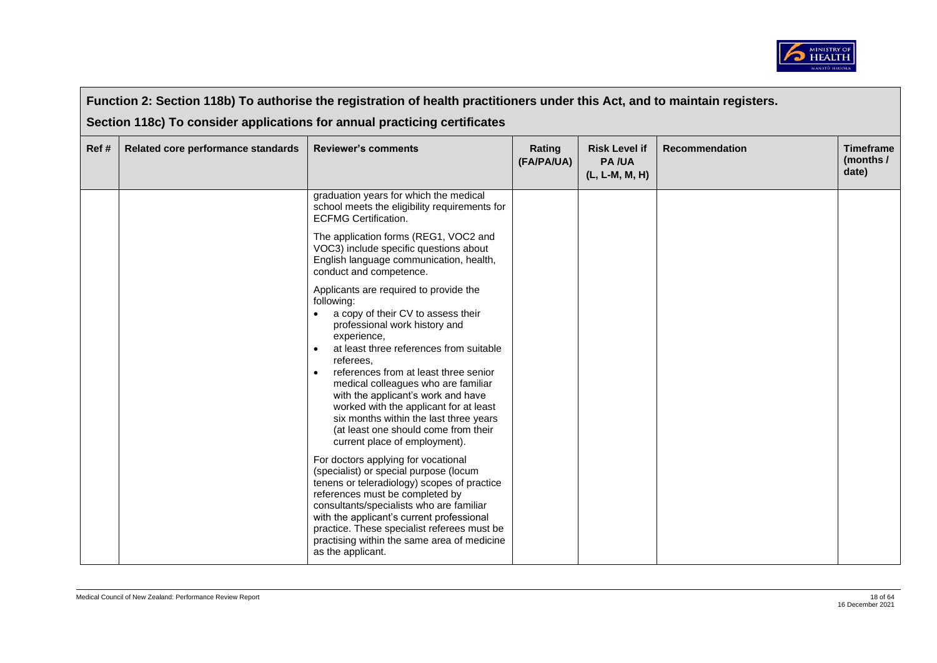

|      | Function 2: Section 118b) To authorise the registration of health practitioners under this Act, and to maintain registers. |                                                                                                                                                                                                                                                                                                                                                                                                                                                                                                                                                                                                                                                                                                                                                                                                                                                                                                                                                                                                                                                                                                                                                                      |                      |                                                        |                       |                                        |  |  |
|------|----------------------------------------------------------------------------------------------------------------------------|----------------------------------------------------------------------------------------------------------------------------------------------------------------------------------------------------------------------------------------------------------------------------------------------------------------------------------------------------------------------------------------------------------------------------------------------------------------------------------------------------------------------------------------------------------------------------------------------------------------------------------------------------------------------------------------------------------------------------------------------------------------------------------------------------------------------------------------------------------------------------------------------------------------------------------------------------------------------------------------------------------------------------------------------------------------------------------------------------------------------------------------------------------------------|----------------------|--------------------------------------------------------|-----------------------|----------------------------------------|--|--|
| Ref# | Related core performance standards                                                                                         | Section 118c) To consider applications for annual practicing certificates<br><b>Reviewer's comments</b>                                                                                                                                                                                                                                                                                                                                                                                                                                                                                                                                                                                                                                                                                                                                                                                                                                                                                                                                                                                                                                                              | Rating<br>(FA/PA/UA) | <b>Risk Level if</b><br><b>PA/UA</b><br>(L, L-M, M, H) | <b>Recommendation</b> | <b>Timeframe</b><br>(months /<br>date) |  |  |
|      |                                                                                                                            | graduation years for which the medical<br>school meets the eligibility requirements for<br><b>ECFMG Certification.</b><br>The application forms (REG1, VOC2 and<br>VOC3) include specific questions about<br>English language communication, health,<br>conduct and competence.<br>Applicants are required to provide the<br>following:<br>a copy of their CV to assess their<br>professional work history and<br>experience,<br>at least three references from suitable<br>referees,<br>references from at least three senior<br>$\bullet$<br>medical colleagues who are familiar<br>with the applicant's work and have<br>worked with the applicant for at least<br>six months within the last three years<br>(at least one should come from their<br>current place of employment).<br>For doctors applying for vocational<br>(specialist) or special purpose (locum<br>tenens or teleradiology) scopes of practice<br>references must be completed by<br>consultants/specialists who are familiar<br>with the applicant's current professional<br>practice. These specialist referees must be<br>practising within the same area of medicine<br>as the applicant. |                      |                                                        |                       |                                        |  |  |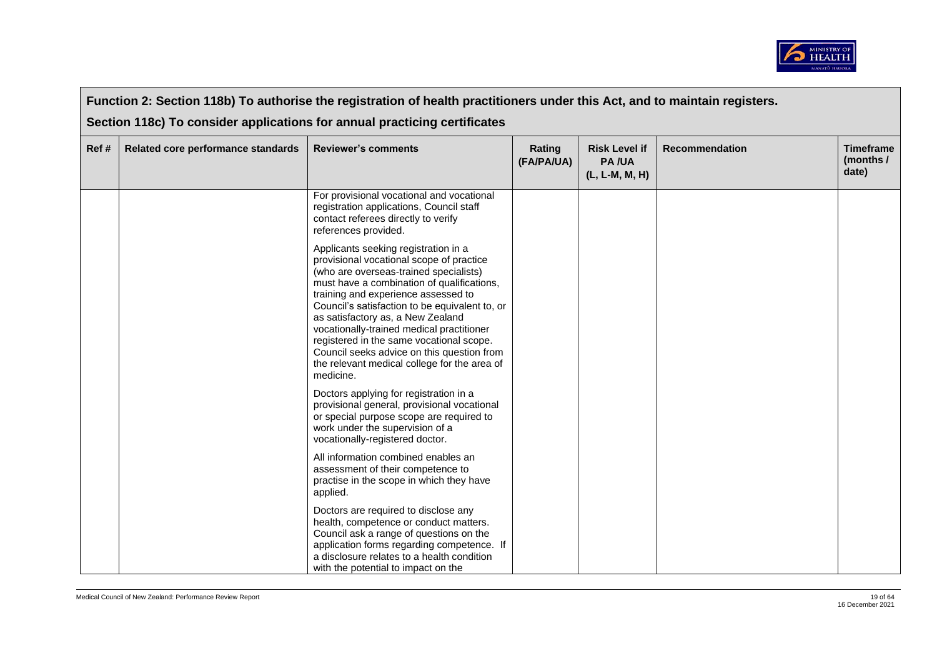

|       | Function 2: Section 118b) To authorise the registration of health practitioners under this Act, and to maintain registers. |                                                                                                                                                                                                                                                                                                                                                                                                                                                                                                            |                      |                                                        |                       |                                        |  |  |
|-------|----------------------------------------------------------------------------------------------------------------------------|------------------------------------------------------------------------------------------------------------------------------------------------------------------------------------------------------------------------------------------------------------------------------------------------------------------------------------------------------------------------------------------------------------------------------------------------------------------------------------------------------------|----------------------|--------------------------------------------------------|-----------------------|----------------------------------------|--|--|
|       | Section 118c) To consider applications for annual practicing certificates                                                  |                                                                                                                                                                                                                                                                                                                                                                                                                                                                                                            |                      |                                                        |                       |                                        |  |  |
| Ref # | Related core performance standards                                                                                         | <b>Reviewer's comments</b>                                                                                                                                                                                                                                                                                                                                                                                                                                                                                 | Rating<br>(FA/PA/UA) | <b>Risk Level if</b><br><b>PA/UA</b><br>(L, L-M, M, H) | <b>Recommendation</b> | <b>Timeframe</b><br>(months /<br>date) |  |  |
|       |                                                                                                                            | For provisional vocational and vocational<br>registration applications, Council staff<br>contact referees directly to verify<br>references provided.                                                                                                                                                                                                                                                                                                                                                       |                      |                                                        |                       |                                        |  |  |
|       |                                                                                                                            | Applicants seeking registration in a<br>provisional vocational scope of practice<br>(who are overseas-trained specialists)<br>must have a combination of qualifications,<br>training and experience assessed to<br>Council's satisfaction to be equivalent to, or<br>as satisfactory as, a New Zealand<br>vocationally-trained medical practitioner<br>registered in the same vocational scope.<br>Council seeks advice on this question from<br>the relevant medical college for the area of<br>medicine. |                      |                                                        |                       |                                        |  |  |
|       |                                                                                                                            | Doctors applying for registration in a<br>provisional general, provisional vocational<br>or special purpose scope are required to<br>work under the supervision of a<br>vocationally-registered doctor.                                                                                                                                                                                                                                                                                                    |                      |                                                        |                       |                                        |  |  |
|       |                                                                                                                            | All information combined enables an<br>assessment of their competence to<br>practise in the scope in which they have<br>applied.                                                                                                                                                                                                                                                                                                                                                                           |                      |                                                        |                       |                                        |  |  |
|       |                                                                                                                            | Doctors are required to disclose any<br>health, competence or conduct matters.<br>Council ask a range of questions on the<br>application forms regarding competence. If<br>a disclosure relates to a health condition<br>with the potential to impact on the                                                                                                                                                                                                                                               |                      |                                                        |                       |                                        |  |  |

 $\blacksquare$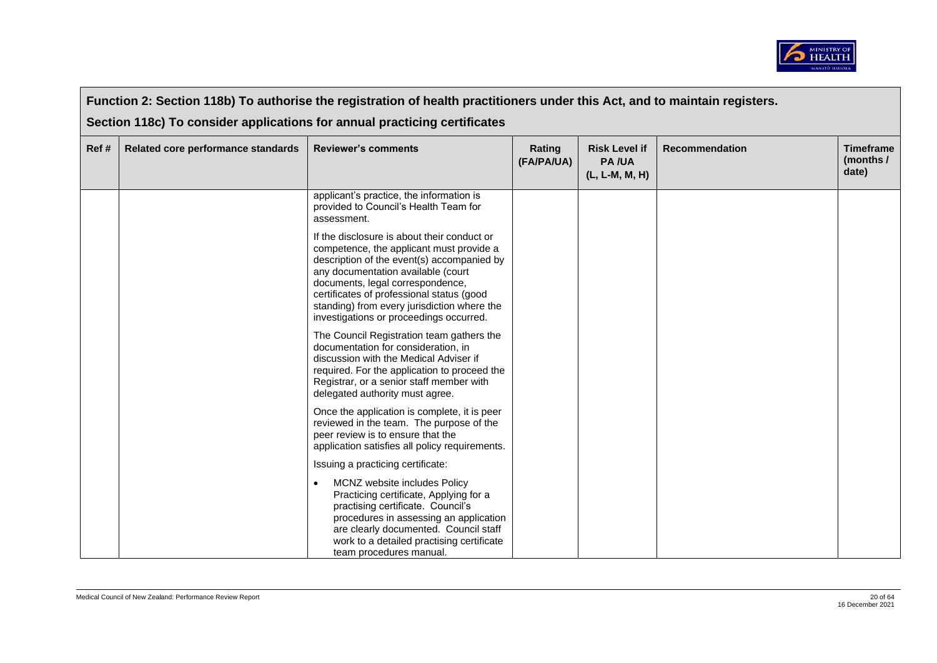

|      | Function 2: Section 118b) To authorise the registration of health practitioners under this Act, and to maintain registers. |                                                                                                                                                                                                                                                                                                                                                        |                      |                                                        |                       |                                        |  |  |
|------|----------------------------------------------------------------------------------------------------------------------------|--------------------------------------------------------------------------------------------------------------------------------------------------------------------------------------------------------------------------------------------------------------------------------------------------------------------------------------------------------|----------------------|--------------------------------------------------------|-----------------------|----------------------------------------|--|--|
|      | Section 118c) To consider applications for annual practicing certificates                                                  |                                                                                                                                                                                                                                                                                                                                                        |                      |                                                        |                       |                                        |  |  |
| Ref# | Related core performance standards                                                                                         | <b>Reviewer's comments</b>                                                                                                                                                                                                                                                                                                                             | Rating<br>(FA/PA/UA) | <b>Risk Level if</b><br><b>PA/UA</b><br>(L, L-M, M, H) | <b>Recommendation</b> | <b>Timeframe</b><br>(months /<br>date) |  |  |
|      |                                                                                                                            | applicant's practice, the information is<br>provided to Council's Health Team for<br>assessment.                                                                                                                                                                                                                                                       |                      |                                                        |                       |                                        |  |  |
|      |                                                                                                                            | If the disclosure is about their conduct or<br>competence, the applicant must provide a<br>description of the event(s) accompanied by<br>any documentation available (court<br>documents, legal correspondence,<br>certificates of professional status (good<br>standing) from every jurisdiction where the<br>investigations or proceedings occurred. |                      |                                                        |                       |                                        |  |  |
|      |                                                                                                                            | The Council Registration team gathers the<br>documentation for consideration, in<br>discussion with the Medical Adviser if<br>required. For the application to proceed the<br>Registrar, or a senior staff member with<br>delegated authority must agree.                                                                                              |                      |                                                        |                       |                                        |  |  |
|      |                                                                                                                            | Once the application is complete, it is peer<br>reviewed in the team. The purpose of the<br>peer review is to ensure that the<br>application satisfies all policy requirements.                                                                                                                                                                        |                      |                                                        |                       |                                        |  |  |
|      |                                                                                                                            | Issuing a practicing certificate:                                                                                                                                                                                                                                                                                                                      |                      |                                                        |                       |                                        |  |  |
|      |                                                                                                                            | MCNZ website includes Policy<br>Practicing certificate, Applying for a<br>practising certificate. Council's<br>procedures in assessing an application<br>are clearly documented. Council staff<br>work to a detailed practising certificate<br>team procedures manual.                                                                                 |                      |                                                        |                       |                                        |  |  |

 $\overline{\phantom{a}}$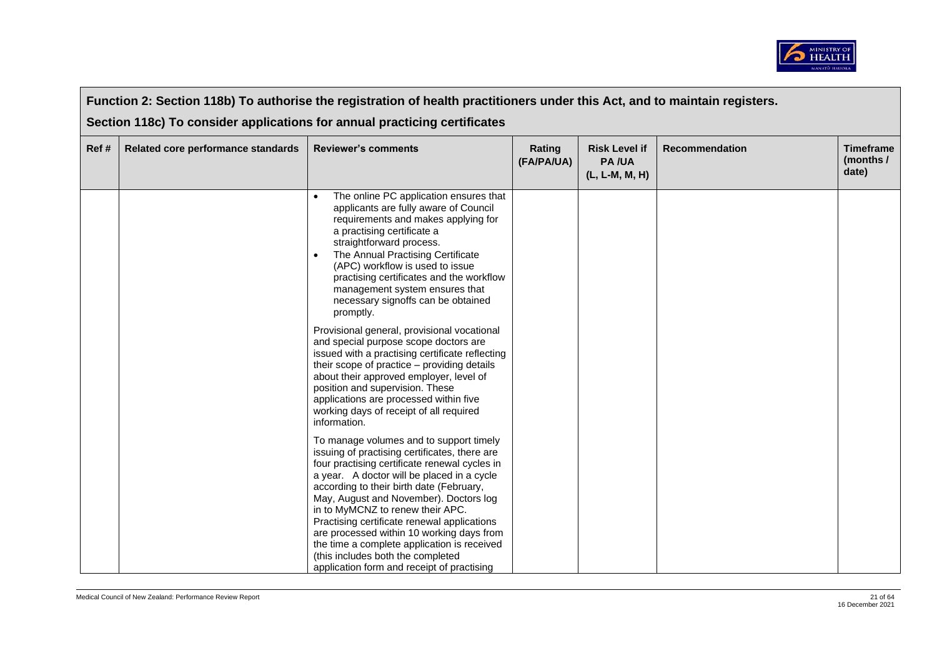

|      | Function 2: Section 118b) To authorise the registration of health practitioners under this Act, and to maintain registers. |                                                                                                                                                                                                                                                                                                                                                                                                                                                                                                                                                 |                      |                                                        |                       |                                        |  |  |
|------|----------------------------------------------------------------------------------------------------------------------------|-------------------------------------------------------------------------------------------------------------------------------------------------------------------------------------------------------------------------------------------------------------------------------------------------------------------------------------------------------------------------------------------------------------------------------------------------------------------------------------------------------------------------------------------------|----------------------|--------------------------------------------------------|-----------------------|----------------------------------------|--|--|
|      | Section 118c) To consider applications for annual practicing certificates                                                  |                                                                                                                                                                                                                                                                                                                                                                                                                                                                                                                                                 |                      |                                                        |                       |                                        |  |  |
| Ref# | Related core performance standards                                                                                         | <b>Reviewer's comments</b>                                                                                                                                                                                                                                                                                                                                                                                                                                                                                                                      | Rating<br>(FA/PA/UA) | <b>Risk Level if</b><br><b>PA/UA</b><br>(L, L-M, M, H) | <b>Recommendation</b> | <b>Timeframe</b><br>(months /<br>date) |  |  |
|      |                                                                                                                            | The online PC application ensures that<br>applicants are fully aware of Council<br>requirements and makes applying for<br>a practising certificate a<br>straightforward process.<br>The Annual Practising Certificate<br>(APC) workflow is used to issue<br>practising certificates and the workflow<br>management system ensures that<br>necessary signoffs can be obtained<br>promptly.                                                                                                                                                       |                      |                                                        |                       |                                        |  |  |
|      |                                                                                                                            | Provisional general, provisional vocational<br>and special purpose scope doctors are<br>issued with a practising certificate reflecting<br>their scope of practice – providing details<br>about their approved employer, level of<br>position and supervision. These<br>applications are processed within five<br>working days of receipt of all required<br>information.                                                                                                                                                                       |                      |                                                        |                       |                                        |  |  |
|      |                                                                                                                            | To manage volumes and to support timely<br>issuing of practising certificates, there are<br>four practising certificate renewal cycles in<br>a year. A doctor will be placed in a cycle<br>according to their birth date (February,<br>May, August and November). Doctors log<br>in to MyMCNZ to renew their APC.<br>Practising certificate renewal applications<br>are processed within 10 working days from<br>the time a complete application is received<br>(this includes both the completed<br>application form and receipt of practising |                      |                                                        |                       |                                        |  |  |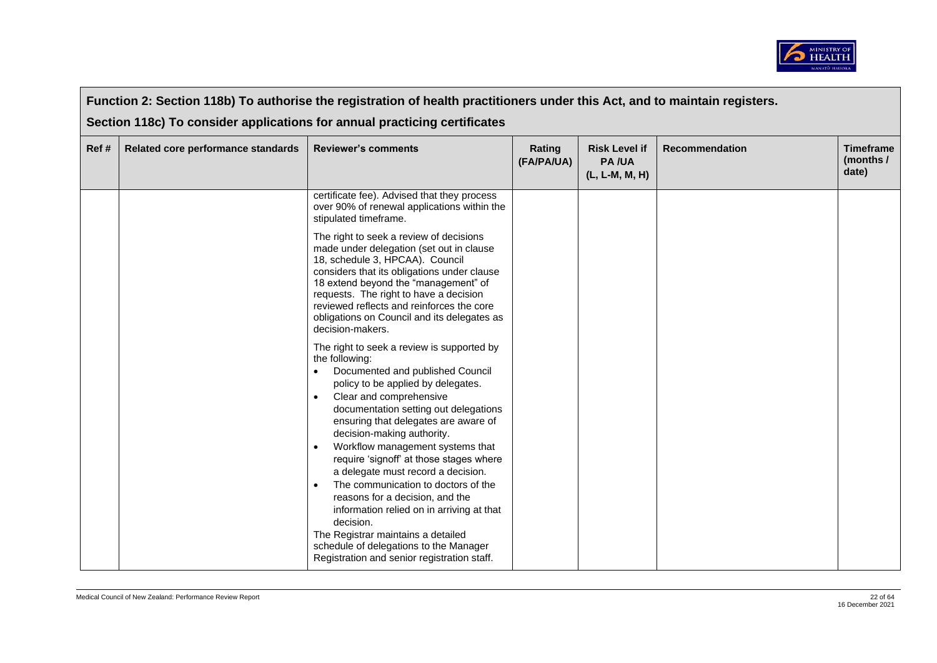

| Function 2: Section 118b) To authorise the registration of health practitioners under this Act, and to maintain registers. |                                                                           |                                                                                                                                                                                                                                                                                                                                                                                                                                                                                                                                                                                                                                                                                                                                                                                                                                                                                                                                                                                                             |                      |                                                        |                       |                                        |  |  |
|----------------------------------------------------------------------------------------------------------------------------|---------------------------------------------------------------------------|-------------------------------------------------------------------------------------------------------------------------------------------------------------------------------------------------------------------------------------------------------------------------------------------------------------------------------------------------------------------------------------------------------------------------------------------------------------------------------------------------------------------------------------------------------------------------------------------------------------------------------------------------------------------------------------------------------------------------------------------------------------------------------------------------------------------------------------------------------------------------------------------------------------------------------------------------------------------------------------------------------------|----------------------|--------------------------------------------------------|-----------------------|----------------------------------------|--|--|
|                                                                                                                            | Section 118c) To consider applications for annual practicing certificates |                                                                                                                                                                                                                                                                                                                                                                                                                                                                                                                                                                                                                                                                                                                                                                                                                                                                                                                                                                                                             |                      |                                                        |                       |                                        |  |  |
| Ref#                                                                                                                       | Related core performance standards                                        | <b>Reviewer's comments</b>                                                                                                                                                                                                                                                                                                                                                                                                                                                                                                                                                                                                                                                                                                                                                                                                                                                                                                                                                                                  | Rating<br>(FA/PA/UA) | <b>Risk Level if</b><br><b>PA/UA</b><br>(L, L-M, M, H) | <b>Recommendation</b> | <b>Timeframe</b><br>(months /<br>date) |  |  |
|                                                                                                                            |                                                                           | certificate fee). Advised that they process<br>over 90% of renewal applications within the<br>stipulated timeframe.<br>The right to seek a review of decisions<br>made under delegation (set out in clause<br>18, schedule 3, HPCAA). Council<br>considers that its obligations under clause<br>18 extend beyond the "management" of<br>requests. The right to have a decision<br>reviewed reflects and reinforces the core<br>obligations on Council and its delegates as<br>decision-makers.<br>The right to seek a review is supported by<br>the following:<br>Documented and published Council<br>$\bullet$<br>policy to be applied by delegates.<br>Clear and comprehensive<br>$\bullet$<br>documentation setting out delegations<br>ensuring that delegates are aware of<br>decision-making authority.<br>Workflow management systems that<br>require 'signoff' at those stages where<br>a delegate must record a decision.<br>The communication to doctors of the<br>reasons for a decision, and the |                      |                                                        |                       |                                        |  |  |
|                                                                                                                            |                                                                           | information relied on in arriving at that<br>decision.<br>The Registrar maintains a detailed<br>schedule of delegations to the Manager<br>Registration and senior registration staff.                                                                                                                                                                                                                                                                                                                                                                                                                                                                                                                                                                                                                                                                                                                                                                                                                       |                      |                                                        |                       |                                        |  |  |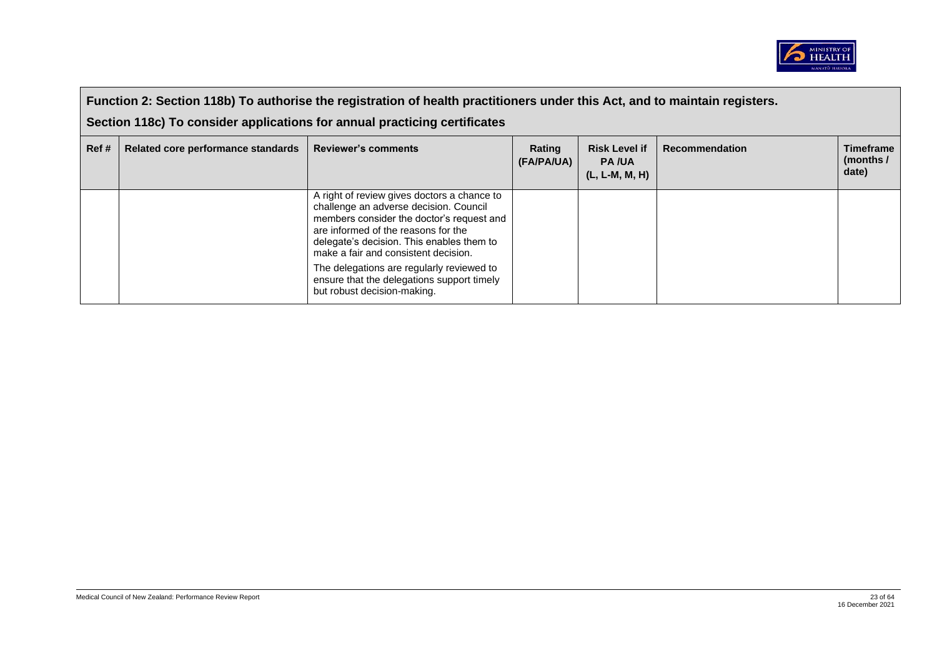

|       | Function 2: Section 118b) To authorise the registration of health practitioners under this Act, and to maintain registers.<br>Section 118c) To consider applications for annual practicing certificates |                                                                                                                                                                                                                                                                                                                                                                                          |                      |                                                          |                       |                                        |  |  |
|-------|---------------------------------------------------------------------------------------------------------------------------------------------------------------------------------------------------------|------------------------------------------------------------------------------------------------------------------------------------------------------------------------------------------------------------------------------------------------------------------------------------------------------------------------------------------------------------------------------------------|----------------------|----------------------------------------------------------|-----------------------|----------------------------------------|--|--|
|       |                                                                                                                                                                                                         |                                                                                                                                                                                                                                                                                                                                                                                          |                      |                                                          |                       |                                        |  |  |
| Ref # | Related core performance standards                                                                                                                                                                      | <b>Reviewer's comments</b>                                                                                                                                                                                                                                                                                                                                                               | Rating<br>(FA/PA/UA) | <b>Risk Level if</b><br><b>PA/UA</b><br>$(L, L-M, M, H)$ | <b>Recommendation</b> | <b>Timeframe</b><br>(months /<br>date) |  |  |
|       |                                                                                                                                                                                                         | A right of review gives doctors a chance to<br>challenge an adverse decision. Council<br>members consider the doctor's request and<br>are informed of the reasons for the<br>delegate's decision. This enables them to<br>make a fair and consistent decision.<br>The delegations are regularly reviewed to<br>ensure that the delegations support timely<br>but robust decision-making. |                      |                                                          |                       |                                        |  |  |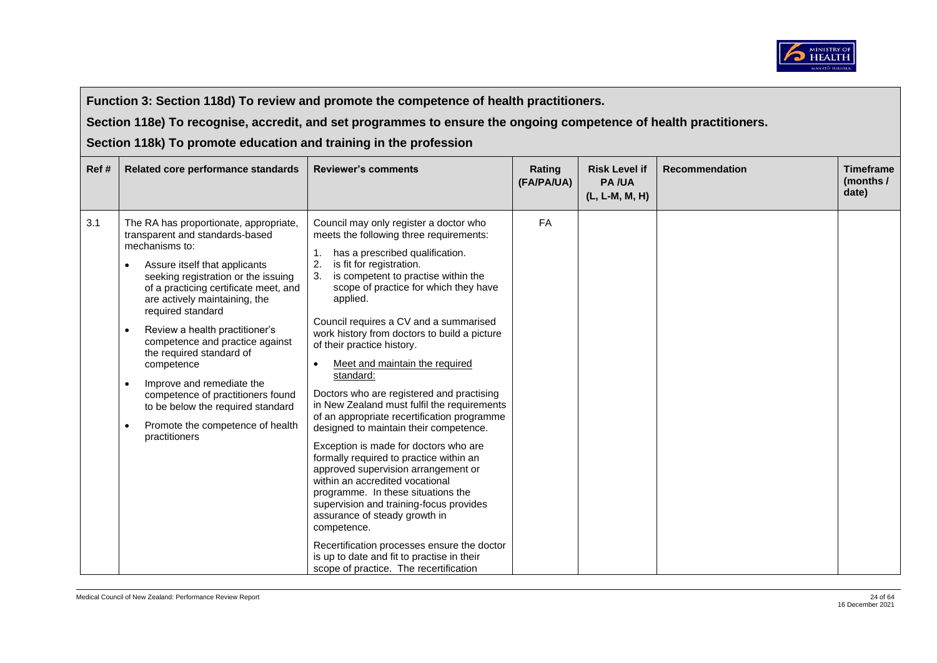

**Section 118e) To recognise, accredit, and set programmes to ensure the ongoing competence of health practitioners.** 

| Ref # | Related core performance standards                                                                                                                                                                                                                                                                                                                                                                                                                                                                                                                                                                | <b>Reviewer's comments</b>                                                                                                                                                                                                                                                                                                                                                                                                                                                                                                                                                                                                                                                                                                                                                                                                                                                                                                                                                                                                                     | Rating<br>(FA/PA/UA) | <b>Risk Level if</b><br><b>PA/UA</b><br>(L, L-M, M, H) | <b>Recommendation</b> | <b>Timeframe</b><br>(months /<br>date) |
|-------|---------------------------------------------------------------------------------------------------------------------------------------------------------------------------------------------------------------------------------------------------------------------------------------------------------------------------------------------------------------------------------------------------------------------------------------------------------------------------------------------------------------------------------------------------------------------------------------------------|------------------------------------------------------------------------------------------------------------------------------------------------------------------------------------------------------------------------------------------------------------------------------------------------------------------------------------------------------------------------------------------------------------------------------------------------------------------------------------------------------------------------------------------------------------------------------------------------------------------------------------------------------------------------------------------------------------------------------------------------------------------------------------------------------------------------------------------------------------------------------------------------------------------------------------------------------------------------------------------------------------------------------------------------|----------------------|--------------------------------------------------------|-----------------------|----------------------------------------|
| 3.1   | The RA has proportionate, appropriate,<br>transparent and standards-based<br>mechanisms to:<br>Assure itself that applicants<br>$\bullet$<br>seeking registration or the issuing<br>of a practicing certificate meet, and<br>are actively maintaining, the<br>required standard<br>Review a health practitioner's<br>$\bullet$<br>competence and practice against<br>the required standard of<br>competence<br>Improve and remediate the<br>$\bullet$<br>competence of practitioners found<br>to be below the required standard<br>Promote the competence of health<br>$\bullet$<br>practitioners | Council may only register a doctor who<br>meets the following three requirements:<br>has a prescribed qualification.<br>is fit for registration.<br>is competent to practise within the<br>scope of practice for which they have<br>applied.<br>Council requires a CV and a summarised<br>work history from doctors to build a picture<br>of their practice history.<br>Meet and maintain the required<br>standard:<br>Doctors who are registered and practising<br>in New Zealand must fulfil the requirements<br>of an appropriate recertification programme<br>designed to maintain their competence.<br>Exception is made for doctors who are<br>formally required to practice within an<br>approved supervision arrangement or<br>within an accredited vocational<br>programme. In these situations the<br>supervision and training-focus provides<br>assurance of steady growth in<br>competence.<br>Recertification processes ensure the doctor<br>is up to date and fit to practise in their<br>scope of practice. The recertification | FA                   |                                                        |                       |                                        |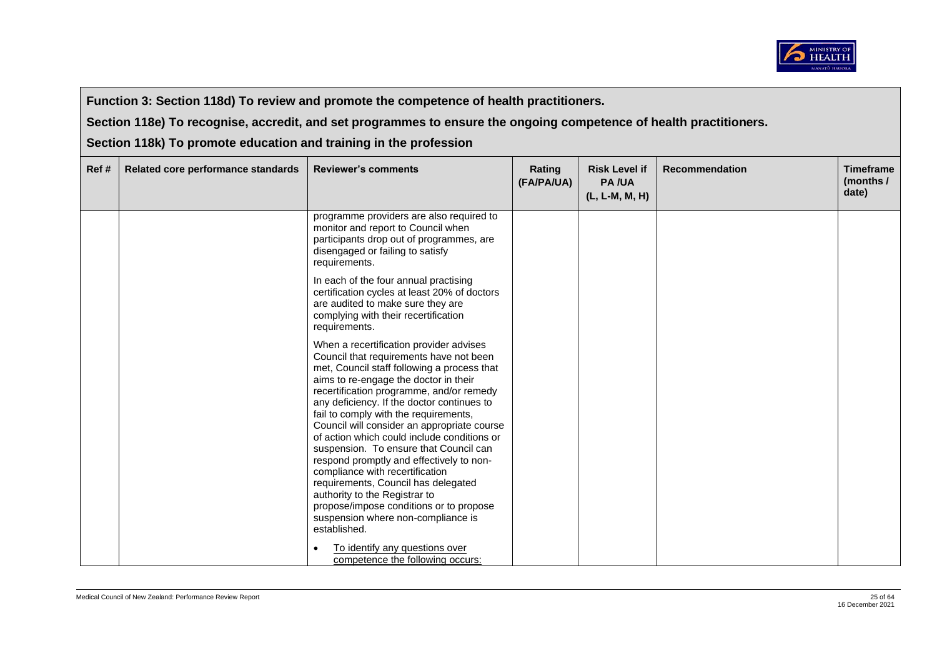

**Section 118e) To recognise, accredit, and set programmes to ensure the ongoing competence of health practitioners.** 

| Ref# | Related core performance standards | <b>Reviewer's comments</b>                                                                                                                                                                                                                                                                                                                                                                                                                                                                                                                                                                                                                                                                                    | Rating<br>(FA/PA/UA) | <b>Risk Level if</b><br><b>PA/UA</b><br>(L, L-M, M, H) | <b>Recommendation</b> | <b>Timeframe</b><br>(months /<br>date) |
|------|------------------------------------|---------------------------------------------------------------------------------------------------------------------------------------------------------------------------------------------------------------------------------------------------------------------------------------------------------------------------------------------------------------------------------------------------------------------------------------------------------------------------------------------------------------------------------------------------------------------------------------------------------------------------------------------------------------------------------------------------------------|----------------------|--------------------------------------------------------|-----------------------|----------------------------------------|
|      |                                    | programme providers are also required to<br>monitor and report to Council when<br>participants drop out of programmes, are<br>disengaged or failing to satisfy<br>requirements.                                                                                                                                                                                                                                                                                                                                                                                                                                                                                                                               |                      |                                                        |                       |                                        |
|      |                                    | In each of the four annual practising<br>certification cycles at least 20% of doctors<br>are audited to make sure they are<br>complying with their recertification<br>requirements.                                                                                                                                                                                                                                                                                                                                                                                                                                                                                                                           |                      |                                                        |                       |                                        |
|      |                                    | When a recertification provider advises<br>Council that requirements have not been<br>met, Council staff following a process that<br>aims to re-engage the doctor in their<br>recertification programme, and/or remedy<br>any deficiency. If the doctor continues to<br>fail to comply with the requirements,<br>Council will consider an appropriate course<br>of action which could include conditions or<br>suspension. To ensure that Council can<br>respond promptly and effectively to non-<br>compliance with recertification<br>requirements, Council has delegated<br>authority to the Registrar to<br>propose/impose conditions or to propose<br>suspension where non-compliance is<br>established. |                      |                                                        |                       |                                        |
|      |                                    | To identify any questions over<br>competence the following occurs:                                                                                                                                                                                                                                                                                                                                                                                                                                                                                                                                                                                                                                            |                      |                                                        |                       |                                        |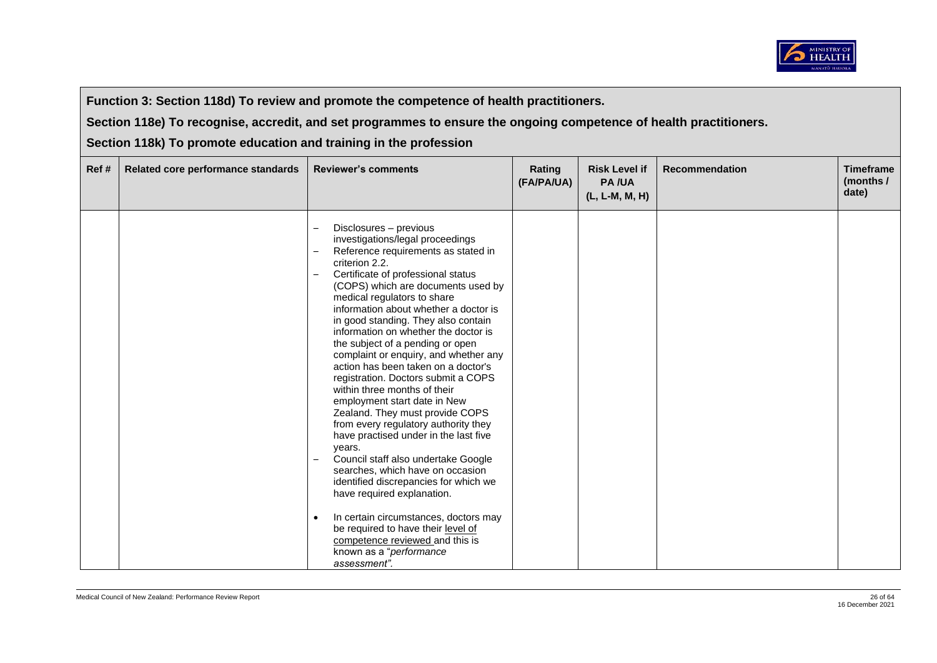

**Section 118e) To recognise, accredit, and set programmes to ensure the ongoing competence of health practitioners.** 

| Ref# | Related core performance standards | <b>Reviewer's comments</b>                                                                                                                                                                                                                                                                                                                                                                                                                                                                                                                                                                                                                                                                                                                                                                                                                                                                                                                                                                                            | Rating<br>(FA/PA/UA) | <b>Risk Level if</b><br><b>PA/UA</b><br>(L, L-M, M, H) | <b>Recommendation</b> | <b>Timeframe</b><br>(months /<br>date) |
|------|------------------------------------|-----------------------------------------------------------------------------------------------------------------------------------------------------------------------------------------------------------------------------------------------------------------------------------------------------------------------------------------------------------------------------------------------------------------------------------------------------------------------------------------------------------------------------------------------------------------------------------------------------------------------------------------------------------------------------------------------------------------------------------------------------------------------------------------------------------------------------------------------------------------------------------------------------------------------------------------------------------------------------------------------------------------------|----------------------|--------------------------------------------------------|-----------------------|----------------------------------------|
|      |                                    | Disclosures - previous<br>investigations/legal proceedings<br>Reference requirements as stated in<br>$\overline{\phantom{m}}$<br>criterion 2.2.<br>Certificate of professional status<br>$\overline{\phantom{m}}$<br>(COPS) which are documents used by<br>medical regulators to share<br>information about whether a doctor is<br>in good standing. They also contain<br>information on whether the doctor is<br>the subject of a pending or open<br>complaint or enquiry, and whether any<br>action has been taken on a doctor's<br>registration. Doctors submit a COPS<br>within three months of their<br>employment start date in New<br>Zealand. They must provide COPS<br>from every regulatory authority they<br>have practised under in the last five<br>years.<br>Council staff also undertake Google<br>searches, which have on occasion<br>identified discrepancies for which we<br>have required explanation.<br>In certain circumstances, doctors may<br>$\bullet$<br>be required to have their level of |                      |                                                        |                       |                                        |
|      |                                    | competence reviewed and this is<br>known as a "performance<br>assessment".                                                                                                                                                                                                                                                                                                                                                                                                                                                                                                                                                                                                                                                                                                                                                                                                                                                                                                                                            |                      |                                                        |                       |                                        |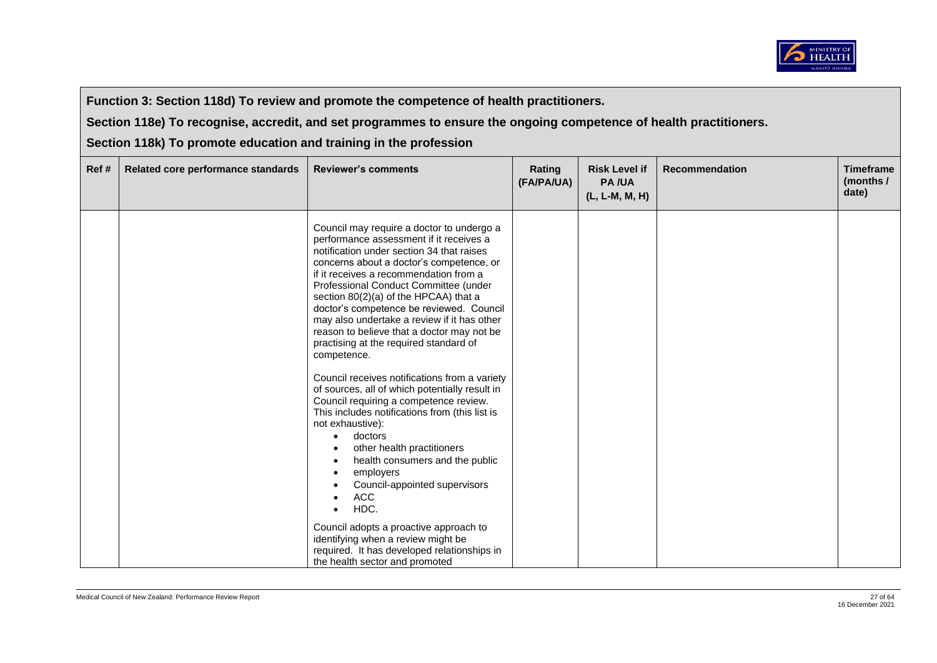

**Section 118e) To recognise, accredit, and set programmes to ensure the ongoing competence of health practitioners.** 

| Ref# | Related core performance standards | <b>Reviewer's comments</b>                                                                                                                                                                                                                                                                                                                                                                                                                                                                                                                                                                                                                                                                                                                                                                                                                                                                  | Rating<br>(FA/PA/UA) | <b>Risk Level if</b><br><b>PA/UA</b><br>(L, L-M, M, H) | <b>Recommendation</b> | <b>Timeframe</b><br>(months /<br>date) |
|------|------------------------------------|---------------------------------------------------------------------------------------------------------------------------------------------------------------------------------------------------------------------------------------------------------------------------------------------------------------------------------------------------------------------------------------------------------------------------------------------------------------------------------------------------------------------------------------------------------------------------------------------------------------------------------------------------------------------------------------------------------------------------------------------------------------------------------------------------------------------------------------------------------------------------------------------|----------------------|--------------------------------------------------------|-----------------------|----------------------------------------|
|      |                                    | Council may require a doctor to undergo a<br>performance assessment if it receives a<br>notification under section 34 that raises<br>concerns about a doctor's competence, or<br>if it receives a recommendation from a<br>Professional Conduct Committee (under<br>section 80(2)(a) of the HPCAA) that a<br>doctor's competence be reviewed. Council<br>may also undertake a review if it has other<br>reason to believe that a doctor may not be<br>practising at the required standard of<br>competence.<br>Council receives notifications from a variety<br>of sources, all of which potentially result in<br>Council requiring a competence review.<br>This includes notifications from (this list is<br>not exhaustive):<br>doctors<br>$\bullet$<br>other health practitioners<br>health consumers and the public<br>employers<br>Council-appointed supervisors<br><b>ACC</b><br>HDC. |                      |                                                        |                       |                                        |
|      |                                    | Council adopts a proactive approach to<br>identifying when a review might be<br>required. It has developed relationships in<br>the health sector and promoted                                                                                                                                                                                                                                                                                                                                                                                                                                                                                                                                                                                                                                                                                                                               |                      |                                                        |                       |                                        |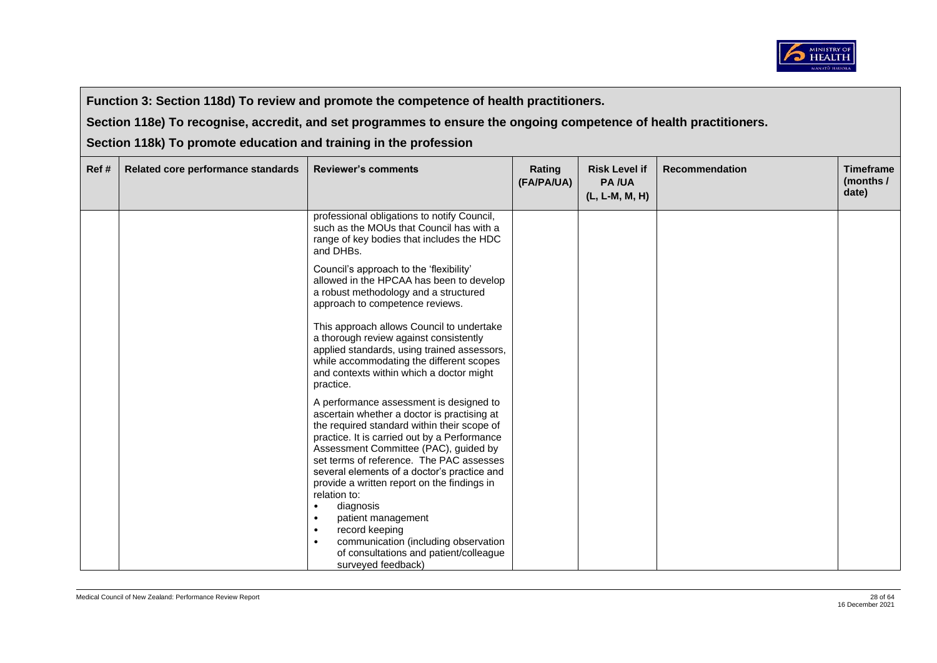

**Section 118e) To recognise, accredit, and set programmes to ensure the ongoing competence of health practitioners.** 

| Ref # | Related core performance standards | <b>Reviewer's comments</b>                                                                                                                                                                                                                                                                                                | Rating<br>(FA/PA/UA) | <b>Risk Level if</b><br><b>PA/UA</b><br>(L, L-M, M, H) | <b>Recommendation</b> | <b>Timeframe</b><br>(months /<br>date) |
|-------|------------------------------------|---------------------------------------------------------------------------------------------------------------------------------------------------------------------------------------------------------------------------------------------------------------------------------------------------------------------------|----------------------|--------------------------------------------------------|-----------------------|----------------------------------------|
|       |                                    | professional obligations to notify Council,<br>such as the MOUs that Council has with a<br>range of key bodies that includes the HDC<br>and DHBs.                                                                                                                                                                         |                      |                                                        |                       |                                        |
|       |                                    | Council's approach to the 'flexibility'<br>allowed in the HPCAA has been to develop<br>a robust methodology and a structured<br>approach to competence reviews.                                                                                                                                                           |                      |                                                        |                       |                                        |
|       |                                    | This approach allows Council to undertake<br>a thorough review against consistently<br>applied standards, using trained assessors,<br>while accommodating the different scopes<br>and contexts within which a doctor might<br>practice.                                                                                   |                      |                                                        |                       |                                        |
|       |                                    | A performance assessment is designed to<br>ascertain whether a doctor is practising at<br>the required standard within their scope of<br>practice. It is carried out by a Performance<br>Assessment Committee (PAC), guided by<br>set terms of reference. The PAC assesses<br>several elements of a doctor's practice and |                      |                                                        |                       |                                        |
|       |                                    | provide a written report on the findings in<br>relation to:<br>diagnosis<br>$\bullet$<br>patient management<br>$\bullet$<br>record keeping<br>$\bullet$<br>communication (including observation<br>$\bullet$<br>of consultations and patient/colleague<br>surveyed feedback)                                              |                      |                                                        |                       |                                        |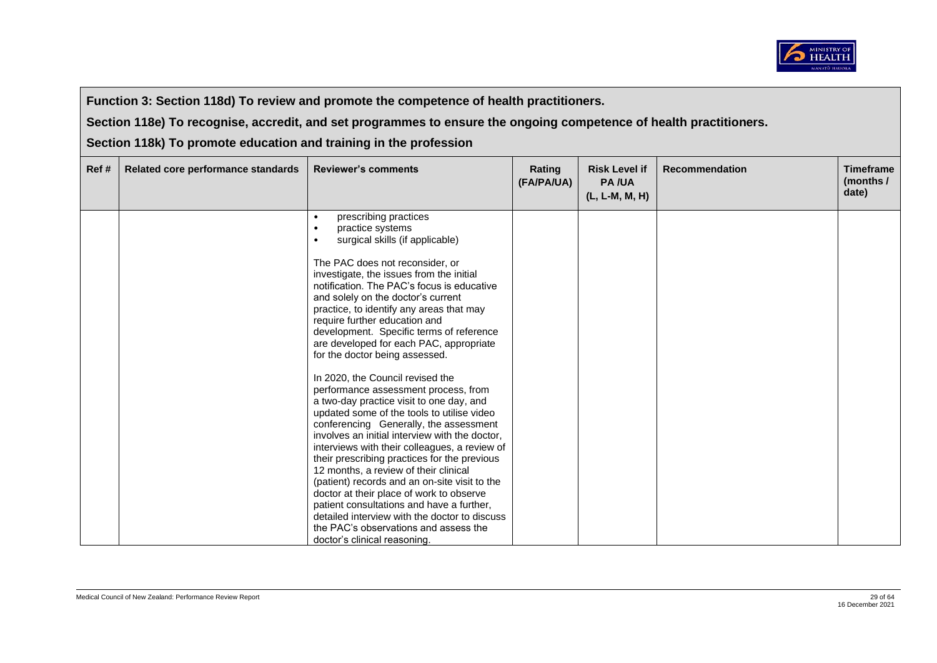

**Section 118e) To recognise, accredit, and set programmes to ensure the ongoing competence of health practitioners.** 

| Ref# | Related core performance standards | <b>Reviewer's comments</b>                                                                                                                                                                                                                                                                                                                                                                                                                                                                                                                                                                                                                                                                                                                                                                                                                                                                                                                                                                                                                                                                                                                                                   | Rating<br>(FA/PA/UA) | <b>Risk Level if</b><br><b>PA/UA</b><br>(L, L-M, M, H) | <b>Recommendation</b> | <b>Timeframe</b><br>(months /<br>date) |
|------|------------------------------------|------------------------------------------------------------------------------------------------------------------------------------------------------------------------------------------------------------------------------------------------------------------------------------------------------------------------------------------------------------------------------------------------------------------------------------------------------------------------------------------------------------------------------------------------------------------------------------------------------------------------------------------------------------------------------------------------------------------------------------------------------------------------------------------------------------------------------------------------------------------------------------------------------------------------------------------------------------------------------------------------------------------------------------------------------------------------------------------------------------------------------------------------------------------------------|----------------------|--------------------------------------------------------|-----------------------|----------------------------------------|
|      |                                    | prescribing practices<br>$\bullet$<br>practice systems<br>$\bullet$<br>surgical skills (if applicable)<br>$\bullet$<br>The PAC does not reconsider, or<br>investigate, the issues from the initial<br>notification. The PAC's focus is educative<br>and solely on the doctor's current<br>practice, to identify any areas that may<br>require further education and<br>development. Specific terms of reference<br>are developed for each PAC, appropriate<br>for the doctor being assessed.<br>In 2020, the Council revised the<br>performance assessment process, from<br>a two-day practice visit to one day, and<br>updated some of the tools to utilise video<br>conferencing Generally, the assessment<br>involves an initial interview with the doctor,<br>interviews with their colleagues, a review of<br>their prescribing practices for the previous<br>12 months, a review of their clinical<br>(patient) records and an on-site visit to the<br>doctor at their place of work to observe<br>patient consultations and have a further,<br>detailed interview with the doctor to discuss<br>the PAC's observations and assess the<br>doctor's clinical reasoning. |                      |                                                        |                       |                                        |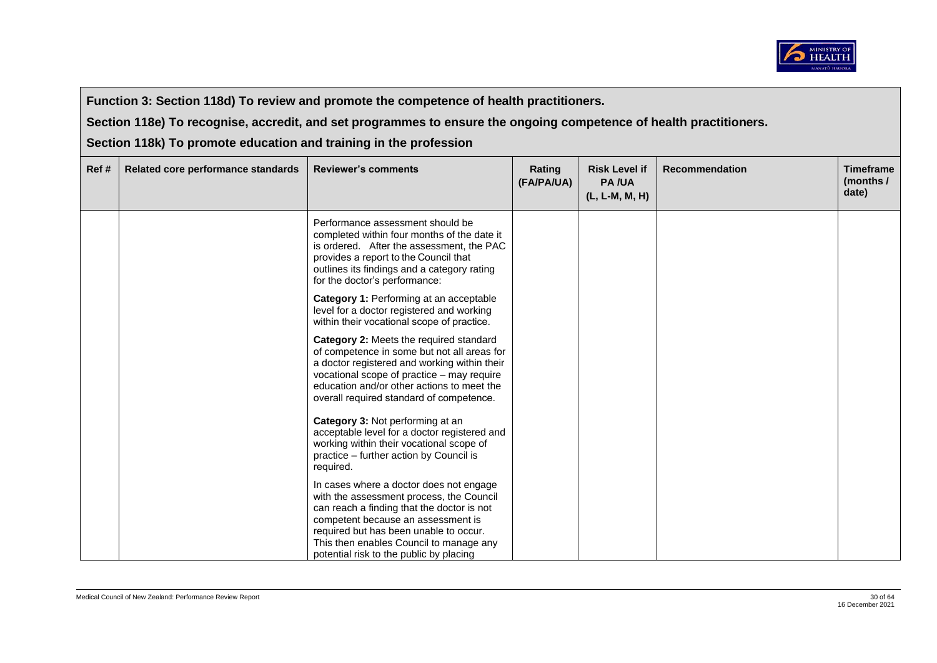

**Section 118e) To recognise, accredit, and set programmes to ensure the ongoing competence of health practitioners.** 

| Ref# | Related core performance standards | <b>Reviewer's comments</b>                                                                                                                                                                                                                                                                              | Rating<br>(FA/PA/UA) | <b>Risk Level if</b><br><b>PA/UA</b><br>(L, L-M, M, H) | <b>Recommendation</b> | <b>Timeframe</b><br>(months /<br>date) |
|------|------------------------------------|---------------------------------------------------------------------------------------------------------------------------------------------------------------------------------------------------------------------------------------------------------------------------------------------------------|----------------------|--------------------------------------------------------|-----------------------|----------------------------------------|
|      |                                    | Performance assessment should be<br>completed within four months of the date it<br>is ordered. After the assessment, the PAC<br>provides a report to the Council that<br>outlines its findings and a category rating<br>for the doctor's performance:                                                   |                      |                                                        |                       |                                        |
|      |                                    | Category 1: Performing at an acceptable<br>level for a doctor registered and working<br>within their vocational scope of practice.                                                                                                                                                                      |                      |                                                        |                       |                                        |
|      |                                    | Category 2: Meets the required standard<br>of competence in some but not all areas for<br>a doctor registered and working within their<br>vocational scope of practice - may require<br>education and/or other actions to meet the<br>overall required standard of competence.                          |                      |                                                        |                       |                                        |
|      |                                    | Category 3: Not performing at an<br>acceptable level for a doctor registered and<br>working within their vocational scope of<br>practice - further action by Council is<br>required.                                                                                                                    |                      |                                                        |                       |                                        |
|      |                                    | In cases where a doctor does not engage<br>with the assessment process, the Council<br>can reach a finding that the doctor is not<br>competent because an assessment is<br>required but has been unable to occur.<br>This then enables Council to manage any<br>potential risk to the public by placing |                      |                                                        |                       |                                        |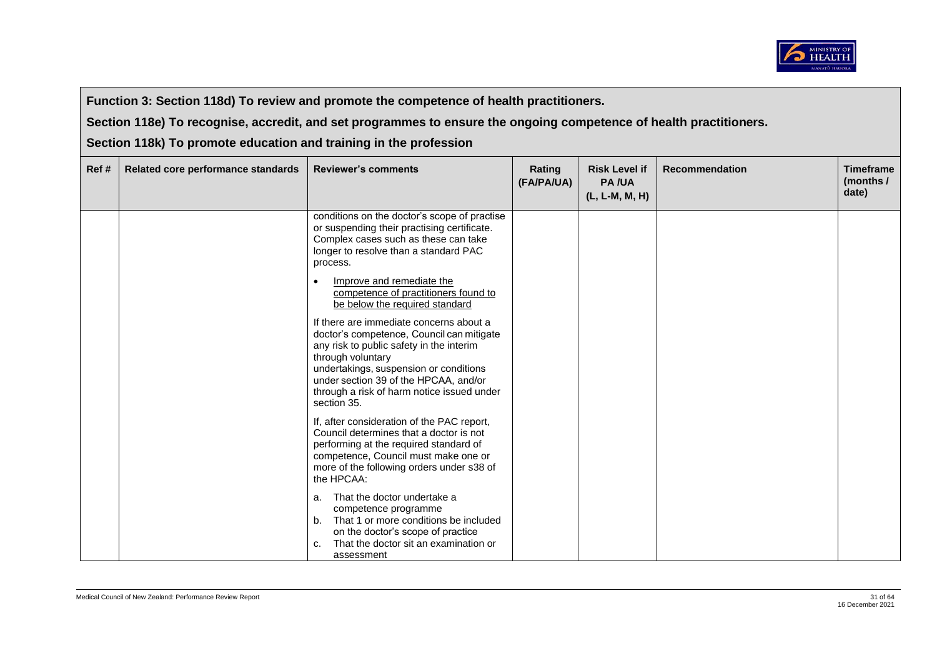

**Section 118e) To recognise, accredit, and set programmes to ensure the ongoing competence of health practitioners.** 

| Ref# | Related core performance standards | <b>Reviewer's comments</b>                                                                                                                                                                                                                                                                            | Rating<br>(FA/PA/UA) | <b>Risk Level if</b><br><b>PA/UA</b><br>(L, L-M, M, H) | <b>Recommendation</b> | <b>Timeframe</b><br>(months /<br>date) |
|------|------------------------------------|-------------------------------------------------------------------------------------------------------------------------------------------------------------------------------------------------------------------------------------------------------------------------------------------------------|----------------------|--------------------------------------------------------|-----------------------|----------------------------------------|
|      |                                    | conditions on the doctor's scope of practise<br>or suspending their practising certificate.<br>Complex cases such as these can take<br>longer to resolve than a standard PAC<br>process.                                                                                                              |                      |                                                        |                       |                                        |
|      |                                    | Improve and remediate the<br>competence of practitioners found to<br>be below the required standard                                                                                                                                                                                                   |                      |                                                        |                       |                                        |
|      |                                    | If there are immediate concerns about a<br>doctor's competence, Council can mitigate<br>any risk to public safety in the interim<br>through voluntary<br>undertakings, suspension or conditions<br>under section 39 of the HPCAA, and/or<br>through a risk of harm notice issued under<br>section 35. |                      |                                                        |                       |                                        |
|      |                                    | If, after consideration of the PAC report,<br>Council determines that a doctor is not<br>performing at the required standard of<br>competence, Council must make one or<br>more of the following orders under s38 of<br>the HPCAA:                                                                    |                      |                                                        |                       |                                        |
|      |                                    | That the doctor undertake a<br>a.<br>competence programme<br>b. That 1 or more conditions be included<br>on the doctor's scope of practice<br>That the doctor sit an examination or<br>c.<br>assessment                                                                                               |                      |                                                        |                       |                                        |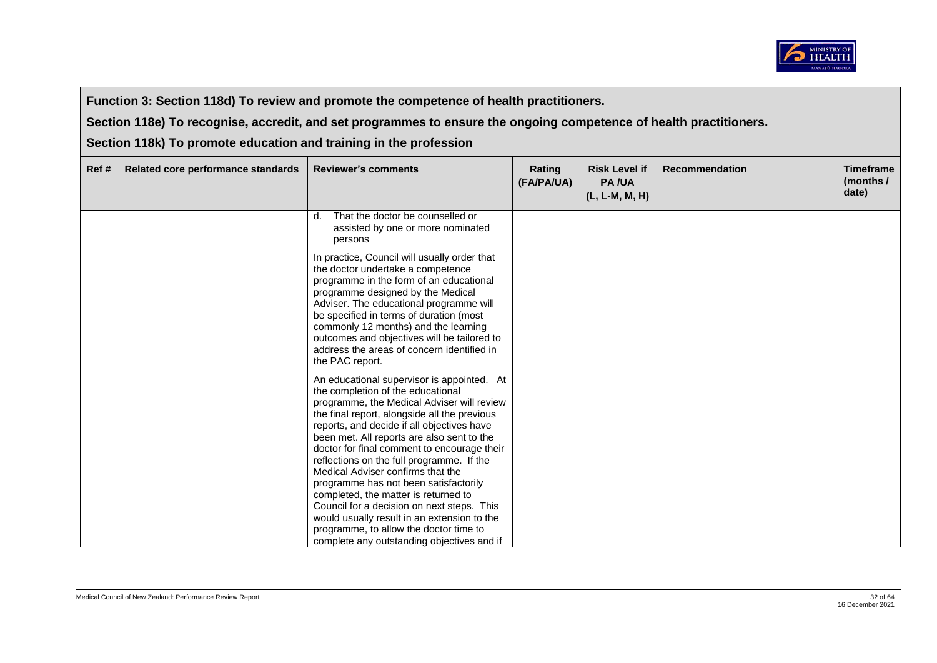

**Section 118e) To recognise, accredit, and set programmes to ensure the ongoing competence of health practitioners.** 

| Ref# | Related core performance standards | <b>Reviewer's comments</b>                                                                                                                                                                                                                                                                                                                                                                                                                                                                                                                                                                                                                                                       | Rating<br>(FA/PA/UA) | <b>Risk Level if</b><br><b>PA/UA</b><br>(L, L-M, M, H) | <b>Recommendation</b> | <b>Timeframe</b><br>(months /<br>date) |
|------|------------------------------------|----------------------------------------------------------------------------------------------------------------------------------------------------------------------------------------------------------------------------------------------------------------------------------------------------------------------------------------------------------------------------------------------------------------------------------------------------------------------------------------------------------------------------------------------------------------------------------------------------------------------------------------------------------------------------------|----------------------|--------------------------------------------------------|-----------------------|----------------------------------------|
|      |                                    | That the doctor be counselled or<br>d.<br>assisted by one or more nominated<br>persons                                                                                                                                                                                                                                                                                                                                                                                                                                                                                                                                                                                           |                      |                                                        |                       |                                        |
|      |                                    | In practice, Council will usually order that<br>the doctor undertake a competence<br>programme in the form of an educational<br>programme designed by the Medical<br>Adviser. The educational programme will<br>be specified in terms of duration (most<br>commonly 12 months) and the learning<br>outcomes and objectives will be tailored to<br>address the areas of concern identified in<br>the PAC report.                                                                                                                                                                                                                                                                  |                      |                                                        |                       |                                        |
|      |                                    | An educational supervisor is appointed. At<br>the completion of the educational<br>programme, the Medical Adviser will review<br>the final report, alongside all the previous<br>reports, and decide if all objectives have<br>been met. All reports are also sent to the<br>doctor for final comment to encourage their<br>reflections on the full programme. If the<br>Medical Adviser confirms that the<br>programme has not been satisfactorily<br>completed, the matter is returned to<br>Council for a decision on next steps. This<br>would usually result in an extension to the<br>programme, to allow the doctor time to<br>complete any outstanding objectives and if |                      |                                                        |                       |                                        |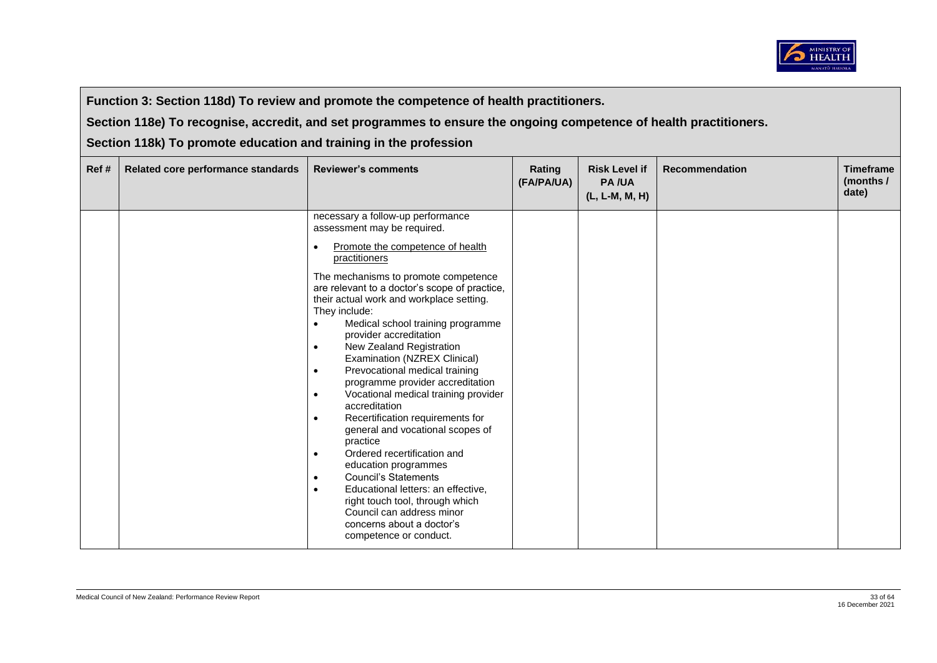

**Section 118e) To recognise, accredit, and set programmes to ensure the ongoing competence of health practitioners.** 

| Ref# | Related core performance standards | <b>Reviewer's comments</b>                                                                                                                                                                                                                                                                                                                                                                                                                                                                                                                                                                                                                                                                                                                                                                                                                                                                                                                                              | Rating<br>(FA/PA/UA) | <b>Risk Level if</b><br><b>PA/UA</b><br>(L, L-M, M, H) | <b>Recommendation</b> | <b>Timeframe</b><br>(months /<br>date) |
|------|------------------------------------|-------------------------------------------------------------------------------------------------------------------------------------------------------------------------------------------------------------------------------------------------------------------------------------------------------------------------------------------------------------------------------------------------------------------------------------------------------------------------------------------------------------------------------------------------------------------------------------------------------------------------------------------------------------------------------------------------------------------------------------------------------------------------------------------------------------------------------------------------------------------------------------------------------------------------------------------------------------------------|----------------------|--------------------------------------------------------|-----------------------|----------------------------------------|
|      |                                    | necessary a follow-up performance<br>assessment may be required.<br>Promote the competence of health<br>$\bullet$<br>practitioners<br>The mechanisms to promote competence<br>are relevant to a doctor's scope of practice,<br>their actual work and workplace setting.<br>They include:<br>Medical school training programme<br>$\bullet$<br>provider accreditation<br>New Zealand Registration<br>$\bullet$<br>Examination (NZREX Clinical)<br>Prevocational medical training<br>$\bullet$<br>programme provider accreditation<br>Vocational medical training provider<br>$\bullet$<br>accreditation<br>Recertification requirements for<br>$\bullet$<br>general and vocational scopes of<br>practice<br>Ordered recertification and<br>$\bullet$<br>education programmes<br><b>Council's Statements</b><br>$\bullet$<br>Educational letters: an effective,<br>$\bullet$<br>right touch tool, through which<br>Council can address minor<br>concerns about a doctor's |                      |                                                        |                       |                                        |
|      |                                    | competence or conduct.                                                                                                                                                                                                                                                                                                                                                                                                                                                                                                                                                                                                                                                                                                                                                                                                                                                                                                                                                  |                      |                                                        |                       |                                        |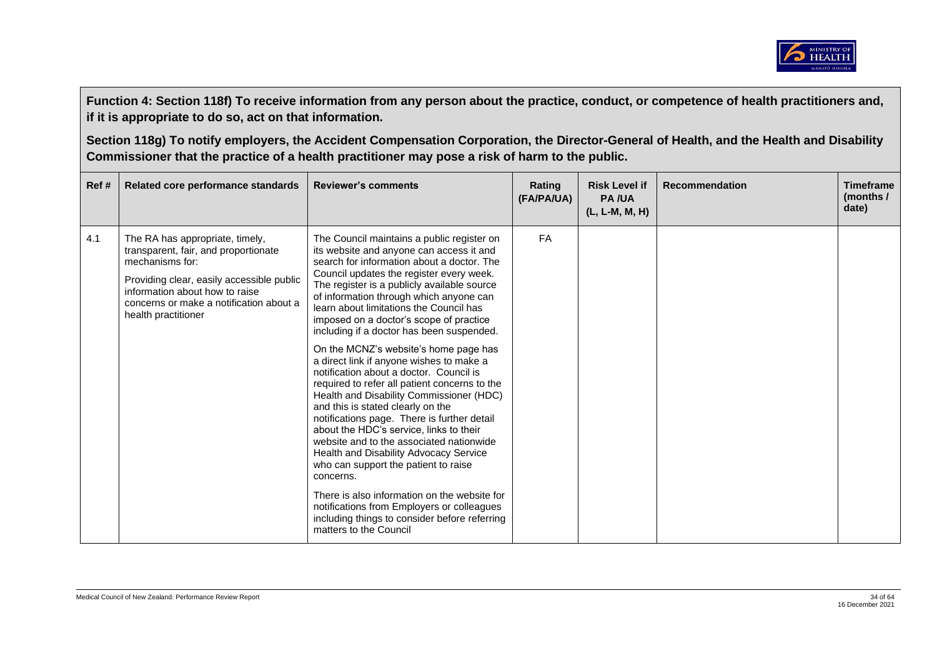

| Ref# | Related core performance standards                                                                                                                                                                                                          | <b>Reviewer's comments</b>                                                                                                                                                                                                                                                                                                                                                                                                                                                                                                                                                                                                                                                                                                                                                                                                                                                                                                                                                                                                                                                                    | Rating<br>(FA/PA/UA) | <b>Risk Level if</b><br><b>PA/UA</b><br>(L, L-M, M, H) | <b>Recommendation</b> | <b>Timeframe</b><br>(months /<br>date) |
|------|---------------------------------------------------------------------------------------------------------------------------------------------------------------------------------------------------------------------------------------------|-----------------------------------------------------------------------------------------------------------------------------------------------------------------------------------------------------------------------------------------------------------------------------------------------------------------------------------------------------------------------------------------------------------------------------------------------------------------------------------------------------------------------------------------------------------------------------------------------------------------------------------------------------------------------------------------------------------------------------------------------------------------------------------------------------------------------------------------------------------------------------------------------------------------------------------------------------------------------------------------------------------------------------------------------------------------------------------------------|----------------------|--------------------------------------------------------|-----------------------|----------------------------------------|
| 4.1  | The RA has appropriate, timely,<br>transparent, fair, and proportionate<br>mechanisms for:<br>Providing clear, easily accessible public<br>information about how to raise<br>concerns or make a notification about a<br>health practitioner | The Council maintains a public register on<br>its website and anyone can access it and<br>search for information about a doctor. The<br>Council updates the register every week.<br>The register is a publicly available source<br>of information through which anyone can<br>learn about limitations the Council has<br>imposed on a doctor's scope of practice<br>including if a doctor has been suspended.<br>On the MCNZ's website's home page has<br>a direct link if anyone wishes to make a<br>notification about a doctor. Council is<br>required to refer all patient concerns to the<br>Health and Disability Commissioner (HDC)<br>and this is stated clearly on the<br>notifications page. There is further detail<br>about the HDC's service, links to their<br>website and to the associated nationwide<br>Health and Disability Advocacy Service<br>who can support the patient to raise<br>concerns.<br>There is also information on the website for<br>notifications from Employers or colleagues<br>including things to consider before referring<br>matters to the Council | <b>FA</b>            |                                                        |                       |                                        |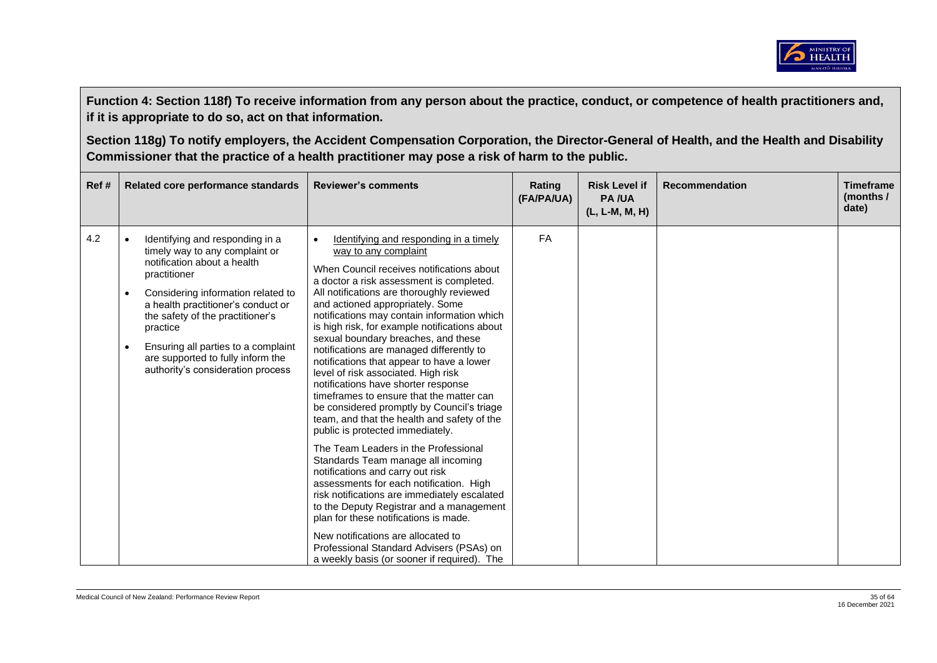

| Ref# | Related core performance standards                                                                                                                                                                                                                                                                                                                                                                   | <b>Reviewer's comments</b>                                                                                                                                                                                                                                                                                                                                                                                                                                                                                                                                                                                                                                                                                                                                                                                                                                                                                                                                                                                                                                                                                                                                             | Rating<br>(FA/PA/UA) | <b>Risk Level if</b><br><b>PA/UA</b><br>(L, L-M, M, H) | <b>Recommendation</b> | <b>Timeframe</b><br>(months/<br>date) |
|------|------------------------------------------------------------------------------------------------------------------------------------------------------------------------------------------------------------------------------------------------------------------------------------------------------------------------------------------------------------------------------------------------------|------------------------------------------------------------------------------------------------------------------------------------------------------------------------------------------------------------------------------------------------------------------------------------------------------------------------------------------------------------------------------------------------------------------------------------------------------------------------------------------------------------------------------------------------------------------------------------------------------------------------------------------------------------------------------------------------------------------------------------------------------------------------------------------------------------------------------------------------------------------------------------------------------------------------------------------------------------------------------------------------------------------------------------------------------------------------------------------------------------------------------------------------------------------------|----------------------|--------------------------------------------------------|-----------------------|---------------------------------------|
| 4.2  | Identifying and responding in a<br>$\bullet$<br>timely way to any complaint or<br>notification about a health<br>practitioner<br>Considering information related to<br>$\bullet$<br>a health practitioner's conduct or<br>the safety of the practitioner's<br>practice<br>Ensuring all parties to a complaint<br>$\bullet$<br>are supported to fully inform the<br>authority's consideration process | Identifying and responding in a timely<br>way to any complaint<br>When Council receives notifications about<br>a doctor a risk assessment is completed.<br>All notifications are thoroughly reviewed<br>and actioned appropriately. Some<br>notifications may contain information which<br>is high risk, for example notifications about<br>sexual boundary breaches, and these<br>notifications are managed differently to<br>notifications that appear to have a lower<br>level of risk associated. High risk<br>notifications have shorter response<br>timeframes to ensure that the matter can<br>be considered promptly by Council's triage<br>team, and that the health and safety of the<br>public is protected immediately.<br>The Team Leaders in the Professional<br>Standards Team manage all incoming<br>notifications and carry out risk<br>assessments for each notification. High<br>risk notifications are immediately escalated<br>to the Deputy Registrar and a management<br>plan for these notifications is made.<br>New notifications are allocated to<br>Professional Standard Advisers (PSAs) on<br>a weekly basis (or sooner if required). The | FA                   |                                                        |                       |                                       |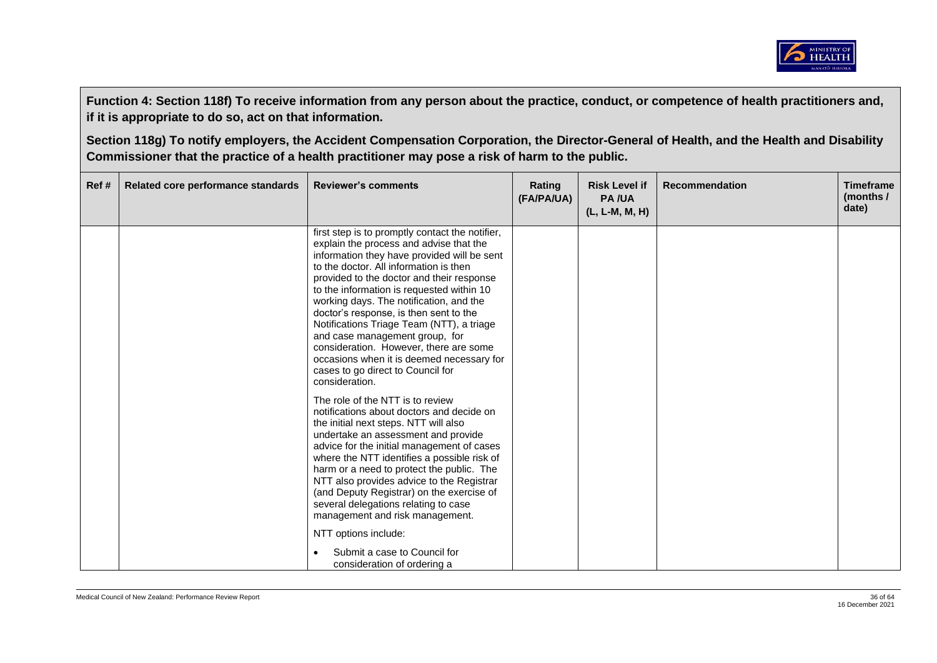

| Ref# | Related core performance standards | <b>Reviewer's comments</b>                                                                                                                                                                                                                                                                                                                                                                                                                                                                                                                                                                                                                                                                                                                                                                                                                                                                                                                                                                                                                                                                                                                           | Rating<br>(FA/PA/UA) | <b>Risk Level if</b><br><b>PA/UA</b><br>(L, L-M, M, H) | <b>Recommendation</b> | <b>Timeframe</b><br>(months $/$<br>date) |
|------|------------------------------------|------------------------------------------------------------------------------------------------------------------------------------------------------------------------------------------------------------------------------------------------------------------------------------------------------------------------------------------------------------------------------------------------------------------------------------------------------------------------------------------------------------------------------------------------------------------------------------------------------------------------------------------------------------------------------------------------------------------------------------------------------------------------------------------------------------------------------------------------------------------------------------------------------------------------------------------------------------------------------------------------------------------------------------------------------------------------------------------------------------------------------------------------------|----------------------|--------------------------------------------------------|-----------------------|------------------------------------------|
|      |                                    | first step is to promptly contact the notifier,<br>explain the process and advise that the<br>information they have provided will be sent<br>to the doctor. All information is then<br>provided to the doctor and their response<br>to the information is requested within 10<br>working days. The notification, and the<br>doctor's response, is then sent to the<br>Notifications Triage Team (NTT), a triage<br>and case management group, for<br>consideration. However, there are some<br>occasions when it is deemed necessary for<br>cases to go direct to Council for<br>consideration.<br>The role of the NTT is to review<br>notifications about doctors and decide on<br>the initial next steps. NTT will also<br>undertake an assessment and provide<br>advice for the initial management of cases<br>where the NTT identifies a possible risk of<br>harm or a need to protect the public. The<br>NTT also provides advice to the Registrar<br>(and Deputy Registrar) on the exercise of<br>several delegations relating to case<br>management and risk management.<br>NTT options include:<br>Submit a case to Council for<br>$\bullet$ |                      |                                                        |                       |                                          |
|      |                                    | consideration of ordering a                                                                                                                                                                                                                                                                                                                                                                                                                                                                                                                                                                                                                                                                                                                                                                                                                                                                                                                                                                                                                                                                                                                          |                      |                                                        |                       |                                          |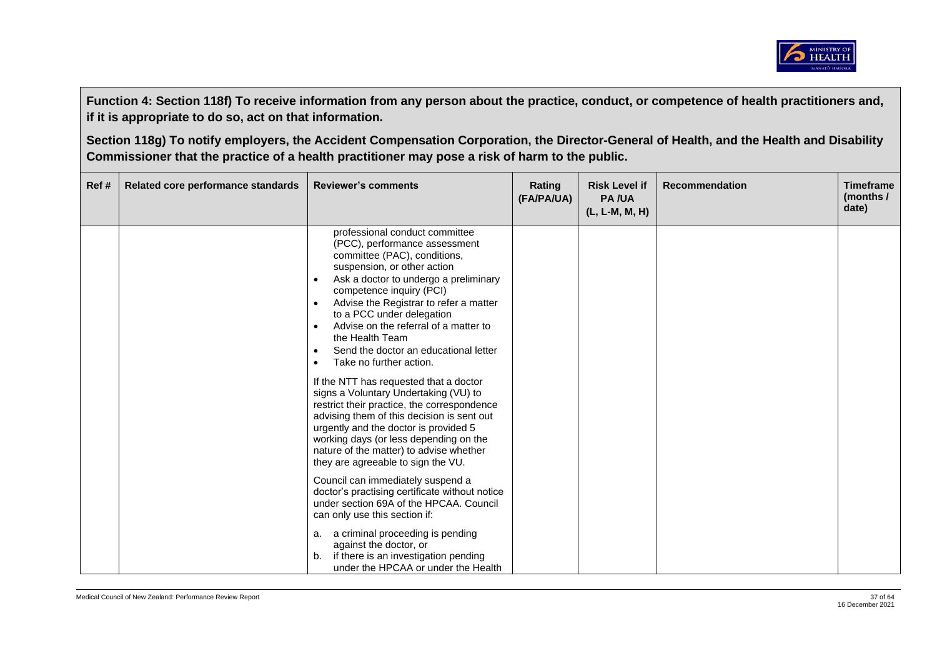

| Ref# | Related core performance standards | <b>Reviewer's comments</b>                                                                                                                                                                                                                                                                                                                                                                                                                                                                                                                                                                                                                                                                                                                                                                                                                                                                                                                                                                                                                                                                                                                  | Rating<br>(FA/PA/UA) | <b>Risk Level if</b><br><b>PA/UA</b><br>(L, L-M, M, H) | <b>Recommendation</b> | <b>Timeframe</b><br>(months/<br>date) |
|------|------------------------------------|---------------------------------------------------------------------------------------------------------------------------------------------------------------------------------------------------------------------------------------------------------------------------------------------------------------------------------------------------------------------------------------------------------------------------------------------------------------------------------------------------------------------------------------------------------------------------------------------------------------------------------------------------------------------------------------------------------------------------------------------------------------------------------------------------------------------------------------------------------------------------------------------------------------------------------------------------------------------------------------------------------------------------------------------------------------------------------------------------------------------------------------------|----------------------|--------------------------------------------------------|-----------------------|---------------------------------------|
|      |                                    | professional conduct committee<br>(PCC), performance assessment<br>committee (PAC), conditions,<br>suspension, or other action<br>Ask a doctor to undergo a preliminary<br>$\bullet$<br>competence inquiry (PCI)<br>Advise the Registrar to refer a matter<br>to a PCC under delegation<br>Advise on the referral of a matter to<br>$\bullet$<br>the Health Team<br>Send the doctor an educational letter<br>$\bullet$<br>Take no further action.<br>$\bullet$<br>If the NTT has requested that a doctor<br>signs a Voluntary Undertaking (VU) to<br>restrict their practice, the correspondence<br>advising them of this decision is sent out<br>urgently and the doctor is provided 5<br>working days (or less depending on the<br>nature of the matter) to advise whether<br>they are agreeable to sign the VU.<br>Council can immediately suspend a<br>doctor's practising certificate without notice<br>under section 69A of the HPCAA, Council<br>can only use this section if:<br>a. a criminal proceeding is pending<br>against the doctor, or<br>if there is an investigation pending<br>b.<br>under the HPCAA or under the Health |                      |                                                        |                       |                                       |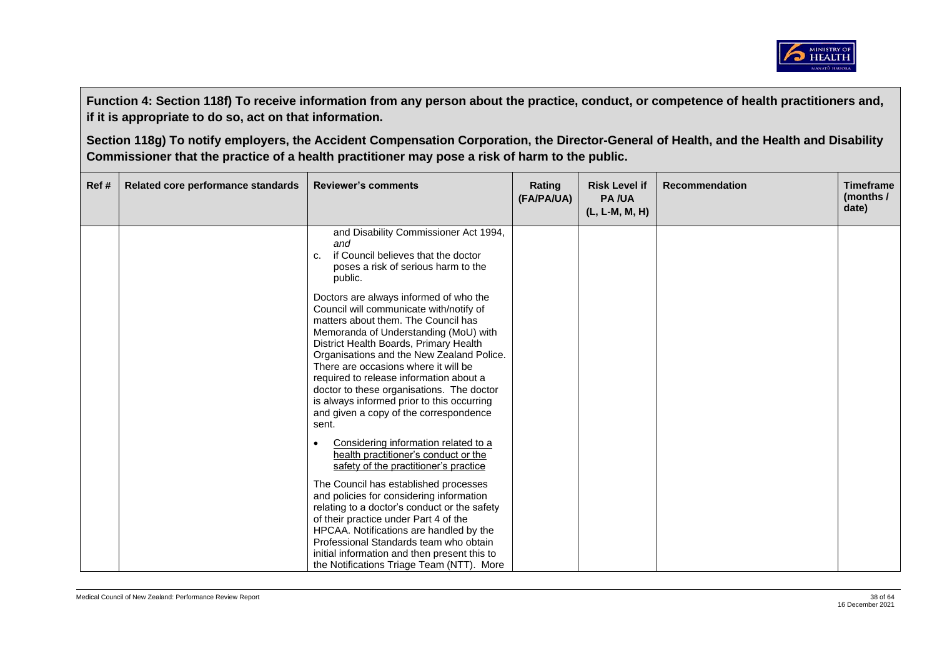

| Ref# | Related core performance standards | <b>Reviewer's comments</b>                                                                                                                                                                                                                                                                                                                                                                                                                                                                | Rating<br>(FA/PA/UA) | <b>Risk Level if</b><br><b>PA/UA</b><br>(L, L-M, M, H) | <b>Recommendation</b> | <b>Timeframe</b><br>(months /<br>date) |
|------|------------------------------------|-------------------------------------------------------------------------------------------------------------------------------------------------------------------------------------------------------------------------------------------------------------------------------------------------------------------------------------------------------------------------------------------------------------------------------------------------------------------------------------------|----------------------|--------------------------------------------------------|-----------------------|----------------------------------------|
|      |                                    | and Disability Commissioner Act 1994,<br>and<br>if Council believes that the doctor<br>c.<br>poses a risk of serious harm to the<br>public.                                                                                                                                                                                                                                                                                                                                               |                      |                                                        |                       |                                        |
|      |                                    | Doctors are always informed of who the<br>Council will communicate with/notify of<br>matters about them. The Council has<br>Memoranda of Understanding (MoU) with<br>District Health Boards, Primary Health<br>Organisations and the New Zealand Police.<br>There are occasions where it will be<br>required to release information about a<br>doctor to these organisations. The doctor<br>is always informed prior to this occurring<br>and given a copy of the correspondence<br>sent. |                      |                                                        |                       |                                        |
|      |                                    | Considering information related to a<br>$\bullet$<br>health practitioner's conduct or the<br>safety of the practitioner's practice                                                                                                                                                                                                                                                                                                                                                        |                      |                                                        |                       |                                        |
|      |                                    | The Council has established processes<br>and policies for considering information<br>relating to a doctor's conduct or the safety<br>of their practice under Part 4 of the<br>HPCAA. Notifications are handled by the<br>Professional Standards team who obtain<br>initial information and then present this to<br>the Notifications Triage Team (NTT). More                                                                                                                              |                      |                                                        |                       |                                        |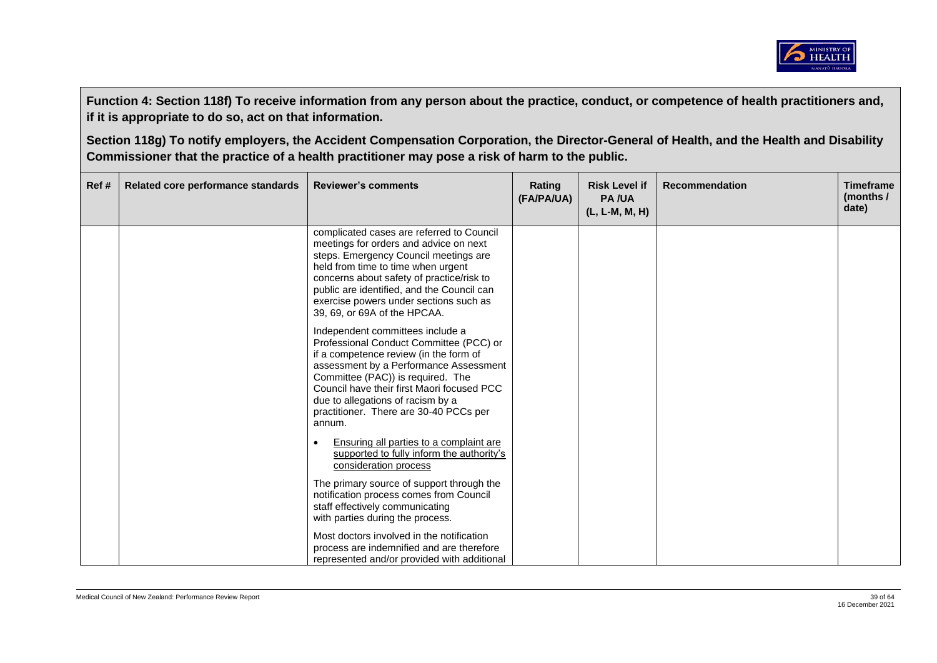

| Ref# | Related core performance standards | <b>Reviewer's comments</b>                                                                                                                                                                                                                                                                                                                  | Rating<br>(FA/PA/UA) | <b>Risk Level if</b><br><b>PA/UA</b><br>(L, L-M, M, H) | <b>Recommendation</b> | <b>Timeframe</b><br>(months /<br>date) |
|------|------------------------------------|---------------------------------------------------------------------------------------------------------------------------------------------------------------------------------------------------------------------------------------------------------------------------------------------------------------------------------------------|----------------------|--------------------------------------------------------|-----------------------|----------------------------------------|
|      |                                    | complicated cases are referred to Council<br>meetings for orders and advice on next<br>steps. Emergency Council meetings are<br>held from time to time when urgent<br>concerns about safety of practice/risk to<br>public are identified, and the Council can<br>exercise powers under sections such as<br>39, 69, or 69A of the HPCAA.     |                      |                                                        |                       |                                        |
|      |                                    | Independent committees include a<br>Professional Conduct Committee (PCC) or<br>if a competence review (in the form of<br>assessment by a Performance Assessment<br>Committee (PAC)) is required. The<br>Council have their first Maori focused PCC<br>due to allegations of racism by a<br>practitioner. There are 30-40 PCCs per<br>annum. |                      |                                                        |                       |                                        |
|      |                                    | Ensuring all parties to a complaint are<br>supported to fully inform the authority's<br>consideration process                                                                                                                                                                                                                               |                      |                                                        |                       |                                        |
|      |                                    | The primary source of support through the<br>notification process comes from Council<br>staff effectively communicating<br>with parties during the process.                                                                                                                                                                                 |                      |                                                        |                       |                                        |
|      |                                    | Most doctors involved in the notification<br>process are indemnified and are therefore<br>represented and/or provided with additional                                                                                                                                                                                                       |                      |                                                        |                       |                                        |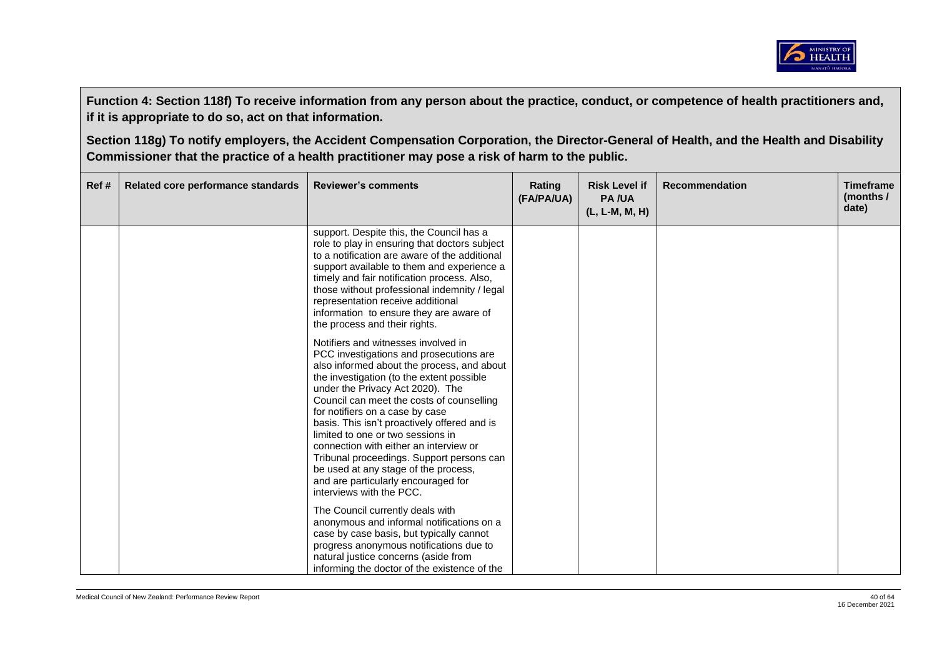

| Ref# | Related core performance standards | <b>Reviewer's comments</b>                                                                                                                                                                                                                                                                                                                                                                                                                                                                                                                                                           | Rating<br>(FA/PA/UA) | <b>Risk Level if</b><br><b>PA/UA</b><br>(L, L-M, M, H) | <b>Recommendation</b> | <b>Timeframe</b><br>(months $/$<br>date) |
|------|------------------------------------|--------------------------------------------------------------------------------------------------------------------------------------------------------------------------------------------------------------------------------------------------------------------------------------------------------------------------------------------------------------------------------------------------------------------------------------------------------------------------------------------------------------------------------------------------------------------------------------|----------------------|--------------------------------------------------------|-----------------------|------------------------------------------|
|      |                                    | support. Despite this, the Council has a<br>role to play in ensuring that doctors subject<br>to a notification are aware of the additional<br>support available to them and experience a<br>timely and fair notification process. Also,<br>those without professional indemnity / legal<br>representation receive additional<br>information to ensure they are aware of<br>the process and their rights.                                                                                                                                                                             |                      |                                                        |                       |                                          |
|      |                                    | Notifiers and witnesses involved in<br>PCC investigations and prosecutions are<br>also informed about the process, and about<br>the investigation (to the extent possible<br>under the Privacy Act 2020). The<br>Council can meet the costs of counselling<br>for notifiers on a case by case<br>basis. This isn't proactively offered and is<br>limited to one or two sessions in<br>connection with either an interview or<br>Tribunal proceedings. Support persons can<br>be used at any stage of the process,<br>and are particularly encouraged for<br>interviews with the PCC. |                      |                                                        |                       |                                          |
|      |                                    | The Council currently deals with<br>anonymous and informal notifications on a<br>case by case basis, but typically cannot<br>progress anonymous notifications due to<br>natural justice concerns (aside from<br>informing the doctor of the existence of the                                                                                                                                                                                                                                                                                                                         |                      |                                                        |                       |                                          |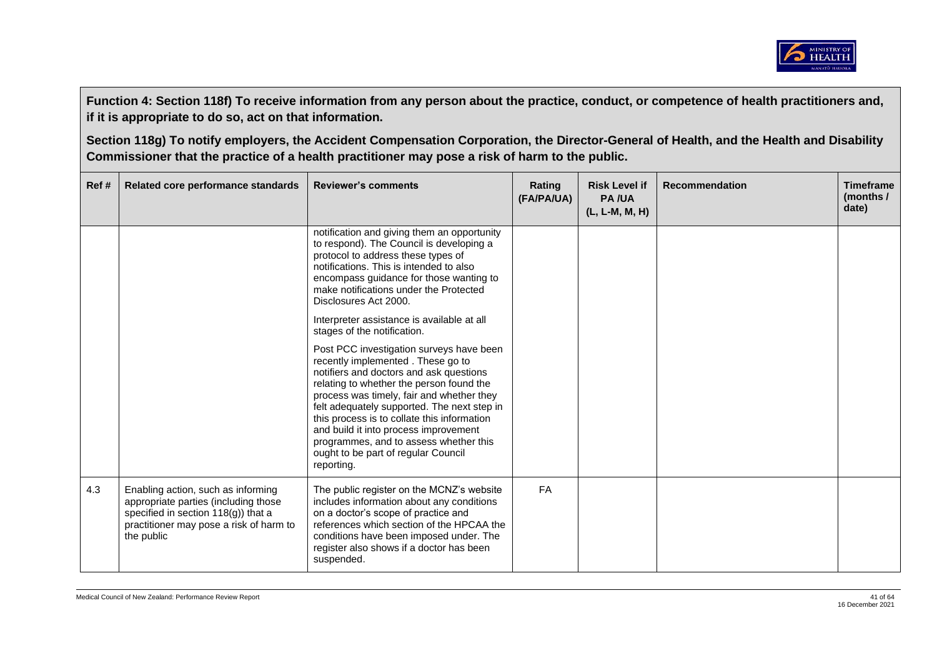

| Ref# | Related core performance standards                                                                                                                                            | <b>Reviewer's comments</b>                                                                                                                                                                                                                                                                                                                                                                                                                              | Rating<br>(FA/PA/UA) | <b>Risk Level if</b><br><b>PA/UA</b><br>$(L, L-M, M, H)$ | <b>Recommendation</b> | <b>Timeframe</b><br>(months /<br>date) |
|------|-------------------------------------------------------------------------------------------------------------------------------------------------------------------------------|---------------------------------------------------------------------------------------------------------------------------------------------------------------------------------------------------------------------------------------------------------------------------------------------------------------------------------------------------------------------------------------------------------------------------------------------------------|----------------------|----------------------------------------------------------|-----------------------|----------------------------------------|
|      |                                                                                                                                                                               | notification and giving them an opportunity<br>to respond). The Council is developing a<br>protocol to address these types of<br>notifications. This is intended to also<br>encompass guidance for those wanting to<br>make notifications under the Protected<br>Disclosures Act 2000.                                                                                                                                                                  |                      |                                                          |                       |                                        |
|      |                                                                                                                                                                               | Interpreter assistance is available at all<br>stages of the notification.                                                                                                                                                                                                                                                                                                                                                                               |                      |                                                          |                       |                                        |
|      |                                                                                                                                                                               | Post PCC investigation surveys have been<br>recently implemented. These go to<br>notifiers and doctors and ask questions<br>relating to whether the person found the<br>process was timely, fair and whether they<br>felt adequately supported. The next step in<br>this process is to collate this information<br>and build it into process improvement<br>programmes, and to assess whether this<br>ought to be part of regular Council<br>reporting. |                      |                                                          |                       |                                        |
| 4.3  | Enabling action, such as informing<br>appropriate parties (including those<br>specified in section $118(g)$ ) that a<br>practitioner may pose a risk of harm to<br>the public | The public register on the MCNZ's website<br>includes information about any conditions<br>on a doctor's scope of practice and<br>references which section of the HPCAA the<br>conditions have been imposed under. The<br>register also shows if a doctor has been<br>suspended.                                                                                                                                                                         | <b>FA</b>            |                                                          |                       |                                        |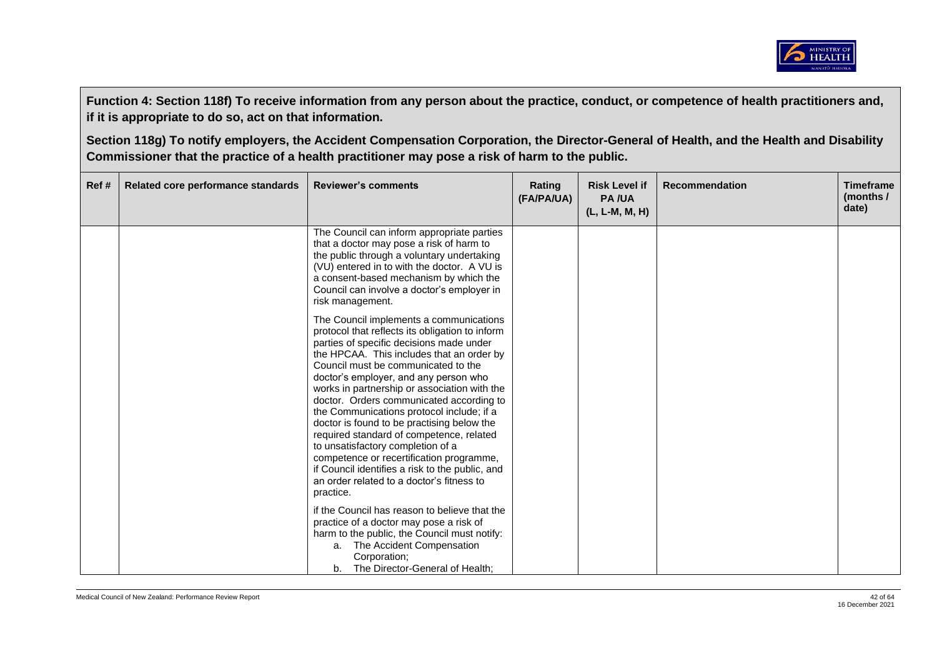

| Ref# | Related core performance standards | <b>Reviewer's comments</b>                                                                                                                                                                                                                                                                                                                                                                                                                                                                                                                                                                                                                                                                           | Rating<br>(FA/PA/UA) | <b>Risk Level if</b><br><b>PA/UA</b><br>(L, L-M, M, H) | <b>Recommendation</b> | <b>Timeframe</b><br>(months /<br>date) |
|------|------------------------------------|------------------------------------------------------------------------------------------------------------------------------------------------------------------------------------------------------------------------------------------------------------------------------------------------------------------------------------------------------------------------------------------------------------------------------------------------------------------------------------------------------------------------------------------------------------------------------------------------------------------------------------------------------------------------------------------------------|----------------------|--------------------------------------------------------|-----------------------|----------------------------------------|
|      |                                    | The Council can inform appropriate parties<br>that a doctor may pose a risk of harm to<br>the public through a voluntary undertaking<br>(VU) entered in to with the doctor. A VU is<br>a consent-based mechanism by which the<br>Council can involve a doctor's employer in<br>risk management.                                                                                                                                                                                                                                                                                                                                                                                                      |                      |                                                        |                       |                                        |
|      |                                    | The Council implements a communications<br>protocol that reflects its obligation to inform<br>parties of specific decisions made under<br>the HPCAA. This includes that an order by<br>Council must be communicated to the<br>doctor's employer, and any person who<br>works in partnership or association with the<br>doctor. Orders communicated according to<br>the Communications protocol include; if a<br>doctor is found to be practising below the<br>required standard of competence, related<br>to unsatisfactory completion of a<br>competence or recertification programme,<br>if Council identifies a risk to the public, and<br>an order related to a doctor's fitness to<br>practice. |                      |                                                        |                       |                                        |
|      |                                    | if the Council has reason to believe that the<br>practice of a doctor may pose a risk of<br>harm to the public, the Council must notify:<br>a. The Accident Compensation<br>Corporation;<br>The Director-General of Health;<br>b.                                                                                                                                                                                                                                                                                                                                                                                                                                                                    |                      |                                                        |                       |                                        |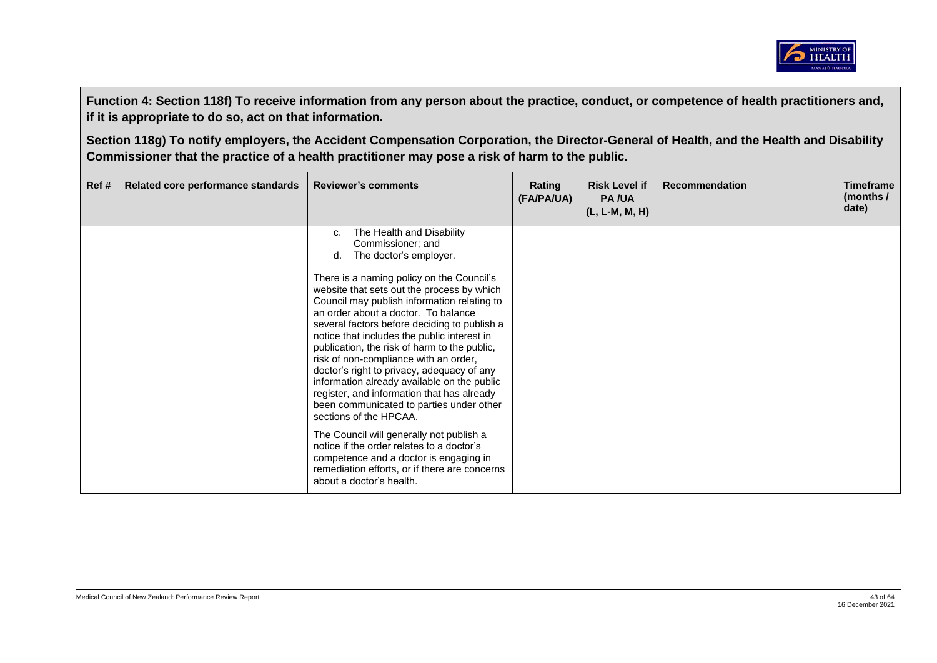

| The Health and Disability<br>c.<br>Commissioner; and<br>The doctor's employer.<br>d.<br>There is a naming policy on the Council's<br>website that sets out the process by which<br>Council may publish information relating to<br>an order about a doctor. To balance<br>several factors before deciding to publish a<br>notice that includes the public interest in<br>publication, the risk of harm to the public,<br>risk of non-compliance with an order,<br>doctor's right to privacy, adequacy of any<br>information already available on the public<br>register, and information that has already<br>been communicated to parties under other<br>sections of the HPCAA.<br>The Council will generally not publish a<br>notice if the order relates to a doctor's | Ref # | Related core performance standards | <b>Reviewer's comments</b>             | Rating<br>(FA/PA/UA) | <b>Risk Level if</b><br><b>PA/UA</b><br>(L, L-M, M, H) | <b>Recommendation</b> | <b>Timeframe</b><br>(months $\sqrt{ }$<br>date) |
|-------------------------------------------------------------------------------------------------------------------------------------------------------------------------------------------------------------------------------------------------------------------------------------------------------------------------------------------------------------------------------------------------------------------------------------------------------------------------------------------------------------------------------------------------------------------------------------------------------------------------------------------------------------------------------------------------------------------------------------------------------------------------|-------|------------------------------------|----------------------------------------|----------------------|--------------------------------------------------------|-----------------------|-------------------------------------------------|
| remediation efforts, or if there are concerns<br>about a doctor's health.                                                                                                                                                                                                                                                                                                                                                                                                                                                                                                                                                                                                                                                                                               |       |                                    | competence and a doctor is engaging in |                      |                                                        |                       |                                                 |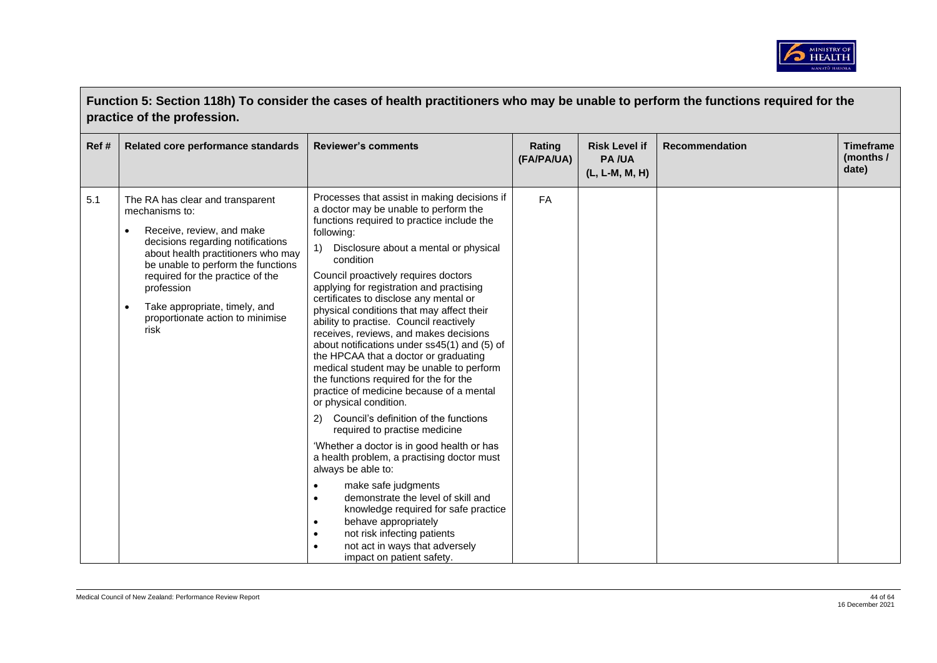

|      | Function 5: Section 118h) To consider the cases of health practitioners who may be unable to perform the functions required for the<br>practice of the profession.                                                                                                                                                              |                                                                                                                                                                                                                                                                                                                                                                                                                                                                                                                                                                                                                                                                                                                                                                                                                                                                                                                                                                                                                                                                                                                                                                                                                                                                           |                      |                                                        |                       |                                        |  |  |  |
|------|---------------------------------------------------------------------------------------------------------------------------------------------------------------------------------------------------------------------------------------------------------------------------------------------------------------------------------|---------------------------------------------------------------------------------------------------------------------------------------------------------------------------------------------------------------------------------------------------------------------------------------------------------------------------------------------------------------------------------------------------------------------------------------------------------------------------------------------------------------------------------------------------------------------------------------------------------------------------------------------------------------------------------------------------------------------------------------------------------------------------------------------------------------------------------------------------------------------------------------------------------------------------------------------------------------------------------------------------------------------------------------------------------------------------------------------------------------------------------------------------------------------------------------------------------------------------------------------------------------------------|----------------------|--------------------------------------------------------|-----------------------|----------------------------------------|--|--|--|
| Ref# | Related core performance standards                                                                                                                                                                                                                                                                                              | <b>Reviewer's comments</b>                                                                                                                                                                                                                                                                                                                                                                                                                                                                                                                                                                                                                                                                                                                                                                                                                                                                                                                                                                                                                                                                                                                                                                                                                                                | Rating<br>(FA/PA/UA) | <b>Risk Level if</b><br><b>PA/UA</b><br>(L, L-M, M, H) | <b>Recommendation</b> | <b>Timeframe</b><br>(months /<br>date) |  |  |  |
| 5.1  | The RA has clear and transparent<br>mechanisms to:<br>Receive, review, and make<br>decisions regarding notifications<br>about health practitioners who may<br>be unable to perform the functions<br>required for the practice of the<br>profession<br>Take appropriate, timely, and<br>proportionate action to minimise<br>risk | Processes that assist in making decisions if<br>a doctor may be unable to perform the<br>functions required to practice include the<br>following:<br>Disclosure about a mental or physical<br>$\left( \begin{matrix} 1 \end{matrix} \right)$<br>condition<br>Council proactively requires doctors<br>applying for registration and practising<br>certificates to disclose any mental or<br>physical conditions that may affect their<br>ability to practise. Council reactively<br>receives, reviews, and makes decisions<br>about notifications under ss45(1) and (5) of<br>the HPCAA that a doctor or graduating<br>medical student may be unable to perform<br>the functions required for the for the<br>practice of medicine because of a mental<br>or physical condition.<br>2) Council's definition of the functions<br>required to practise medicine<br>'Whether a doctor is in good health or has<br>a health problem, a practising doctor must<br>always be able to:<br>make safe judgments<br>$\bullet$<br>demonstrate the level of skill and<br>$\bullet$<br>knowledge required for safe practice<br>behave appropriately<br>$\bullet$<br>not risk infecting patients<br>$\bullet$<br>not act in ways that adversely<br>$\bullet$<br>impact on patient safety. | FA                   |                                                        |                       |                                        |  |  |  |

 $\blacksquare$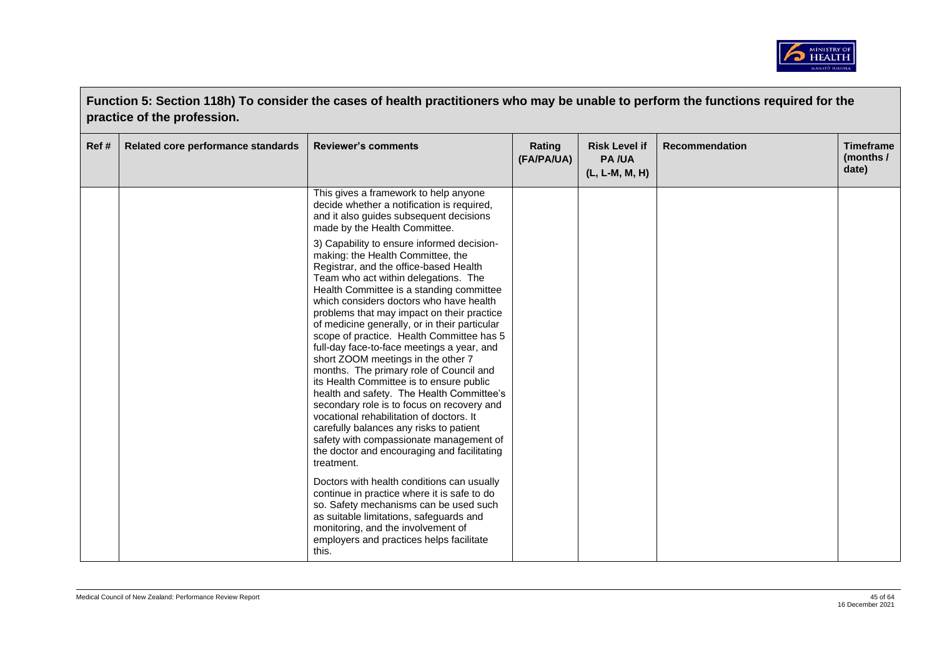

|      | Function 5: Section 118h) To consider the cases of health practitioners who may be unable to perform the functions required for the<br>practice of the profession. |                                                                                                                                                                                                                                                                                                                                                                                                                                                                                                                                                                                                                                                                                                                                                                                                                                                                           |                      |                                                        |                       |                                        |  |  |  |
|------|--------------------------------------------------------------------------------------------------------------------------------------------------------------------|---------------------------------------------------------------------------------------------------------------------------------------------------------------------------------------------------------------------------------------------------------------------------------------------------------------------------------------------------------------------------------------------------------------------------------------------------------------------------------------------------------------------------------------------------------------------------------------------------------------------------------------------------------------------------------------------------------------------------------------------------------------------------------------------------------------------------------------------------------------------------|----------------------|--------------------------------------------------------|-----------------------|----------------------------------------|--|--|--|
| Ref# | Related core performance standards                                                                                                                                 | <b>Reviewer's comments</b>                                                                                                                                                                                                                                                                                                                                                                                                                                                                                                                                                                                                                                                                                                                                                                                                                                                | Rating<br>(FA/PA/UA) | <b>Risk Level if</b><br><b>PA/UA</b><br>(L, L-M, M, H) | <b>Recommendation</b> | <b>Timeframe</b><br>(months /<br>date) |  |  |  |
|      |                                                                                                                                                                    | This gives a framework to help anyone<br>decide whether a notification is required,<br>and it also guides subsequent decisions<br>made by the Health Committee.                                                                                                                                                                                                                                                                                                                                                                                                                                                                                                                                                                                                                                                                                                           |                      |                                                        |                       |                                        |  |  |  |
|      |                                                                                                                                                                    | 3) Capability to ensure informed decision-<br>making: the Health Committee, the<br>Registrar, and the office-based Health<br>Team who act within delegations. The<br>Health Committee is a standing committee<br>which considers doctors who have health<br>problems that may impact on their practice<br>of medicine generally, or in their particular<br>scope of practice. Health Committee has 5<br>full-day face-to-face meetings a year, and<br>short ZOOM meetings in the other 7<br>months. The primary role of Council and<br>its Health Committee is to ensure public<br>health and safety. The Health Committee's<br>secondary role is to focus on recovery and<br>vocational rehabilitation of doctors. It<br>carefully balances any risks to patient<br>safety with compassionate management of<br>the doctor and encouraging and facilitating<br>treatment. |                      |                                                        |                       |                                        |  |  |  |
|      |                                                                                                                                                                    | Doctors with health conditions can usually<br>continue in practice where it is safe to do<br>so. Safety mechanisms can be used such<br>as suitable limitations, safeguards and<br>monitoring, and the involvement of<br>employers and practices helps facilitate<br>this.                                                                                                                                                                                                                                                                                                                                                                                                                                                                                                                                                                                                 |                      |                                                        |                       |                                        |  |  |  |

 $\overline{\phantom{a}}$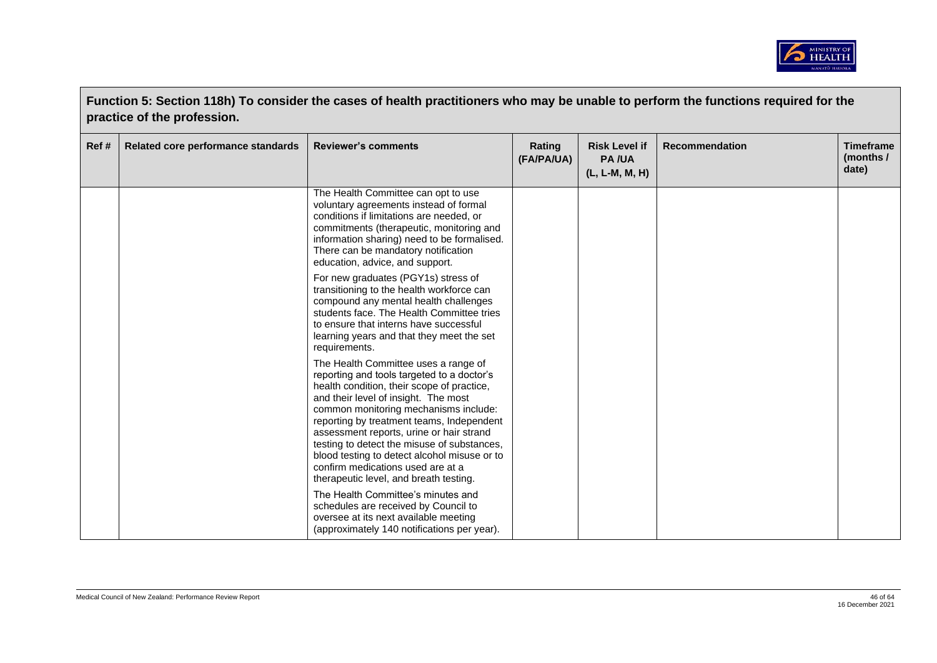

|      | Function 5: Section 118h) To consider the cases of health practitioners who may be unable to perform the functions required for the<br>practice of the profession. |                                                                                                                                                                                                                                                                                                                                                                                                                                                                                          |                      |                                                        |                       |                                        |  |  |  |
|------|--------------------------------------------------------------------------------------------------------------------------------------------------------------------|------------------------------------------------------------------------------------------------------------------------------------------------------------------------------------------------------------------------------------------------------------------------------------------------------------------------------------------------------------------------------------------------------------------------------------------------------------------------------------------|----------------------|--------------------------------------------------------|-----------------------|----------------------------------------|--|--|--|
| Ref# | Related core performance standards                                                                                                                                 | <b>Reviewer's comments</b>                                                                                                                                                                                                                                                                                                                                                                                                                                                               | Rating<br>(FA/PA/UA) | <b>Risk Level if</b><br><b>PA/UA</b><br>(L, L-M, M, H) | <b>Recommendation</b> | <b>Timeframe</b><br>(months /<br>date) |  |  |  |
|      |                                                                                                                                                                    | The Health Committee can opt to use<br>voluntary agreements instead of formal<br>conditions if limitations are needed, or<br>commitments (therapeutic, monitoring and<br>information sharing) need to be formalised.<br>There can be mandatory notification<br>education, advice, and support.                                                                                                                                                                                           |                      |                                                        |                       |                                        |  |  |  |
|      |                                                                                                                                                                    | For new graduates (PGY1s) stress of<br>transitioning to the health workforce can<br>compound any mental health challenges<br>students face. The Health Committee tries<br>to ensure that interns have successful<br>learning years and that they meet the set<br>requirements.                                                                                                                                                                                                           |                      |                                                        |                       |                                        |  |  |  |
|      |                                                                                                                                                                    | The Health Committee uses a range of<br>reporting and tools targeted to a doctor's<br>health condition, their scope of practice,<br>and their level of insight. The most<br>common monitoring mechanisms include:<br>reporting by treatment teams, Independent<br>assessment reports, urine or hair strand<br>testing to detect the misuse of substances,<br>blood testing to detect alcohol misuse or to<br>confirm medications used are at a<br>therapeutic level, and breath testing. |                      |                                                        |                       |                                        |  |  |  |
|      |                                                                                                                                                                    | The Health Committee's minutes and<br>schedules are received by Council to<br>oversee at its next available meeting<br>(approximately 140 notifications per year).                                                                                                                                                                                                                                                                                                                       |                      |                                                        |                       |                                        |  |  |  |

 $\blacksquare$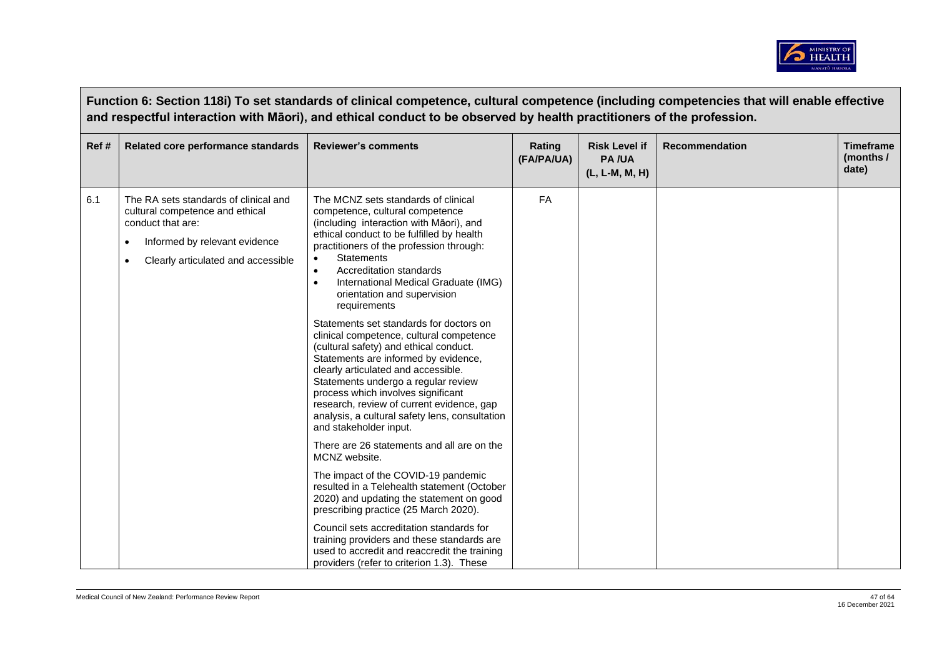

|      | Function 6: Section 118i) To set standards of clinical competence, cultural competence (including competencies that will enable effective<br>and respectful interaction with Māori), and ethical conduct to be observed by health practitioners of the profession. |                                                                                                                                                                                                                                                                                                                                                                                                                                                                                                                                                                                                                                                                                                                                                                                                                                                                                                                                                                                                                                                                                                                                                                                                                                                 |                      |                                                        |                       |                                        |  |  |
|------|--------------------------------------------------------------------------------------------------------------------------------------------------------------------------------------------------------------------------------------------------------------------|-------------------------------------------------------------------------------------------------------------------------------------------------------------------------------------------------------------------------------------------------------------------------------------------------------------------------------------------------------------------------------------------------------------------------------------------------------------------------------------------------------------------------------------------------------------------------------------------------------------------------------------------------------------------------------------------------------------------------------------------------------------------------------------------------------------------------------------------------------------------------------------------------------------------------------------------------------------------------------------------------------------------------------------------------------------------------------------------------------------------------------------------------------------------------------------------------------------------------------------------------|----------------------|--------------------------------------------------------|-----------------------|----------------------------------------|--|--|
| Ref# | Related core performance standards                                                                                                                                                                                                                                 | <b>Reviewer's comments</b>                                                                                                                                                                                                                                                                                                                                                                                                                                                                                                                                                                                                                                                                                                                                                                                                                                                                                                                                                                                                                                                                                                                                                                                                                      | Rating<br>(FA/PA/UA) | <b>Risk Level if</b><br><b>PA/UA</b><br>(L, L-M, M, H) | <b>Recommendation</b> | <b>Timeframe</b><br>(months /<br>date) |  |  |
| 6.1  | The RA sets standards of clinical and<br>cultural competence and ethical<br>conduct that are:<br>Informed by relevant evidence<br>Clearly articulated and accessible                                                                                               | The MCNZ sets standards of clinical<br>competence, cultural competence<br>(including interaction with Māori), and<br>ethical conduct to be fulfilled by health<br>practitioners of the profession through:<br><b>Statements</b><br>$\bullet$<br>Accreditation standards<br>$\bullet$<br>International Medical Graduate (IMG)<br>$\bullet$<br>orientation and supervision<br>requirements<br>Statements set standards for doctors on<br>clinical competence, cultural competence<br>(cultural safety) and ethical conduct.<br>Statements are informed by evidence,<br>clearly articulated and accessible.<br>Statements undergo a regular review<br>process which involves significant<br>research, review of current evidence, gap<br>analysis, a cultural safety lens, consultation<br>and stakeholder input.<br>There are 26 statements and all are on the<br>MCNZ website.<br>The impact of the COVID-19 pandemic<br>resulted in a Telehealth statement (October<br>2020) and updating the statement on good<br>prescribing practice (25 March 2020).<br>Council sets accreditation standards for<br>training providers and these standards are<br>used to accredit and reaccredit the training<br>providers (refer to criterion 1.3). These | FA                   |                                                        |                       |                                        |  |  |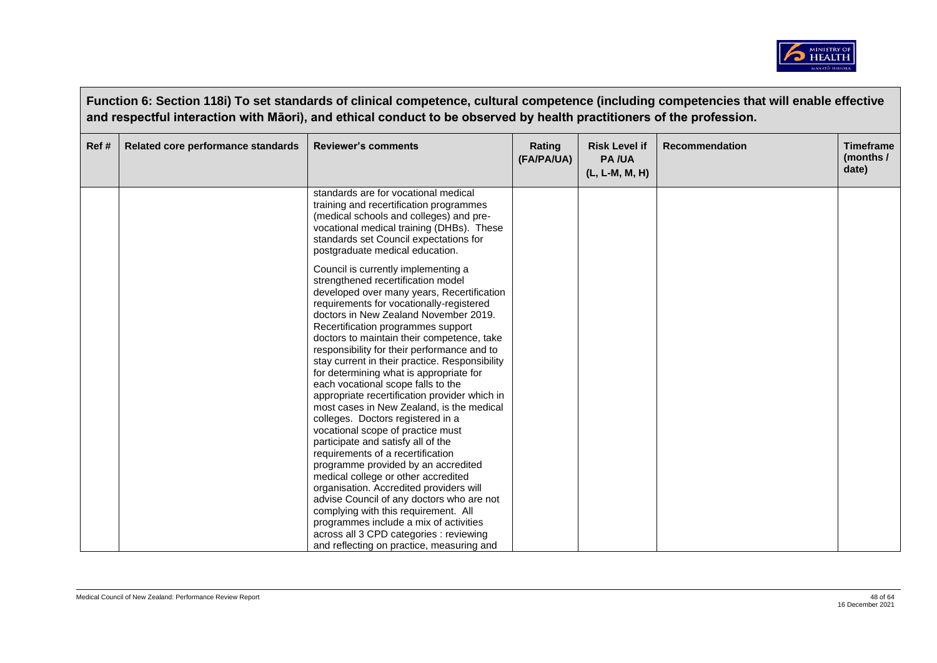

|      | Function 6: Section 118i) To set standards of clinical competence, cultural competence (including competencies that will enable effective<br>and respectful interaction with Māori), and ethical conduct to be observed by health practitioners of the profession. |                                                                                                                                                                                                                                                                                                                                                                                                                                                                                                                                                                                                                       |                      |                                                        |                       |                                        |  |  |
|------|--------------------------------------------------------------------------------------------------------------------------------------------------------------------------------------------------------------------------------------------------------------------|-----------------------------------------------------------------------------------------------------------------------------------------------------------------------------------------------------------------------------------------------------------------------------------------------------------------------------------------------------------------------------------------------------------------------------------------------------------------------------------------------------------------------------------------------------------------------------------------------------------------------|----------------------|--------------------------------------------------------|-----------------------|----------------------------------------|--|--|
| Ref# | Related core performance standards                                                                                                                                                                                                                                 | <b>Reviewer's comments</b>                                                                                                                                                                                                                                                                                                                                                                                                                                                                                                                                                                                            | Rating<br>(FA/PA/UA) | <b>Risk Level if</b><br><b>PA/UA</b><br>(L, L-M, M, H) | <b>Recommendation</b> | <b>Timeframe</b><br>(months /<br>date) |  |  |
|      |                                                                                                                                                                                                                                                                    | standards are for vocational medical<br>training and recertification programmes<br>(medical schools and colleges) and pre-<br>vocational medical training (DHBs). These<br>standards set Council expectations for<br>postgraduate medical education.                                                                                                                                                                                                                                                                                                                                                                  |                      |                                                        |                       |                                        |  |  |
|      |                                                                                                                                                                                                                                                                    | Council is currently implementing a<br>strengthened recertification model<br>developed over many years, Recertification<br>requirements for vocationally-registered<br>doctors in New Zealand November 2019.<br>Recertification programmes support<br>doctors to maintain their competence, take<br>responsibility for their performance and to<br>stay current in their practice. Responsibility<br>for determining what is appropriate for<br>each vocational scope falls to the<br>appropriate recertification provider which in<br>most cases in New Zealand, is the medical<br>colleges. Doctors registered in a |                      |                                                        |                       |                                        |  |  |
|      |                                                                                                                                                                                                                                                                    | vocational scope of practice must<br>participate and satisfy all of the<br>requirements of a recertification<br>programme provided by an accredited<br>medical college or other accredited<br>organisation. Accredited providers will<br>advise Council of any doctors who are not<br>complying with this requirement. All<br>programmes include a mix of activities<br>across all 3 CPD categories : reviewing<br>and reflecting on practice, measuring and                                                                                                                                                          |                      |                                                        |                       |                                        |  |  |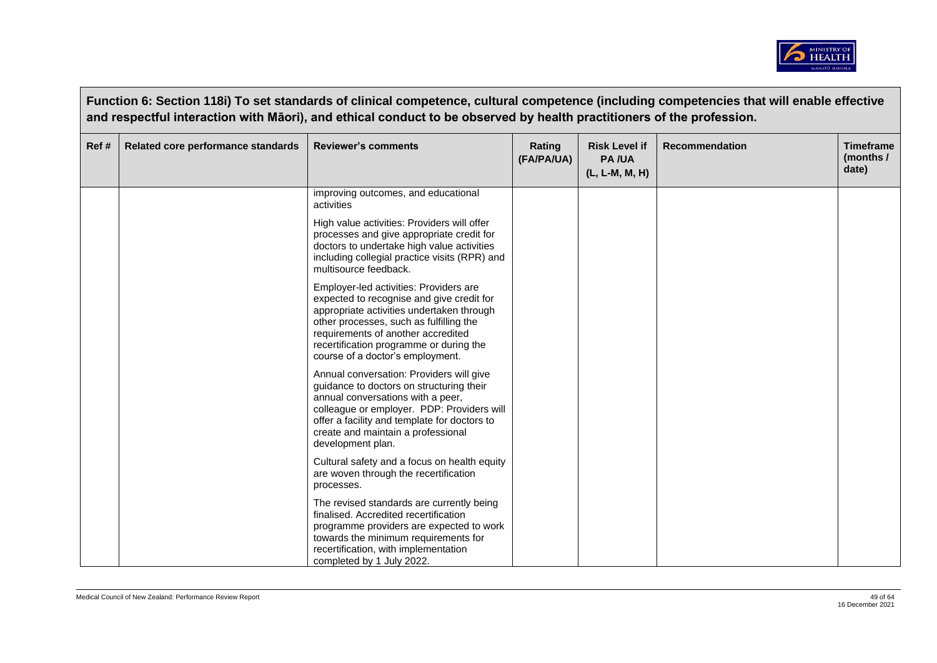

|       | Function 6: Section 118i) To set standards of clinical competence, cultural competence (including competencies that will enable effective<br>and respectful interaction with Māori), and ethical conduct to be observed by health practitioners of the profession. |                                                                                                                                                                                                                                                                                                  |                      |                                                        |                       |                                        |  |  |  |
|-------|--------------------------------------------------------------------------------------------------------------------------------------------------------------------------------------------------------------------------------------------------------------------|--------------------------------------------------------------------------------------------------------------------------------------------------------------------------------------------------------------------------------------------------------------------------------------------------|----------------------|--------------------------------------------------------|-----------------------|----------------------------------------|--|--|--|
| Ref # | Related core performance standards                                                                                                                                                                                                                                 | <b>Reviewer's comments</b>                                                                                                                                                                                                                                                                       | Rating<br>(FA/PA/UA) | <b>Risk Level if</b><br><b>PA/UA</b><br>(L, L-M, M, H) | <b>Recommendation</b> | <b>Timeframe</b><br>(months /<br>date) |  |  |  |
|       |                                                                                                                                                                                                                                                                    | improving outcomes, and educational<br>activities                                                                                                                                                                                                                                                |                      |                                                        |                       |                                        |  |  |  |
|       |                                                                                                                                                                                                                                                                    | High value activities: Providers will offer<br>processes and give appropriate credit for<br>doctors to undertake high value activities<br>including collegial practice visits (RPR) and<br>multisource feedback.                                                                                 |                      |                                                        |                       |                                        |  |  |  |
|       |                                                                                                                                                                                                                                                                    | Employer-led activities: Providers are<br>expected to recognise and give credit for<br>appropriate activities undertaken through<br>other processes, such as fulfilling the<br>requirements of another accredited<br>recertification programme or during the<br>course of a doctor's employment. |                      |                                                        |                       |                                        |  |  |  |
|       |                                                                                                                                                                                                                                                                    | Annual conversation: Providers will give<br>guidance to doctors on structuring their<br>annual conversations with a peer,<br>colleague or employer. PDP: Providers will<br>offer a facility and template for doctors to<br>create and maintain a professional<br>development plan.               |                      |                                                        |                       |                                        |  |  |  |
|       |                                                                                                                                                                                                                                                                    | Cultural safety and a focus on health equity<br>are woven through the recertification<br>processes.                                                                                                                                                                                              |                      |                                                        |                       |                                        |  |  |  |
|       |                                                                                                                                                                                                                                                                    | The revised standards are currently being<br>finalised. Accredited recertification<br>programme providers are expected to work<br>towards the minimum requirements for<br>recertification, with implementation<br>completed by 1 July 2022.                                                      |                      |                                                        |                       |                                        |  |  |  |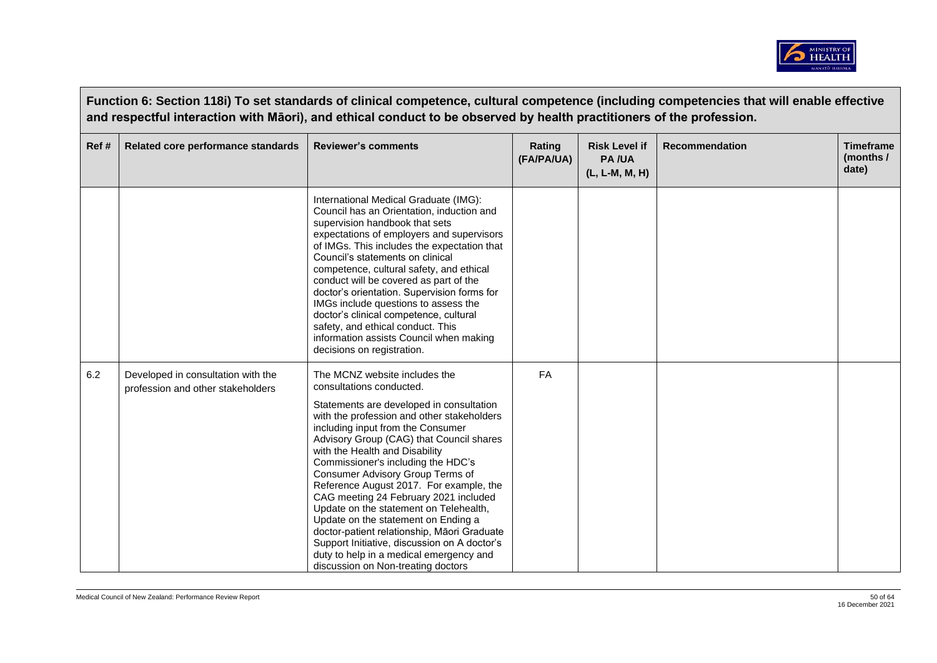

|       | Function 6: Section 118i) To set standards of clinical competence, cultural competence (including competencies that will enable effective<br>and respectful interaction with Māori), and ethical conduct to be observed by health practitioners of the profession. |                                                                                                                                                                                                                                                                                                                                                                                                                                                                                                                                                                                                                                                                                                       |                      |                                                        |                       |                                        |  |  |  |
|-------|--------------------------------------------------------------------------------------------------------------------------------------------------------------------------------------------------------------------------------------------------------------------|-------------------------------------------------------------------------------------------------------------------------------------------------------------------------------------------------------------------------------------------------------------------------------------------------------------------------------------------------------------------------------------------------------------------------------------------------------------------------------------------------------------------------------------------------------------------------------------------------------------------------------------------------------------------------------------------------------|----------------------|--------------------------------------------------------|-----------------------|----------------------------------------|--|--|--|
| Ref # | Related core performance standards                                                                                                                                                                                                                                 | <b>Reviewer's comments</b>                                                                                                                                                                                                                                                                                                                                                                                                                                                                                                                                                                                                                                                                            | Rating<br>(FA/PA/UA) | <b>Risk Level if</b><br><b>PA/UA</b><br>(L, L-M, M, H) | <b>Recommendation</b> | <b>Timeframe</b><br>(months /<br>date) |  |  |  |
|       |                                                                                                                                                                                                                                                                    | International Medical Graduate (IMG):<br>Council has an Orientation, induction and<br>supervision handbook that sets<br>expectations of employers and supervisors<br>of IMGs. This includes the expectation that<br>Council's statements on clinical<br>competence, cultural safety, and ethical<br>conduct will be covered as part of the<br>doctor's orientation. Supervision forms for<br>IMGs include questions to assess the<br>doctor's clinical competence, cultural<br>safety, and ethical conduct. This<br>information assists Council when making<br>decisions on registration.                                                                                                             |                      |                                                        |                       |                                        |  |  |  |
| 6.2   | Developed in consultation with the<br>profession and other stakeholders                                                                                                                                                                                            | The MCNZ website includes the<br>consultations conducted.<br>Statements are developed in consultation<br>with the profession and other stakeholders<br>including input from the Consumer<br>Advisory Group (CAG) that Council shares<br>with the Health and Disability<br>Commissioner's including the HDC's<br>Consumer Advisory Group Terms of<br>Reference August 2017. For example, the<br>CAG meeting 24 February 2021 included<br>Update on the statement on Telehealth,<br>Update on the statement on Ending a<br>doctor-patient relationship, Māori Graduate<br>Support Initiative, discussion on A doctor's<br>duty to help in a medical emergency and<br>discussion on Non-treating doctors | FA                   |                                                        |                       |                                        |  |  |  |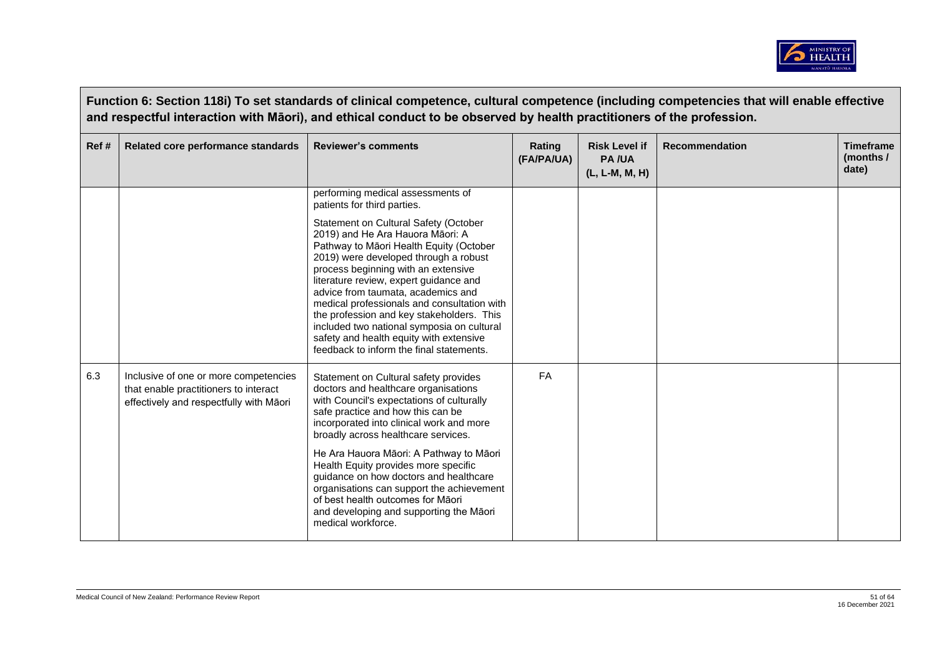

|       | Function 6: Section 118i) To set standards of clinical competence, cultural competence (including competencies that will enable effective<br>and respectful interaction with Māori), and ethical conduct to be observed by health practitioners of the profession. |                                                                                                                                                                                                                                                                                                                                                                                                                                                                                                                       |                      |                                                        |                       |                                        |  |  |  |
|-------|--------------------------------------------------------------------------------------------------------------------------------------------------------------------------------------------------------------------------------------------------------------------|-----------------------------------------------------------------------------------------------------------------------------------------------------------------------------------------------------------------------------------------------------------------------------------------------------------------------------------------------------------------------------------------------------------------------------------------------------------------------------------------------------------------------|----------------------|--------------------------------------------------------|-----------------------|----------------------------------------|--|--|--|
| Ref # | Related core performance standards                                                                                                                                                                                                                                 | <b>Reviewer's comments</b>                                                                                                                                                                                                                                                                                                                                                                                                                                                                                            | Rating<br>(FA/PA/UA) | <b>Risk Level if</b><br><b>PA/UA</b><br>(L, L-M, M, H) | <b>Recommendation</b> | <b>Timeframe</b><br>(months /<br>date) |  |  |  |
|       |                                                                                                                                                                                                                                                                    | performing medical assessments of<br>patients for third parties.                                                                                                                                                                                                                                                                                                                                                                                                                                                      |                      |                                                        |                       |                                        |  |  |  |
|       |                                                                                                                                                                                                                                                                    | Statement on Cultural Safety (October<br>2019) and He Ara Hauora Māori: A<br>Pathway to Māori Health Equity (October<br>2019) were developed through a robust<br>process beginning with an extensive<br>literature review, expert guidance and<br>advice from taumata, academics and<br>medical professionals and consultation with<br>the profession and key stakeholders. This<br>included two national symposia on cultural<br>safety and health equity with extensive<br>feedback to inform the final statements. |                      |                                                        |                       |                                        |  |  |  |
| 6.3   | Inclusive of one or more competencies<br>that enable practitioners to interact<br>effectively and respectfully with Māori                                                                                                                                          | Statement on Cultural safety provides<br>doctors and healthcare organisations<br>with Council's expectations of culturally<br>safe practice and how this can be<br>incorporated into clinical work and more<br>broadly across healthcare services.                                                                                                                                                                                                                                                                    | <b>FA</b>            |                                                        |                       |                                        |  |  |  |
|       |                                                                                                                                                                                                                                                                    | He Ara Hauora Māori: A Pathway to Māori<br>Health Equity provides more specific<br>guidance on how doctors and healthcare<br>organisations can support the achievement<br>of best health outcomes for Māori<br>and developing and supporting the Māori<br>medical workforce.                                                                                                                                                                                                                                          |                      |                                                        |                       |                                        |  |  |  |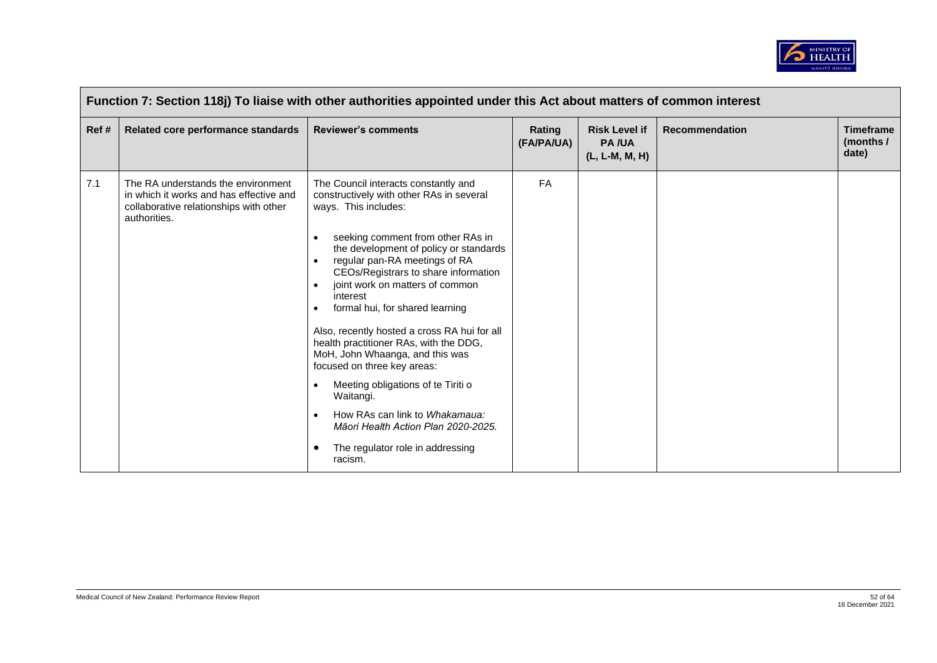

|      | Function 7: Section 118j) To liaise with other authorities appointed under this Act about matters of common interest                    |                                                                                                                                                                                                                                                                                                                                                                                                                                                                                                                                                                                                                                                                                                                                                                         |                      |                                                        |                       |                                        |  |  |  |
|------|-----------------------------------------------------------------------------------------------------------------------------------------|-------------------------------------------------------------------------------------------------------------------------------------------------------------------------------------------------------------------------------------------------------------------------------------------------------------------------------------------------------------------------------------------------------------------------------------------------------------------------------------------------------------------------------------------------------------------------------------------------------------------------------------------------------------------------------------------------------------------------------------------------------------------------|----------------------|--------------------------------------------------------|-----------------------|----------------------------------------|--|--|--|
| Ref# | Related core performance standards                                                                                                      | <b>Reviewer's comments</b>                                                                                                                                                                                                                                                                                                                                                                                                                                                                                                                                                                                                                                                                                                                                              | Rating<br>(FA/PA/UA) | <b>Risk Level if</b><br><b>PA/UA</b><br>(L, L-M, M, H) | <b>Recommendation</b> | <b>Timeframe</b><br>(months /<br>date) |  |  |  |
| 7.1  | The RA understands the environment<br>in which it works and has effective and<br>collaborative relationships with other<br>authorities. | The Council interacts constantly and<br>constructively with other RAs in several<br>ways. This includes:<br>seeking comment from other RAs in<br>$\bullet$<br>the development of policy or standards<br>regular pan-RA meetings of RA<br>CEOs/Registrars to share information<br>joint work on matters of common<br>$\bullet$<br>interest<br>formal hui, for shared learning<br>$\bullet$<br>Also, recently hosted a cross RA hui for all<br>health practitioner RAs, with the DDG,<br>MoH, John Whaanga, and this was<br>focused on three key areas:<br>Meeting obligations of te Tiriti o<br>$\bullet$<br>Waitangi.<br>How RAs can link to Whakamaua:<br>$\bullet$<br>Māori Health Action Plan 2020-2025.<br>The regulator role in addressing<br>$\bullet$<br>racism. | <b>FA</b>            |                                                        |                       |                                        |  |  |  |

 $\overline{\phantom{a}}$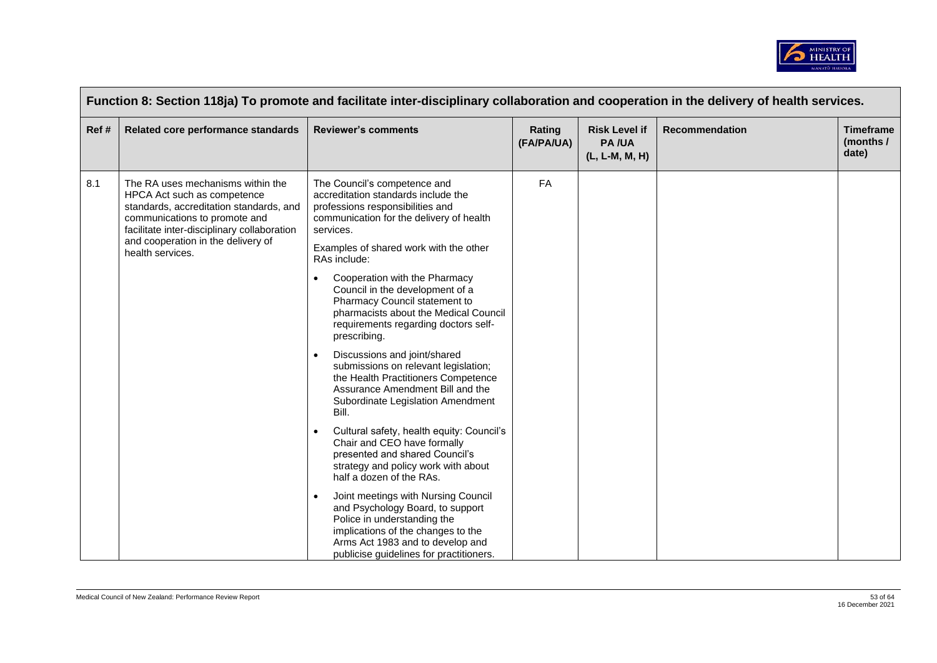

|      | Function 8: Section 118ja) To promote and facilitate inter-disciplinary collaboration and cooperation in the delivery of health services.                                                                                                             |                                                                                                                                                                                                                                                                                                                                                                                                                                                                                                                                                                                                                                                                                                                                                                                                                                                                                                                                                                                                                                                                |                      |                                                          |                       |                                        |  |  |  |
|------|-------------------------------------------------------------------------------------------------------------------------------------------------------------------------------------------------------------------------------------------------------|----------------------------------------------------------------------------------------------------------------------------------------------------------------------------------------------------------------------------------------------------------------------------------------------------------------------------------------------------------------------------------------------------------------------------------------------------------------------------------------------------------------------------------------------------------------------------------------------------------------------------------------------------------------------------------------------------------------------------------------------------------------------------------------------------------------------------------------------------------------------------------------------------------------------------------------------------------------------------------------------------------------------------------------------------------------|----------------------|----------------------------------------------------------|-----------------------|----------------------------------------|--|--|--|
| Ref# | Related core performance standards                                                                                                                                                                                                                    | <b>Reviewer's comments</b>                                                                                                                                                                                                                                                                                                                                                                                                                                                                                                                                                                                                                                                                                                                                                                                                                                                                                                                                                                                                                                     | Rating<br>(FA/PA/UA) | <b>Risk Level if</b><br><b>PA/UA</b><br>$(L, L-M, M, H)$ | <b>Recommendation</b> | <b>Timeframe</b><br>(months /<br>date) |  |  |  |
| 8.1  | The RA uses mechanisms within the<br>HPCA Act such as competence<br>standards, accreditation standards, and<br>communications to promote and<br>facilitate inter-disciplinary collaboration<br>and cooperation in the delivery of<br>health services. | The Council's competence and<br>accreditation standards include the<br>professions responsibilities and<br>communication for the delivery of health<br>services.<br>Examples of shared work with the other<br>RAs include:<br>Cooperation with the Pharmacy<br>Council in the development of a<br>Pharmacy Council statement to<br>pharmacists about the Medical Council<br>requirements regarding doctors self-<br>prescribing.<br>Discussions and joint/shared<br>submissions on relevant legislation;<br>the Health Practitioners Competence<br>Assurance Amendment Bill and the<br>Subordinate Legislation Amendment<br>Bill.<br>Cultural safety, health equity: Council's<br>$\bullet$<br>Chair and CEO have formally<br>presented and shared Council's<br>strategy and policy work with about<br>half a dozen of the RAs.<br>Joint meetings with Nursing Council<br>and Psychology Board, to support<br>Police in understanding the<br>implications of the changes to the<br>Arms Act 1983 and to develop and<br>publicise guidelines for practitioners. | FA                   |                                                          |                       |                                        |  |  |  |

 $\blacksquare$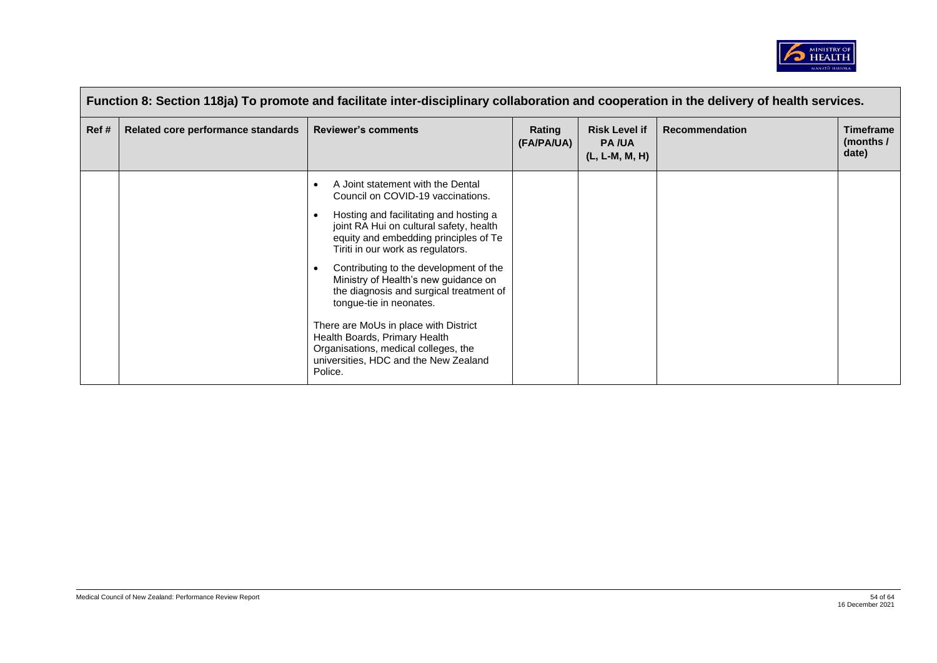

|       | Function 8: Section 118ja) To promote and facilitate inter-disciplinary collaboration and cooperation in the delivery of health services. |                                                                                                                                                                                                                                                                                                                                                                                                                                                                                                                                                                                                   |                      |                                                          |                       |                                                 |  |  |  |
|-------|-------------------------------------------------------------------------------------------------------------------------------------------|---------------------------------------------------------------------------------------------------------------------------------------------------------------------------------------------------------------------------------------------------------------------------------------------------------------------------------------------------------------------------------------------------------------------------------------------------------------------------------------------------------------------------------------------------------------------------------------------------|----------------------|----------------------------------------------------------|-----------------------|-------------------------------------------------|--|--|--|
| Ref # | Related core performance standards                                                                                                        | <b>Reviewer's comments</b>                                                                                                                                                                                                                                                                                                                                                                                                                                                                                                                                                                        | Rating<br>(FA/PA/UA) | <b>Risk Level if</b><br><b>PA/UA</b><br>$(L, L-M, M, H)$ | <b>Recommendation</b> | <b>Timeframe</b><br>(months $\sqrt{ }$<br>date) |  |  |  |
|       |                                                                                                                                           | A Joint statement with the Dental<br>$\bullet$<br>Council on COVID-19 vaccinations.<br>Hosting and facilitating and hosting a<br>$\bullet$<br>joint RA Hui on cultural safety, health<br>equity and embedding principles of Te<br>Tiriti in our work as regulators.<br>Contributing to the development of the<br>Ministry of Health's new guidance on<br>the diagnosis and surgical treatment of<br>tongue-tie in neonates.<br>There are MoUs in place with District<br>Health Boards, Primary Health<br>Organisations, medical colleges, the<br>universities, HDC and the New Zealand<br>Police. |                      |                                                          |                       |                                                 |  |  |  |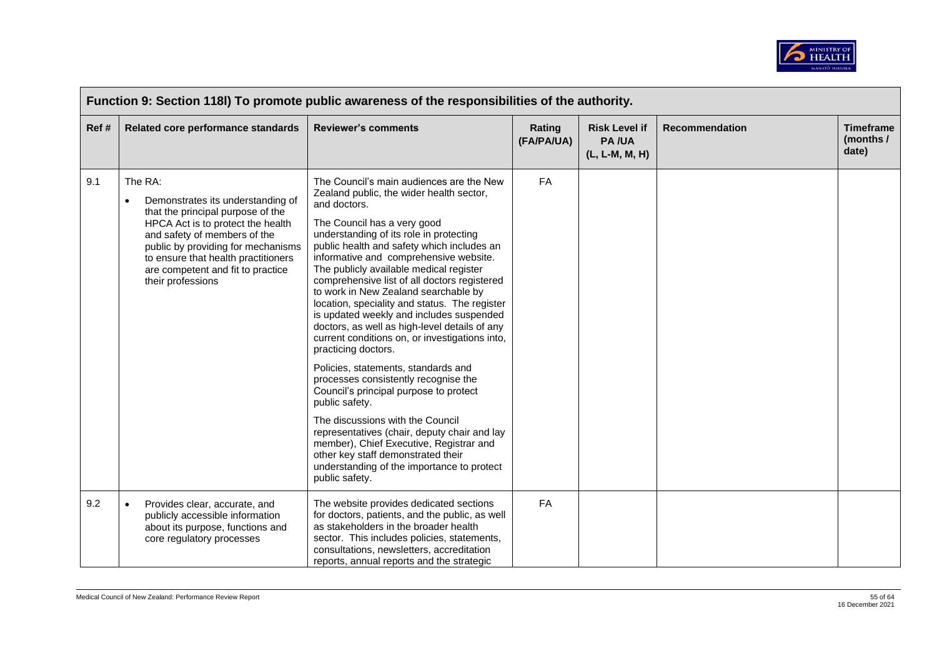

|      | Function 9: Section 118I) To promote public awareness of the responsibilities of the authority. |                                                                                                                                                                                                                                                                                               |                                                                                                                                                                                                                                                                                                                                                                                                                                                                                                                                                                                                                                                                                                                                                                                                                                                                                                                                                                                                                  |                      |                                                        |                       |                                        |  |  |
|------|-------------------------------------------------------------------------------------------------|-----------------------------------------------------------------------------------------------------------------------------------------------------------------------------------------------------------------------------------------------------------------------------------------------|------------------------------------------------------------------------------------------------------------------------------------------------------------------------------------------------------------------------------------------------------------------------------------------------------------------------------------------------------------------------------------------------------------------------------------------------------------------------------------------------------------------------------------------------------------------------------------------------------------------------------------------------------------------------------------------------------------------------------------------------------------------------------------------------------------------------------------------------------------------------------------------------------------------------------------------------------------------------------------------------------------------|----------------------|--------------------------------------------------------|-----------------------|----------------------------------------|--|--|
| Ref# |                                                                                                 | Related core performance standards                                                                                                                                                                                                                                                            | <b>Reviewer's comments</b>                                                                                                                                                                                                                                                                                                                                                                                                                                                                                                                                                                                                                                                                                                                                                                                                                                                                                                                                                                                       | Rating<br>(FA/PA/UA) | <b>Risk Level if</b><br><b>PA/UA</b><br>(L, L-M, M, H) | <b>Recommendation</b> | <b>Timeframe</b><br>(months /<br>date) |  |  |
| 9.1  | $\bullet$                                                                                       | The RA:<br>Demonstrates its understanding of<br>that the principal purpose of the<br>HPCA Act is to protect the health<br>and safety of members of the<br>public by providing for mechanisms<br>to ensure that health practitioners<br>are competent and fit to practice<br>their professions | The Council's main audiences are the New<br>Zealand public, the wider health sector,<br>and doctors.<br>The Council has a very good<br>understanding of its role in protecting<br>public health and safety which includes an<br>informative and comprehensive website.<br>The publicly available medical register<br>comprehensive list of all doctors registered<br>to work in New Zealand searchable by<br>location, speciality and status. The register<br>is updated weekly and includes suspended<br>doctors, as well as high-level details of any<br>current conditions on, or investigations into,<br>practicing doctors.<br>Policies, statements, standards and<br>processes consistently recognise the<br>Council's principal purpose to protect<br>public safety.<br>The discussions with the Council<br>representatives (chair, deputy chair and lay<br>member), Chief Executive, Registrar and<br>other key staff demonstrated their<br>understanding of the importance to protect<br>public safety. | FA                   |                                                        |                       |                                        |  |  |
| 9.2  | $\bullet$                                                                                       | Provides clear, accurate, and<br>publicly accessible information<br>about its purpose, functions and<br>core regulatory processes                                                                                                                                                             | The website provides dedicated sections<br>for doctors, patients, and the public, as well<br>as stakeholders in the broader health<br>sector. This includes policies, statements,<br>consultations, newsletters, accreditation<br>reports, annual reports and the strategic                                                                                                                                                                                                                                                                                                                                                                                                                                                                                                                                                                                                                                                                                                                                      | FA                   |                                                        |                       |                                        |  |  |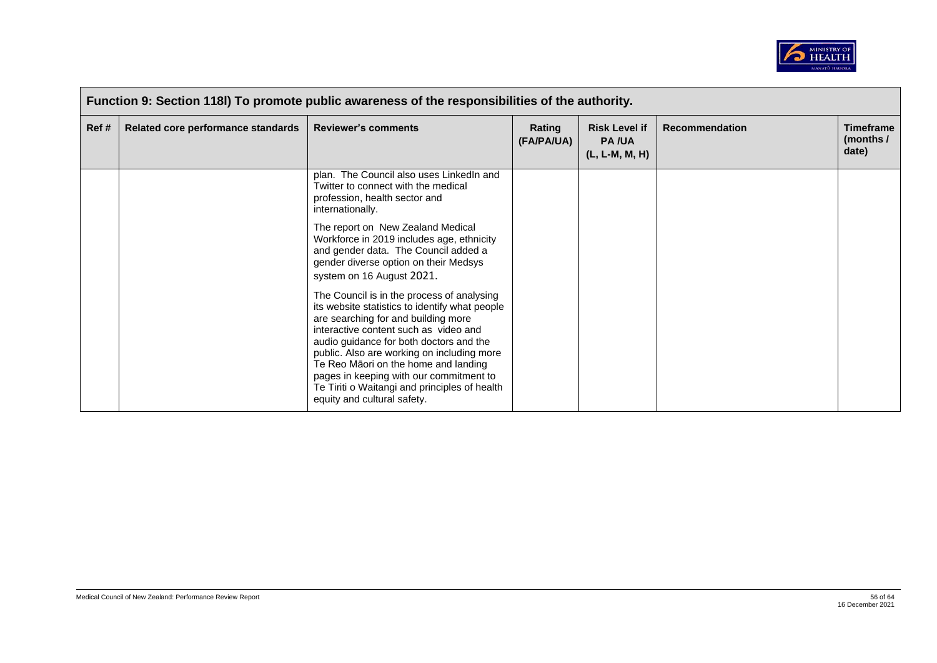

|       | Function 9: Section 118I) To promote public awareness of the responsibilities of the authority. |                                                                                                                                                                                                                                                                                                                                                                                                                                          |                      |                                                        |                       |                                        |  |  |  |
|-------|-------------------------------------------------------------------------------------------------|------------------------------------------------------------------------------------------------------------------------------------------------------------------------------------------------------------------------------------------------------------------------------------------------------------------------------------------------------------------------------------------------------------------------------------------|----------------------|--------------------------------------------------------|-----------------------|----------------------------------------|--|--|--|
| Ref # | Related core performance standards                                                              | <b>Reviewer's comments</b>                                                                                                                                                                                                                                                                                                                                                                                                               | Rating<br>(FA/PA/UA) | <b>Risk Level if</b><br><b>PA/UA</b><br>(L, L-M, M, H) | <b>Recommendation</b> | <b>Timeframe</b><br>(months /<br>date) |  |  |  |
|       |                                                                                                 | plan. The Council also uses LinkedIn and<br>Twitter to connect with the medical<br>profession, health sector and<br>internationally.                                                                                                                                                                                                                                                                                                     |                      |                                                        |                       |                                        |  |  |  |
|       |                                                                                                 | The report on New Zealand Medical<br>Workforce in 2019 includes age, ethnicity<br>and gender data. The Council added a<br>gender diverse option on their Medsys<br>system on 16 August 2021.                                                                                                                                                                                                                                             |                      |                                                        |                       |                                        |  |  |  |
|       |                                                                                                 | The Council is in the process of analysing<br>its website statistics to identify what people<br>are searching for and building more<br>interactive content such as video and<br>audio guidance for both doctors and the<br>public. Also are working on including more<br>Te Reo Māori on the home and landing<br>pages in keeping with our commitment to<br>Te Tiriti o Waitangi and principles of health<br>equity and cultural safety. |                      |                                                        |                       |                                        |  |  |  |

 $\overline{\phantom{a}}$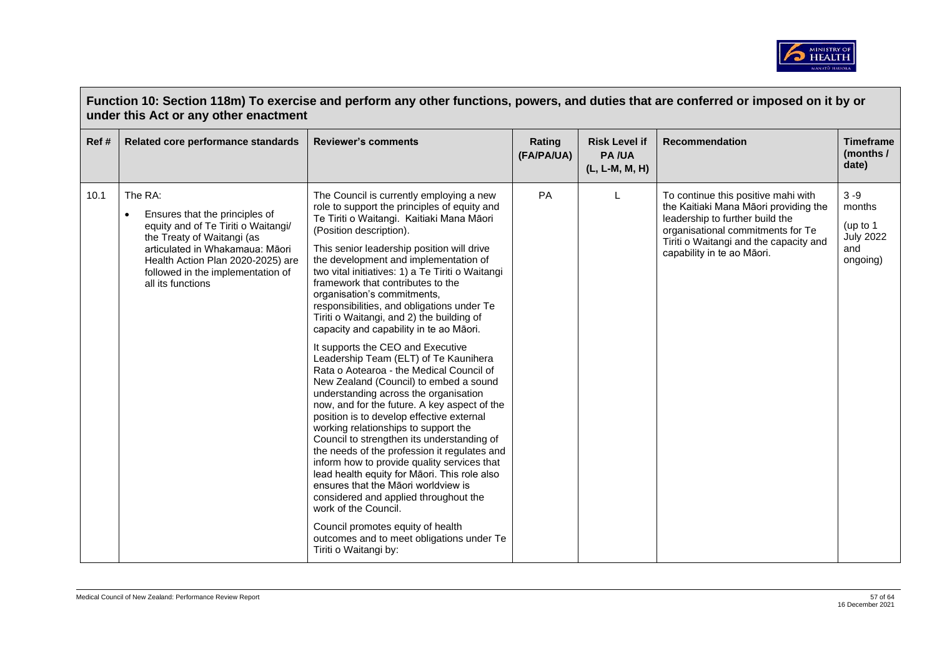

|      | Function 10: Section 118m) To exercise and perform any other functions, powers, and duties that are conferred or imposed on it by or<br>under this Act or any other enactment                                                                                 |                                                                                                                                                                                                                                                                                                                                                                                                                                                                                                                                                                                                                                                                                                                                                                                                                                                                                                                                                                                                                                                                                                                                                                                                                                                                                         |                      |                                                        |                                                                                                                                                                                                                              |                                                                      |  |  |  |
|------|---------------------------------------------------------------------------------------------------------------------------------------------------------------------------------------------------------------------------------------------------------------|-----------------------------------------------------------------------------------------------------------------------------------------------------------------------------------------------------------------------------------------------------------------------------------------------------------------------------------------------------------------------------------------------------------------------------------------------------------------------------------------------------------------------------------------------------------------------------------------------------------------------------------------------------------------------------------------------------------------------------------------------------------------------------------------------------------------------------------------------------------------------------------------------------------------------------------------------------------------------------------------------------------------------------------------------------------------------------------------------------------------------------------------------------------------------------------------------------------------------------------------------------------------------------------------|----------------------|--------------------------------------------------------|------------------------------------------------------------------------------------------------------------------------------------------------------------------------------------------------------------------------------|----------------------------------------------------------------------|--|--|--|
| Ref# | Related core performance standards                                                                                                                                                                                                                            | <b>Reviewer's comments</b>                                                                                                                                                                                                                                                                                                                                                                                                                                                                                                                                                                                                                                                                                                                                                                                                                                                                                                                                                                                                                                                                                                                                                                                                                                                              | Rating<br>(FA/PA/UA) | <b>Risk Level if</b><br><b>PA/UA</b><br>(L, L-M, M, H) | <b>Recommendation</b>                                                                                                                                                                                                        | <b>Timeframe</b><br>(months /<br>date)                               |  |  |  |
| 10.1 | The RA:<br>Ensures that the principles of<br>$\bullet$<br>equity and of Te Tiriti o Waitangi/<br>the Treaty of Waitangi (as<br>articulated in Whakamaua: Māori<br>Health Action Plan 2020-2025) are<br>followed in the implementation of<br>all its functions | The Council is currently employing a new<br>role to support the principles of equity and<br>Te Tiriti o Waitangi. Kaitiaki Mana Māori<br>(Position description).<br>This senior leadership position will drive<br>the development and implementation of<br>two vital initiatives: 1) a Te Tiriti o Waitangi<br>framework that contributes to the<br>organisation's commitments,<br>responsibilities, and obligations under Te<br>Tiriti o Waitangi, and 2) the building of<br>capacity and capability in te ao Māori.<br>It supports the CEO and Executive<br>Leadership Team (ELT) of Te Kaunihera<br>Rata o Aotearoa - the Medical Council of<br>New Zealand (Council) to embed a sound<br>understanding across the organisation<br>now, and for the future. A key aspect of the<br>position is to develop effective external<br>working relationships to support the<br>Council to strengthen its understanding of<br>the needs of the profession it regulates and<br>inform how to provide quality services that<br>lead health equity for Māori. This role also<br>ensures that the Māori worldview is<br>considered and applied throughout the<br>work of the Council.<br>Council promotes equity of health<br>outcomes and to meet obligations under Te<br>Tiriti o Waitangi by: | PA                   | L                                                      | To continue this positive mahi with<br>the Kaitiaki Mana Māori providing the<br>leadership to further build the<br>organisational commitments for Te<br>Tiriti o Waitangi and the capacity and<br>capability in te ao Māori. | $3 - 9$<br>months<br>(up to 1<br><b>July 2022</b><br>and<br>ongoing) |  |  |  |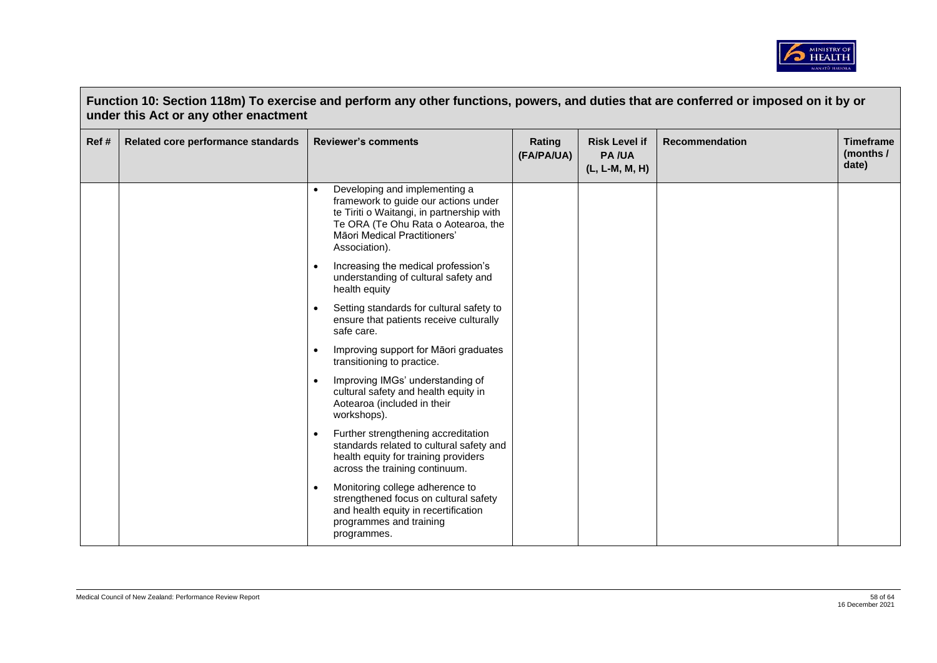

|       | under this Act or any other enactment |                                                                                                                                                                                                            |                      |                                                        |                       |                                        |
|-------|---------------------------------------|------------------------------------------------------------------------------------------------------------------------------------------------------------------------------------------------------------|----------------------|--------------------------------------------------------|-----------------------|----------------------------------------|
| Ref # | Related core performance standards    | <b>Reviewer's comments</b>                                                                                                                                                                                 | Rating<br>(FA/PA/UA) | <b>Risk Level if</b><br><b>PA/UA</b><br>(L, L-M, M, H) | <b>Recommendation</b> | <b>Timeframe</b><br>(months /<br>date) |
|       |                                       | Developing and implementing a<br>framework to guide our actions under<br>te Tiriti o Waitangi, in partnership with<br>Te ORA (Te Ohu Rata o Aotearoa, the<br>Māori Medical Practitioners'<br>Association). |                      |                                                        |                       |                                        |
|       |                                       | Increasing the medical profession's<br>$\bullet$<br>understanding of cultural safety and<br>health equity                                                                                                  |                      |                                                        |                       |                                        |
|       |                                       | Setting standards for cultural safety to<br>ensure that patients receive culturally<br>safe care.                                                                                                          |                      |                                                        |                       |                                        |
|       |                                       | Improving support for Māori graduates<br>$\bullet$<br>transitioning to practice.                                                                                                                           |                      |                                                        |                       |                                        |
|       |                                       | Improving IMGs' understanding of<br>cultural safety and health equity in<br>Aotearoa (included in their<br>workshops).                                                                                     |                      |                                                        |                       |                                        |
|       |                                       | Further strengthening accreditation<br>$\bullet$<br>standards related to cultural safety and<br>health equity for training providers<br>across the training continuum.                                     |                      |                                                        |                       |                                        |
|       |                                       | Monitoring college adherence to<br>$\bullet$<br>strengthened focus on cultural safety<br>and health equity in recertification<br>programmes and training<br>programmes.                                    |                      |                                                        |                       |                                        |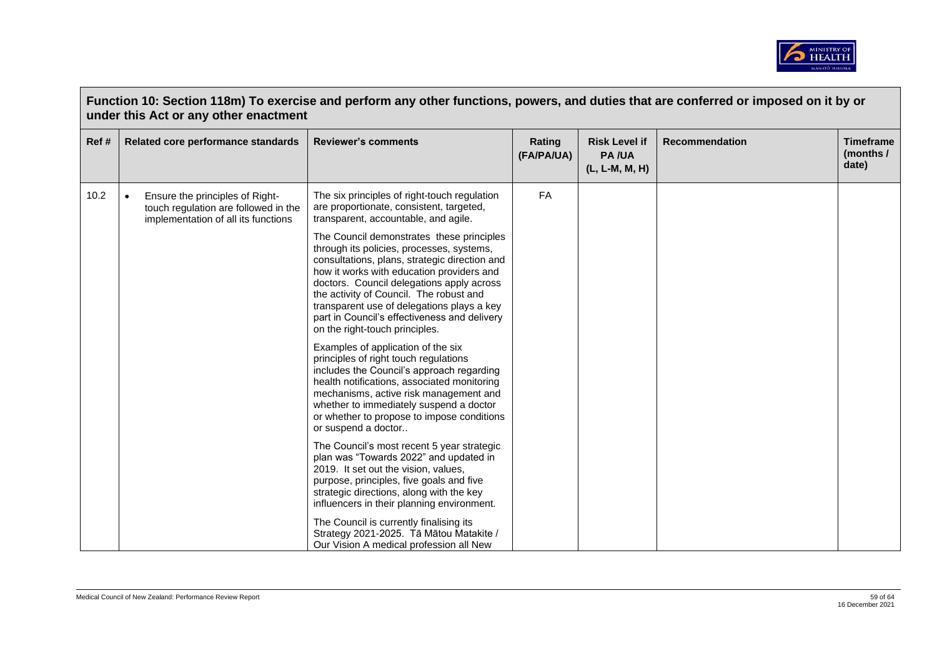

| Ref# | Related core performance standards                                                                                          | <b>Reviewer's comments</b>                                                                                                                                                                                                                                                                                                                                                                                   | Rating<br>(FA/PA/UA) | <b>Risk Level if</b><br><b>PA/UA</b><br>(L, L-M, M, H) | <b>Recommendation</b> | <b>Timeframe</b><br>(months /<br>date) |
|------|-----------------------------------------------------------------------------------------------------------------------------|--------------------------------------------------------------------------------------------------------------------------------------------------------------------------------------------------------------------------------------------------------------------------------------------------------------------------------------------------------------------------------------------------------------|----------------------|--------------------------------------------------------|-----------------------|----------------------------------------|
| 10.2 | Ensure the principles of Right-<br>$\bullet$<br>touch regulation are followed in the<br>implementation of all its functions | The six principles of right-touch regulation<br>are proportionate, consistent, targeted,<br>transparent, accountable, and agile.                                                                                                                                                                                                                                                                             | <b>FA</b>            |                                                        |                       |                                        |
|      |                                                                                                                             | The Council demonstrates these principles<br>through its policies, processes, systems,<br>consultations, plans, strategic direction and<br>how it works with education providers and<br>doctors. Council delegations apply across<br>the activity of Council. The robust and<br>transparent use of delegations plays a key<br>part in Council's effectiveness and delivery<br>on the right-touch principles. |                      |                                                        |                       |                                        |
|      |                                                                                                                             | Examples of application of the six<br>principles of right touch regulations<br>includes the Council's approach regarding<br>health notifications, associated monitoring<br>mechanisms, active risk management and<br>whether to immediately suspend a doctor<br>or whether to propose to impose conditions<br>or suspend a doctor                                                                            |                      |                                                        |                       |                                        |
|      |                                                                                                                             | The Council's most recent 5 year strategic<br>plan was "Towards 2022" and updated in<br>2019. It set out the vision, values,<br>purpose, principles, five goals and five<br>strategic directions, along with the key<br>influencers in their planning environment.                                                                                                                                           |                      |                                                        |                       |                                        |
|      |                                                                                                                             | The Council is currently finalising its<br>Strategy 2021-2025. Tā Mātou Matakite /<br>Our Vision A medical profession all New                                                                                                                                                                                                                                                                                |                      |                                                        |                       |                                        |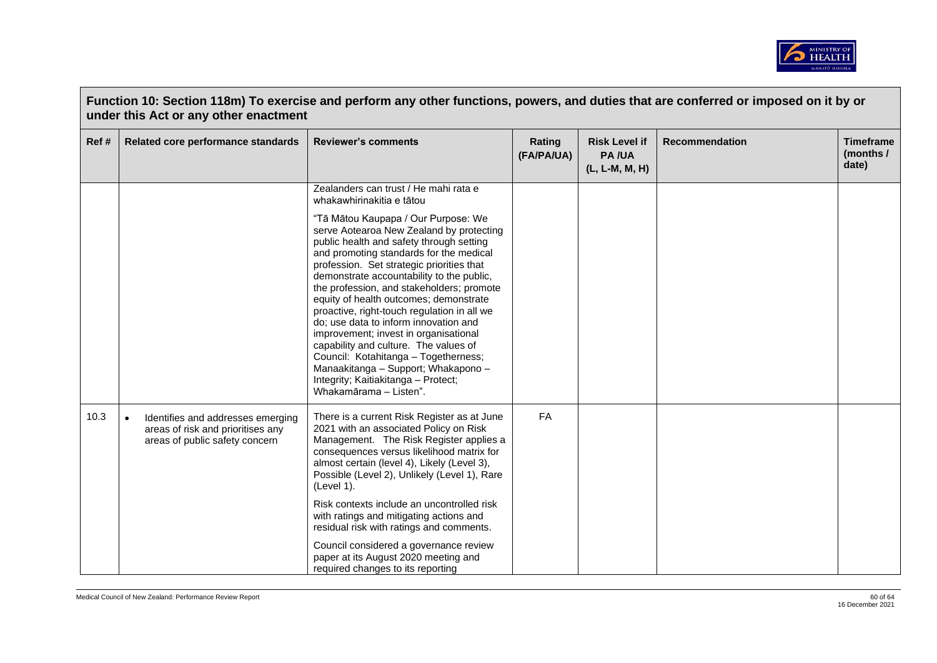

|      | Function 10: Section 118m) To exercise and perform any other functions, powers, and duties that are conferred or imposed on it by or<br>under this Act or any other enactment |                                                                                                                                                                                                                                                                                                                                                                                                                                                                                                                                                                                                                                                                                   |                      |                                                        |                       |                                        |  |  |  |
|------|-------------------------------------------------------------------------------------------------------------------------------------------------------------------------------|-----------------------------------------------------------------------------------------------------------------------------------------------------------------------------------------------------------------------------------------------------------------------------------------------------------------------------------------------------------------------------------------------------------------------------------------------------------------------------------------------------------------------------------------------------------------------------------------------------------------------------------------------------------------------------------|----------------------|--------------------------------------------------------|-----------------------|----------------------------------------|--|--|--|
| Ref# | Related core performance standards                                                                                                                                            | <b>Reviewer's comments</b>                                                                                                                                                                                                                                                                                                                                                                                                                                                                                                                                                                                                                                                        | Rating<br>(FA/PA/UA) | <b>Risk Level if</b><br><b>PA/UA</b><br>(L, L-M, M, H) | <b>Recommendation</b> | <b>Timeframe</b><br>(months /<br>date) |  |  |  |
|      |                                                                                                                                                                               | Zealanders can trust / He mahi rata e<br>whakawhirinakitia e tātou                                                                                                                                                                                                                                                                                                                                                                                                                                                                                                                                                                                                                |                      |                                                        |                       |                                        |  |  |  |
|      |                                                                                                                                                                               | "Tā Mātou Kaupapa / Our Purpose: We<br>serve Aotearoa New Zealand by protecting<br>public health and safety through setting<br>and promoting standards for the medical<br>profession. Set strategic priorities that<br>demonstrate accountability to the public,<br>the profession, and stakeholders; promote<br>equity of health outcomes; demonstrate<br>proactive, right-touch regulation in all we<br>do; use data to inform innovation and<br>improvement; invest in organisational<br>capability and culture. The values of<br>Council: Kotahitanga - Togetherness;<br>Manaakitanga - Support; Whakapono -<br>Integrity; Kaitiakitanga - Protect;<br>Whakamārama - Listen". |                      |                                                        |                       |                                        |  |  |  |
| 10.3 | Identifies and addresses emerging<br>$\bullet$<br>areas of risk and prioritises any<br>areas of public safety concern                                                         | There is a current Risk Register as at June<br>2021 with an associated Policy on Risk<br>Management. The Risk Register applies a<br>consequences versus likelihood matrix for<br>almost certain (level 4), Likely (Level 3),<br>Possible (Level 2), Unlikely (Level 1), Rare<br>(Level 1).<br>Risk contexts include an uncontrolled risk<br>with ratings and mitigating actions and<br>residual risk with ratings and comments.                                                                                                                                                                                                                                                   | <b>FA</b>            |                                                        |                       |                                        |  |  |  |
|      |                                                                                                                                                                               | Council considered a governance review<br>paper at its August 2020 meeting and<br>required changes to its reporting                                                                                                                                                                                                                                                                                                                                                                                                                                                                                                                                                               |                      |                                                        |                       |                                        |  |  |  |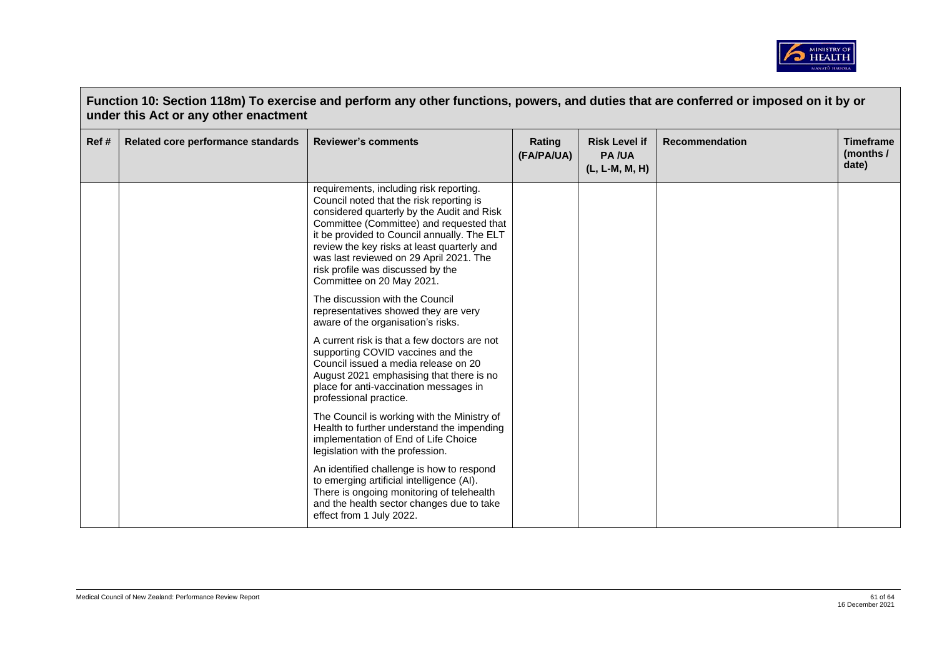

| Ref# | Related core performance standards | <b>Reviewer's comments</b>                                                                                                                                                                                                                                                                                                                                                               | Rating<br>(FA/PA/UA) | <b>Risk Level if</b><br><b>PA/UA</b><br>$(L, L-M, M, H)$ | <b>Recommendation</b> | <b>Timeframe</b><br>(months /<br>date) |
|------|------------------------------------|------------------------------------------------------------------------------------------------------------------------------------------------------------------------------------------------------------------------------------------------------------------------------------------------------------------------------------------------------------------------------------------|----------------------|----------------------------------------------------------|-----------------------|----------------------------------------|
|      |                                    | requirements, including risk reporting.<br>Council noted that the risk reporting is<br>considered quarterly by the Audit and Risk<br>Committee (Committee) and requested that<br>it be provided to Council annually. The ELT<br>review the key risks at least quarterly and<br>was last reviewed on 29 April 2021. The<br>risk profile was discussed by the<br>Committee on 20 May 2021. |                      |                                                          |                       |                                        |
|      |                                    | The discussion with the Council<br>representatives showed they are very<br>aware of the organisation's risks.                                                                                                                                                                                                                                                                            |                      |                                                          |                       |                                        |
|      |                                    | A current risk is that a few doctors are not<br>supporting COVID vaccines and the<br>Council issued a media release on 20<br>August 2021 emphasising that there is no<br>place for anti-vaccination messages in<br>professional practice.                                                                                                                                                |                      |                                                          |                       |                                        |
|      |                                    | The Council is working with the Ministry of<br>Health to further understand the impending<br>implementation of End of Life Choice<br>legislation with the profession.                                                                                                                                                                                                                    |                      |                                                          |                       |                                        |
|      |                                    | An identified challenge is how to respond<br>to emerging artificial intelligence (AI).<br>There is ongoing monitoring of telehealth<br>and the health sector changes due to take<br>effect from 1 July 2022.                                                                                                                                                                             |                      |                                                          |                       |                                        |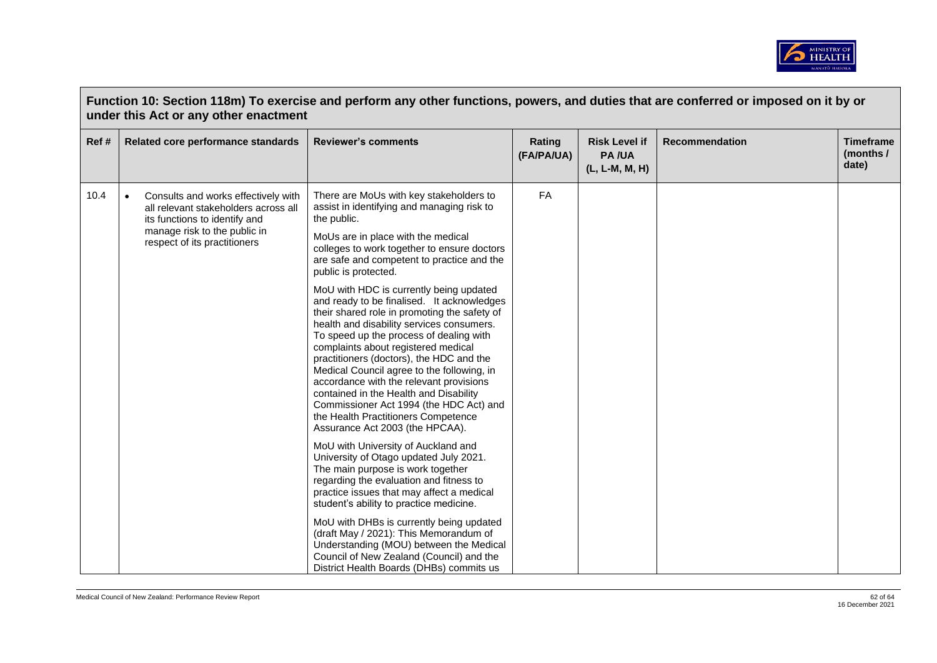

|      | Function 10: Section 118m) To exercise and perform any other functions, powers, and duties that are conferred or imposed on it by or<br>under this Act or any other enactment             |                                                                                                                                                                                                                                                                                                                                                                                                                                                                                                                                                                          |                      |                                                        |                       |                                        |  |  |  |
|------|-------------------------------------------------------------------------------------------------------------------------------------------------------------------------------------------|--------------------------------------------------------------------------------------------------------------------------------------------------------------------------------------------------------------------------------------------------------------------------------------------------------------------------------------------------------------------------------------------------------------------------------------------------------------------------------------------------------------------------------------------------------------------------|----------------------|--------------------------------------------------------|-----------------------|----------------------------------------|--|--|--|
| Ref# | Related core performance standards                                                                                                                                                        | <b>Reviewer's comments</b>                                                                                                                                                                                                                                                                                                                                                                                                                                                                                                                                               | Rating<br>(FA/PA/UA) | <b>Risk Level if</b><br><b>PA/UA</b><br>(L, L-M, M, H) | <b>Recommendation</b> | <b>Timeframe</b><br>(months /<br>date) |  |  |  |
| 10.4 | Consults and works effectively with<br>$\bullet$<br>all relevant stakeholders across all<br>its functions to identify and<br>manage risk to the public in<br>respect of its practitioners | There are MoUs with key stakeholders to<br>assist in identifying and managing risk to<br>the public.                                                                                                                                                                                                                                                                                                                                                                                                                                                                     | FA                   |                                                        |                       |                                        |  |  |  |
|      |                                                                                                                                                                                           | MoUs are in place with the medical<br>colleges to work together to ensure doctors<br>are safe and competent to practice and the<br>public is protected.                                                                                                                                                                                                                                                                                                                                                                                                                  |                      |                                                        |                       |                                        |  |  |  |
|      |                                                                                                                                                                                           | MoU with HDC is currently being updated<br>and ready to be finalised. It acknowledges<br>their shared role in promoting the safety of<br>health and disability services consumers.<br>To speed up the process of dealing with<br>complaints about registered medical<br>practitioners (doctors), the HDC and the<br>Medical Council agree to the following, in<br>accordance with the relevant provisions<br>contained in the Health and Disability<br>Commissioner Act 1994 (the HDC Act) and<br>the Health Practitioners Competence<br>Assurance Act 2003 (the HPCAA). |                      |                                                        |                       |                                        |  |  |  |
|      |                                                                                                                                                                                           | MoU with University of Auckland and<br>University of Otago updated July 2021.<br>The main purpose is work together<br>regarding the evaluation and fitness to<br>practice issues that may affect a medical<br>student's ability to practice medicine.                                                                                                                                                                                                                                                                                                                    |                      |                                                        |                       |                                        |  |  |  |
|      |                                                                                                                                                                                           | MoU with DHBs is currently being updated<br>(draft May / 2021): This Memorandum of<br>Understanding (MOU) between the Medical<br>Council of New Zealand (Council) and the<br>District Health Boards (DHBs) commits us                                                                                                                                                                                                                                                                                                                                                    |                      |                                                        |                       |                                        |  |  |  |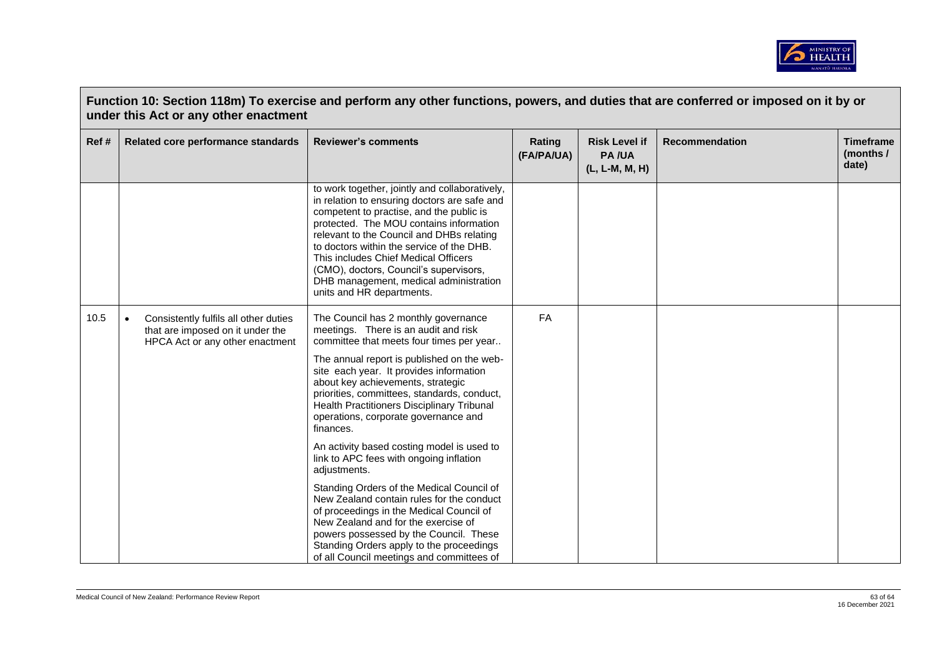

|       | Function 10: Section 118m) To exercise and perform any other functions, powers, and duties that are conferred or imposed on it by or<br>under this Act or any other enactment |                                                                                                                                                                                                                                                                                                                                                                                                                                                                                                                                                                                                                                                                                                                                                                                                                                   |                      |                                                        |                       |                                        |  |  |  |
|-------|-------------------------------------------------------------------------------------------------------------------------------------------------------------------------------|-----------------------------------------------------------------------------------------------------------------------------------------------------------------------------------------------------------------------------------------------------------------------------------------------------------------------------------------------------------------------------------------------------------------------------------------------------------------------------------------------------------------------------------------------------------------------------------------------------------------------------------------------------------------------------------------------------------------------------------------------------------------------------------------------------------------------------------|----------------------|--------------------------------------------------------|-----------------------|----------------------------------------|--|--|--|
| Ref # | Related core performance standards                                                                                                                                            | <b>Reviewer's comments</b>                                                                                                                                                                                                                                                                                                                                                                                                                                                                                                                                                                                                                                                                                                                                                                                                        | Rating<br>(FA/PA/UA) | <b>Risk Level if</b><br><b>PA/UA</b><br>(L, L-M, M, H) | <b>Recommendation</b> | <b>Timeframe</b><br>(months /<br>date) |  |  |  |
|       |                                                                                                                                                                               | to work together, jointly and collaboratively,<br>in relation to ensuring doctors are safe and<br>competent to practise, and the public is<br>protected. The MOU contains information<br>relevant to the Council and DHBs relating<br>to doctors within the service of the DHB.<br>This includes Chief Medical Officers<br>(CMO), doctors, Council's supervisors,<br>DHB management, medical administration<br>units and HR departments.                                                                                                                                                                                                                                                                                                                                                                                          |                      |                                                        |                       |                                        |  |  |  |
| 10.5  | Consistently fulfils all other duties<br>$\bullet$<br>that are imposed on it under the<br>HPCA Act or any other enactment                                                     | The Council has 2 monthly governance<br>meetings. There is an audit and risk<br>committee that meets four times per year<br>The annual report is published on the web-<br>site each year. It provides information<br>about key achievements, strategic<br>priorities, committees, standards, conduct,<br>Health Practitioners Disciplinary Tribunal<br>operations, corporate governance and<br>finances.<br>An activity based costing model is used to<br>link to APC fees with ongoing inflation<br>adjustments.<br>Standing Orders of the Medical Council of<br>New Zealand contain rules for the conduct<br>of proceedings in the Medical Council of<br>New Zealand and for the exercise of<br>powers possessed by the Council. These<br>Standing Orders apply to the proceedings<br>of all Council meetings and committees of | <b>FA</b>            |                                                        |                       |                                        |  |  |  |